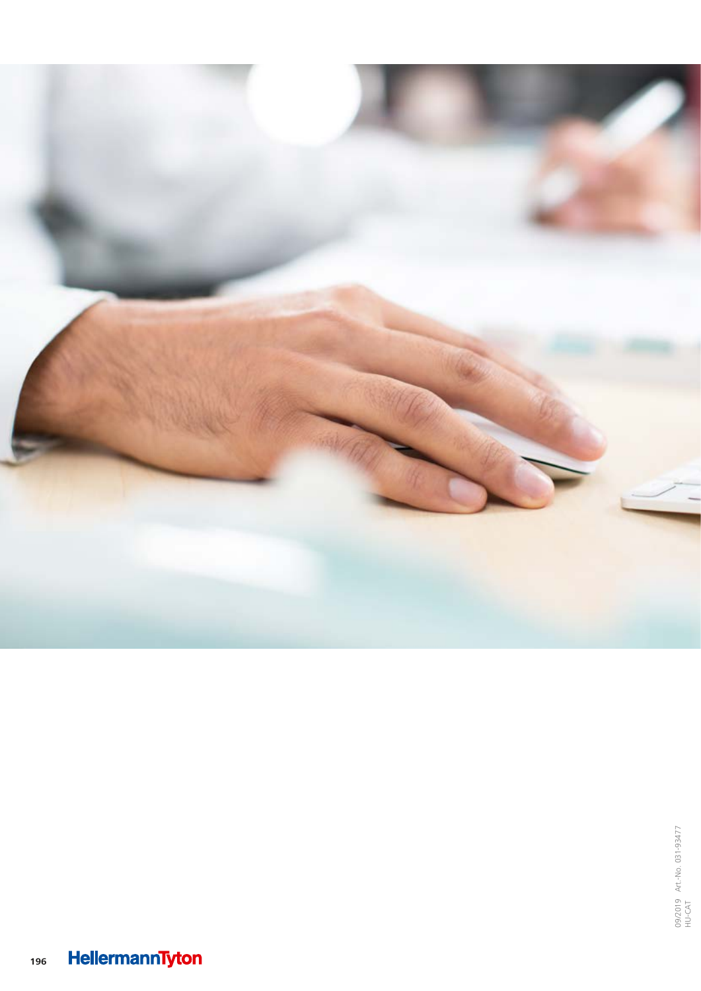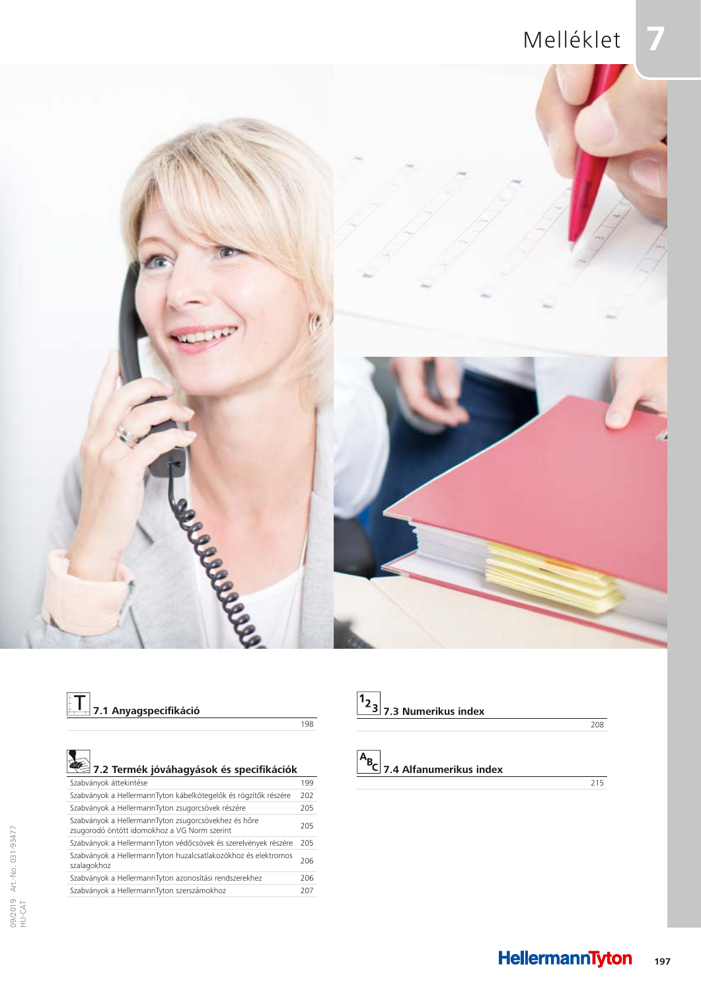## **7** Melléklet



# **T**<br>7.1 Anyagspecifikáció

198

| 7.2 Termék jóváhagyások és specifikációk                                                             |     |
|------------------------------------------------------------------------------------------------------|-----|
| Szabványok áttekintése                                                                               | 199 |
| Szabványok a HellermannTyton kábelkötegelők és rögzítők részére                                      | 202 |
| Szabványok a HellermannTyton zsugorcsövek részére                                                    | 205 |
| Szabványok a HellermannTyton zsugorcsövekhez és hőre<br>zsugorodó öntött idomokhoz a VG Norm szerint | 205 |
| Szabványok a HellermannTyton védőcsövek és szerelvények részére                                      | 205 |
| Szabványok a HellermannTyton huzalcsatlakozókhoz és elektromos<br>szalagokhoz                        | 206 |
| Szabványok a HellermannTyton azonosítási rendszerekhez                                               | 206 |
| Szabványok a HellermannTyton szerszámokhoz                                                           | 207 |
|                                                                                                      |     |

| $\left  \frac{1_{2}}{3} \right $ 7.3 Numerikus index |  |
|------------------------------------------------------|--|
|                                                      |  |

#### 208

# **7.4 Alfanumerikus index**

215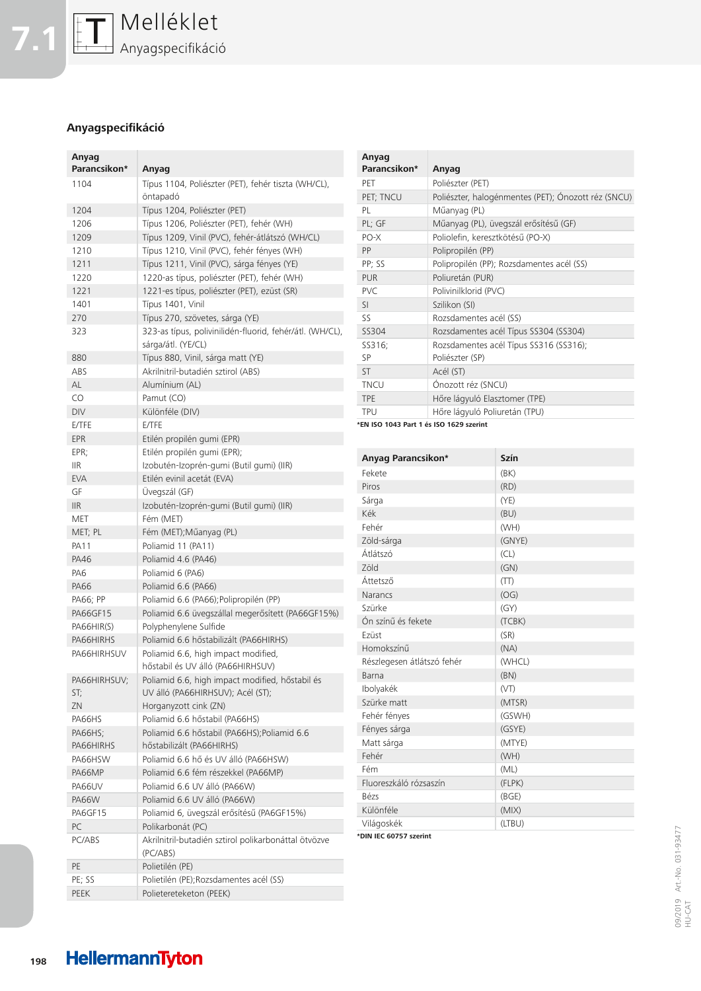

### **Anyagspecifikáció**

| Anyag<br>Parancsikon* | Anyag                                                                          |
|-----------------------|--------------------------------------------------------------------------------|
| 1104                  | Típus 1104, Poliészter (PET), fehér tiszta (WH/CL),                            |
|                       | öntapadó                                                                       |
| 1204                  | Típus 1204, Poliészter (PET)                                                   |
| 1206                  | Típus 1206, Poliészter (PET), fehér (WH)                                       |
| 1209                  | Típus 1209, Vinil (PVC), fehér-átlátszó (WH/CL)                                |
| 1210                  | Típus 1210, Vinil (PVC), fehér fényes (WH)                                     |
| 1211                  | Típus 1211, Vinil (PVC), sárga fényes (YE)                                     |
| 1220                  | 1220-as típus, poliészter (PET), fehér (WH)                                    |
| 1221                  | 1221-es típus, poliészter (PET), ezüst (SR)                                    |
| 1401                  | Típus 1401, Vinil                                                              |
| 270                   | Típus 270, szövetes, sárga (YE)                                                |
| 323                   | 323-as típus, polivinilidén-fluorid, fehér/átl. (WH/CL),<br>sárga/átl. (YE/CL) |
| 880                   | Típus 880, Vinil, sárga matt (YE)                                              |
| ABS                   | Akrilnitril-butadién sztirol (ABS)                                             |
| AL                    | Alumínium (AL)                                                                 |
| CO                    | Pamut (CO)                                                                     |
|                       |                                                                                |
| DIV                   | Különféle (DIV)                                                                |
| E/TFE                 | E/TFE                                                                          |
| EPR                   | Etilén propilén gumi (EPR)                                                     |
| EPR;                  | Etilén propilén gumi (EPR);                                                    |
| IIR                   | Izobutén-Izoprén-gumi (Butil gumi) (IIR)                                       |
| <b>EVA</b>            | Etilén evinil acetát (EVA)                                                     |
| GF                    | Üvegszál (GF)                                                                  |
| IIR                   | Izobutén-Izoprén-gumi (Butil gumi) (IIR)                                       |
| MET                   | Fém (MET)                                                                      |
| MET; PL               | Fém (MET); Műanyag (PL)                                                        |
| PA11                  | Poliamid 11 (PA11)                                                             |
| PA46                  | Poliamid 4.6 (PA46)                                                            |
| PA6                   | Poliamid 6 (PA6)                                                               |
| PA66                  | Poliamid 6.6 (PA66)                                                            |
| PA66; PP              | Poliamid 6.6 (PA66); Polipropilén (PP)                                         |
| PA66GF15              | Poliamid 6.6 üvegszállal megerősített (PA66GF15%)                              |
| PA66HIR(S)            | Polyphenylene Sulfide                                                          |
| PA66HIRHS             | Poliamid 6.6 hőstabilizált (PA66HIRHS)                                         |
| PA66HIRHSUV           | Poliamid 6.6, high impact modified,<br>hőstabil és UV álló (PA66HIRHSUV)       |
| PA66HIRHSUV;          | Poliamid 6.6, high impact modified, hőstabil és                                |
| ST;                   | UV álló (PA66HIRHSUV); Acél (ST);                                              |
| ZN                    | Horganyzott cink (ZN)                                                          |
| PA66HS                | Poliamid 6.6 hőstabil (PA66HS)                                                 |
| PA66HS;               | Poliamid 6.6 hőstabil (PA66HS); Poliamid 6.6                                   |
| PA66HIRHS             | hőstabilizált (PA66HIRHS)                                                      |
| PA66HSW               | Poliamid 6.6 hő és UV álló (PA66HSW)                                           |
| PA66MP                | Poliamid 6.6 fém részekkel (PA66MP)                                            |
| PA66UV                | Poliamid 6.6 UV álló (PA66W)                                                   |
| <b>PA66W</b>          | Poliamid 6.6 UV álló (PA66W)                                                   |
| PA6GF15               | Poliamid 6, üvegszál erősítésű (PA6GF15%)                                      |
| PC                    | Polikarbonát (PC)                                                              |
| PC/ABS                | Akrilnitril-butadién sztirol polikarbonáttal ötvözve                           |
|                       | (PC/ABS)                                                                       |
| PE                    | Polietilén (PE)                                                                |
| PE; SS                | Polietilén (PE); Rozsdamentes acél (SS)                                        |
| PEEK                  | Polietereteketon (PEEK)                                                        |
|                       |                                                                                |

| Anyag        |                                                     |
|--------------|-----------------------------------------------------|
| Parancsikon* | Anyag                                               |
| PET          | Poliészter (PET)                                    |
| PET; TNCU    | Poliészter, halogénmentes (PET); Ónozott réz (SNCU) |
| PL           | Műanyag (PL)                                        |
| PL; GF       | Műanyag (PL), üvegszál erősítésű (GF)               |
| PO-X         | Poliolefin, keresztkötésű (PO-X)                    |
| PP           | Polipropilén (PP)                                   |
| PP; SS       | Polipropilén (PP); Rozsdamentes acél (SS)           |
| <b>PUR</b>   | Poliuretán (PUR)                                    |
| <b>PVC</b>   | Polivinilklorid (PVC)                               |
| SI           | Szilikon (SI)                                       |
| SS           | Rozsdamentes acél (SS)                              |
| SS304        | Rozsdamentes acél Típus SS304 (SS304)               |
| SS316;       | Rozsdamentes acél Típus SS316 (SS316);              |
| SP           | Poliészter (SP)                                     |
| <b>ST</b>    | Acél (ST)                                           |
| <b>TNCU</b>  | Ónozott réz (SNCU)                                  |
| <b>TPE</b>   | Hőre lágyuló Elasztomer (TPE)                       |
| <b>TPU</b>   | Hőre lágyuló Poliuretán (TPU)                       |
|              |                                                     |

**\*EN ISO 1043 Part 1 és ISO 1629 szerint**

| Anyag Parancsikon*         | <b>Szín</b> |
|----------------------------|-------------|
| Fekete                     | (BK)        |
| Piros                      | (RD)        |
| Sárga                      | (YE)        |
| Kék                        | (BU)        |
| Fehér                      | (WH)        |
| Zöld-sárga                 | (GNYE)      |
| Átlátszó                   | (CL)        |
| <b>Zöld</b>                | (GN)        |
| Áttetsző                   | (TT)        |
| Narancs                    | (OG)        |
| Szürke                     | (GY)        |
| Ón színű és fekete         | (TCBK)      |
| Ezüst                      | (SR)        |
| Homokszínű                 | (NA)        |
| Részlegesen átlátszó fehér | (WHCL)      |
| Barna                      | (BN)        |
| Ibolyakék                  | (VT)        |
| Szürke matt                | (MTSR)      |
| Fehér fényes               | (GSWH)      |
| Fényes sárga               | (GSYE)      |
| Matt sárga                 | (MTYE)      |
| Fehér                      | (WH)        |
| Fém                        | (ML)        |
| Fluoreszkáló rózsaszín     | (FLPK)      |
| <b>Bézs</b>                | (BGE)       |
| Különféle                  | (MIX)       |
| Világoskék                 | (LTBU)      |
| *DIN IEC 60757 szerint     |             |

09/2019 Art.-No. 031-93477 09/2019 Art.-No. 031-93477<br>HU-CAT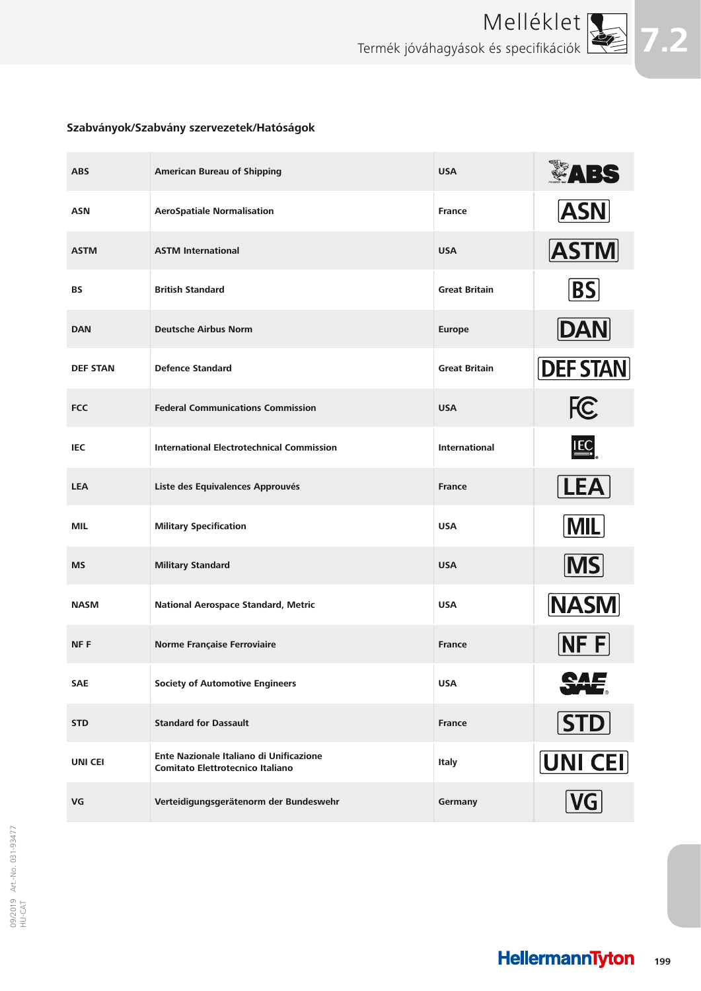

## **Szabványok/Szabvány szervezetek/Hatóságok**

| <b>ABS</b>      | <b>American Bureau of Shipping</b>                                          | <b>USA</b>           | LABS            |
|-----------------|-----------------------------------------------------------------------------|----------------------|-----------------|
| <b>ASN</b>      | <b>AeroSpatiale Normalisation</b>                                           | <b>France</b>        | <b>ASN</b>      |
| <b>ASTM</b>     | <b>ASTM International</b>                                                   | <b>USA</b>           | <b>ASTM</b>     |
| <b>BS</b>       | <b>British Standard</b>                                                     | <b>Great Britain</b> | <b>BS</b>       |
| <b>DAN</b>      | <b>Deutsche Airbus Norm</b>                                                 | <b>Europe</b>        | <b>DAN</b>      |
| <b>DEF STAN</b> | <b>Defence Standard</b>                                                     | <b>Great Britain</b> | <b>DEF STAN</b> |
| <b>FCC</b>      | <b>Federal Communications Commission</b>                                    | <b>USA</b>           | <b>FC</b>       |
| <b>IEC</b>      | <b>International Electrotechnical Commission</b>                            | <b>International</b> | IEC             |
| <b>LEA</b>      | Liste des Equivalences Approuvés                                            | <b>France</b>        | <b>LEA</b>      |
| MIL             | <b>Military Specification</b>                                               | <b>USA</b>           | <b>MIL</b>      |
| <b>MS</b>       | <b>Military Standard</b>                                                    | <b>USA</b>           | $\sqrt{MS}$     |
| <b>NASM</b>     | National Aerospace Standard, Metric                                         | <b>USA</b>           | <b>NASM</b>     |
| <b>NFF</b>      | Norme Française Ferroviaire                                                 | <b>France</b>        | NF F            |
| <b>SAE</b>      | <b>Society of Automotive Engineers</b>                                      | <b>USA</b>           |                 |
| <b>STD</b>      | <b>Standard for Dassault</b>                                                | <b>France</b>        | <b>STD</b>      |
| <b>UNI CEI</b>  | Ente Nazionale Italiano di Unificazione<br>Comitato Elettrotecnico Italiano | Italy                | UNI CEI         |
| VG              | Verteidigungsgerätenorm der Bundeswehr                                      | Germany              | VG              |

**HellermannTyton 199**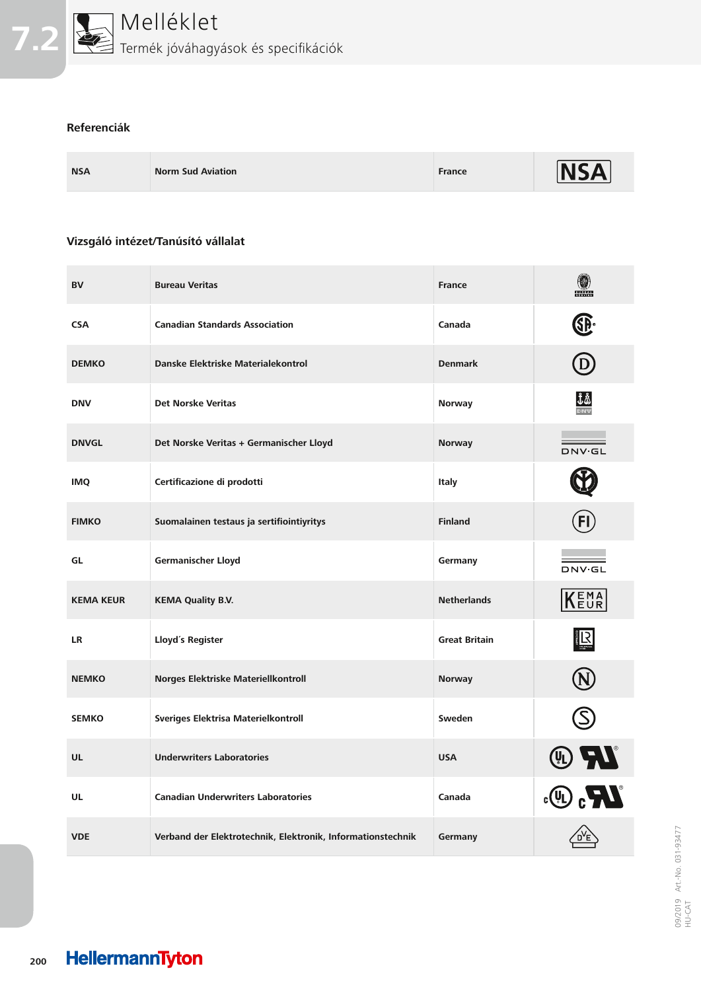

#### **Referenciák**

| <b>NSA</b><br><b>Norm Sud Aviation</b> | France | <b>INSA</b> |
|----------------------------------------|--------|-------------|
|----------------------------------------|--------|-------------|

### **Vizsgáló intézet/Tanúsító vállalat**

| <b>BV</b>        | <b>Bureau Veritas</b>                                       | <b>France</b>        | 0<br><b>BUREAU</b><br>VERITAS           |
|------------------|-------------------------------------------------------------|----------------------|-----------------------------------------|
| <b>CSA</b>       | <b>Canadian Standards Association</b>                       | Canada               | ®                                       |
| <b>DEMKO</b>     | Danske Elektriske Materialekontrol                          | <b>Denmark</b>       | D)                                      |
| <b>DNV</b>       | <b>Det Norske Veritas</b>                                   | <b>Norway</b>        | $\frac{\text{18}}{\text{20}}$           |
| <b>DNVGL</b>     | Det Norske Veritas + Germanischer Lloyd                     | <b>Norway</b>        | <b>DNV·GL</b>                           |
| <b>IMQ</b>       | Certificazione di prodotti                                  | <b>Italy</b>         |                                         |
| <b>FIMKO</b>     | Suomalainen testaus ja sertifiointiyritys                   | <b>Finland</b>       |                                         |
| GL               | Germanischer Lloyd                                          | Germany              | DNV.GL                                  |
| <b>KEMA KEUR</b> | <b>KEMA Quality B.V.</b>                                    | <b>Netherlands</b>   | KENA                                    |
| LR               | Lloyd's Register                                            | <b>Great Britain</b> | R                                       |
| <b>NEMKO</b>     | <b>Norges Elektriske Materiellkontroll</b>                  | <b>Norway</b>        |                                         |
| <b>SEMKO</b>     | Sveriges Elektrisa Materielkontroll                         | Sweden               |                                         |
| <b>UL</b>        | <b>Underwriters Laboratories</b>                            | <b>USA</b>           | $\widehat{\mathbb{R}}$ $\boldsymbol{M}$ |
| UL               | <b>Canadian Underwriters Laboratories</b>                   | Canada               | $\boldsymbol{H}_3$ (i).                 |
| <b>VDE</b>       | Verband der Elektrotechnik, Elektronik, Informationstechnik | Germany              |                                         |

09/2019 Art.-No. 031-93477 09/2019 Art.-No. 031-93477<br>HU-CAT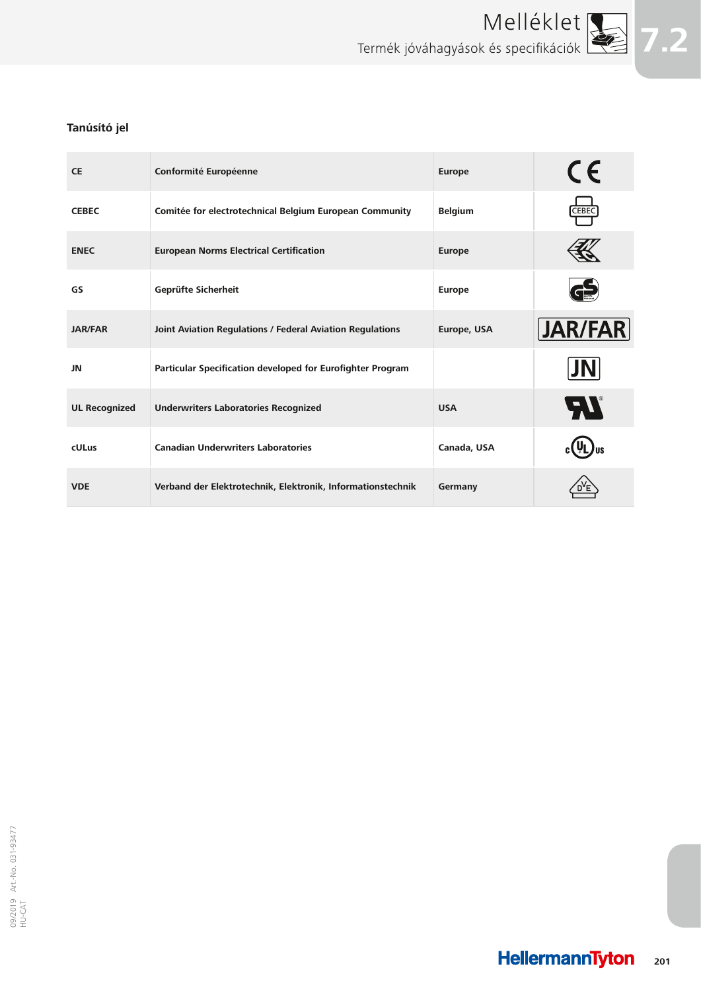

## **Tanúsító jel**

| <b>CE</b>            | Conformité Européenne                                       | <b>Europe</b>  | CE             |
|----------------------|-------------------------------------------------------------|----------------|----------------|
| <b>CEBEC</b>         | Comitée for electrotechnical Belgium European Community     | <b>Belgium</b> | CEBEC          |
| <b>ENEC</b>          | <b>European Norms Electrical Certification</b>              | <b>Europe</b>  |                |
| GS                   | Geprüfte Sicherheit                                         | <b>Europe</b>  |                |
| <b>JAR/FAR</b>       | Joint Aviation Regulations / Federal Aviation Regulations   | Europe, USA    | <b>JAR/FAR</b> |
| JN                   | Particular Specification developed for Eurofighter Program  |                | JN             |
| <b>UL Recognized</b> | <b>Underwriters Laboratories Recognized</b>                 | <b>USA</b>     | <b>FIL</b>     |
| <b>cULus</b>         | <b>Canadian Underwriters Laboratories</b>                   | Canada, USA    |                |
| <b>VDE</b>           | Verband der Elektrotechnik, Elektronik, Informationstechnik | Germany        |                |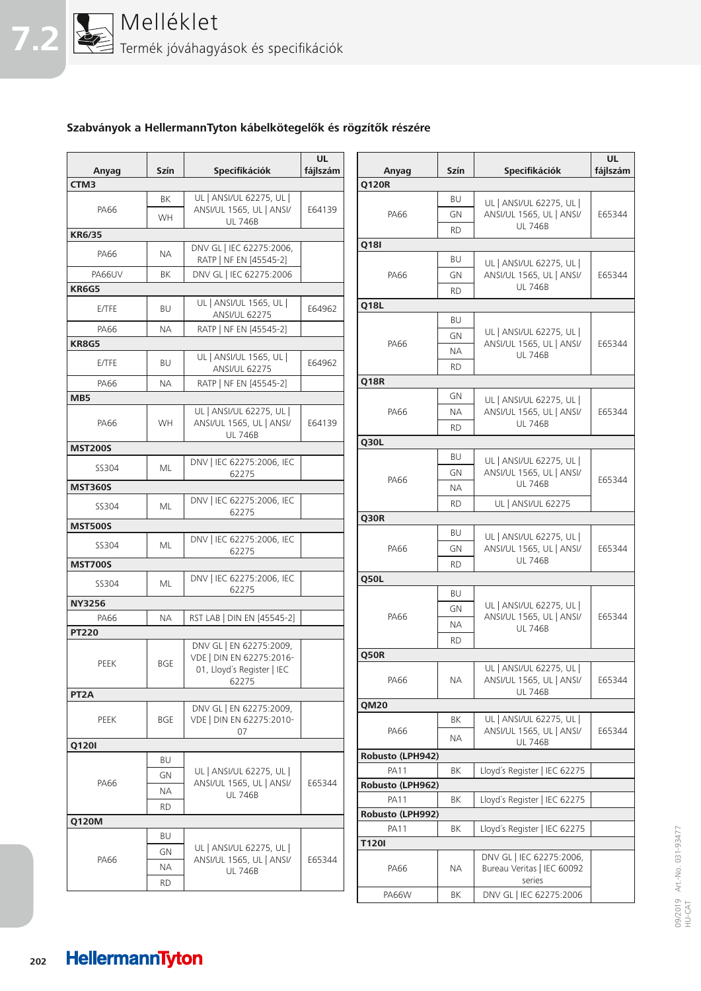

## **Szabványok a HellermannTyton kábelkötegelők és rögzítők részére**

|                   |             |                                                     | <b>UL</b> |                  |           |                                                      | <b>UL</b> |
|-------------------|-------------|-----------------------------------------------------|-----------|------------------|-----------|------------------------------------------------------|-----------|
| Anyag             | <b>Szín</b> | Specifikációk                                       | fájlszám  | Anyag            | Szín      | Specifikációk                                        | fájlszám  |
| CTM3              |             |                                                     |           | <b>Q120R</b>     |           |                                                      |           |
|                   | BK          | UL   ANSI/UL 62275, UL                              |           |                  | BU        | UL   ANSI/UL 62275, UL                               |           |
| <b>PA66</b>       | <b>WH</b>   | ANSI/UL 1565, UL   ANSI/                            | E64139    | PA66             | GN        | ANSI/UL 1565, UL   ANSI/                             | E65344    |
|                   |             | <b>UL 746B</b>                                      |           |                  | <b>RD</b> | <b>UL 746B</b>                                       |           |
| <b>KR6/35</b>     |             |                                                     |           | <b>Q18I</b>      |           |                                                      |           |
| <b>PA66</b>       | NА          | DNV GL   IEC 62275:2006,<br>RATP   NF EN [45545-2]  |           |                  | BU        |                                                      |           |
| PA66UV            | BK          | DNV GL   IEC 62275:2006                             |           | PA66             | GN        | UL   ANSI/UL 62275, UL  <br>ANSI/UL 1565, UL   ANSI/ | E65344    |
| KR6G5             |             |                                                     |           |                  |           | <b>UL 746B</b>                                       |           |
|                   |             | UL   ANSI/UL 1565, UL                               |           |                  | <b>RD</b> |                                                      |           |
| E/TFE             | <b>BU</b>   | <b>ANSI/UL 62275</b>                                | E64962    | Q18L             |           |                                                      |           |
| <b>PA66</b>       | <b>NA</b>   | RATP   NF EN [45545-2]                              |           |                  | BU        |                                                      |           |
| <b>KR8G5</b>      |             |                                                     |           | PA66             | GN        | UL   ANSI/UL 62275, UL  <br>ANSI/UL 1565, UL   ANSI/ | E65344    |
|                   |             | UL   ANSI/UL 1565, UL                               |           |                  | NА        | <b>UL 746B</b>                                       |           |
| E/TFE             | BU          | <b>ANSI/UL 62275</b>                                | E64962    |                  | <b>RD</b> |                                                      |           |
| PA66              | ΝA          | RATP   NF EN [45545-2]                              |           | <b>Q18R</b>      |           |                                                      |           |
| MB <sub>5</sub>   |             |                                                     |           |                  | GN        | UL   ANSI/UL 62275, UL                               |           |
|                   |             | UL   ANSI/UL 62275, UL                              |           | PA66             | NА        | ANSI/UL 1565, UL   ANSI/                             | E65344    |
| <b>PA66</b>       | <b>WH</b>   | ANSI/UL 1565, UL   ANSI/                            | E64139    |                  | <b>RD</b> | <b>UL 746B</b>                                       |           |
|                   |             | <b>UL 746B</b>                                      |           |                  |           |                                                      |           |
| <b>MST200S</b>    |             |                                                     |           | <b>Q30L</b>      |           |                                                      |           |
| SS304             | ML          | DNV   IEC 62275:2006, IEC                           |           |                  | BU        | UL   ANSI/UL 62275, UL                               |           |
|                   |             | 62275                                               |           | PA66             | GN        | ANSI/UL 1565, UL   ANSI/                             | E65344    |
| <b>MST360S</b>    |             |                                                     |           |                  | <b>NA</b> | <b>UL 746B</b>                                       |           |
| SS304             | ML          | DNV   IEC 62275:2006, IEC                           |           |                  | <b>RD</b> | <b>UL   ANSI/UL 62275</b>                            |           |
|                   |             | 62275                                               |           | Q30R             |           |                                                      |           |
| <b>MST500S</b>    |             |                                                     |           |                  | BU        | UL   ANSI/UL 62275, UL                               |           |
| SS304             | <b>ML</b>   | DNV   IEC 62275:2006, IEC<br>62275                  |           | <b>PA66</b>      | GN        | ANSI/UL 1565, UL   ANSI/                             | E65344    |
| <b>MST700S</b>    |             |                                                     |           |                  | <b>RD</b> | <b>UL 746B</b>                                       |           |
|                   |             | DNV   IEC 62275:2006, IEC                           |           | Q50L             |           |                                                      |           |
| SS304             | <b>ML</b>   | 62275                                               |           |                  | <b>BU</b> |                                                      |           |
| <b>NY3256</b>     |             |                                                     |           |                  |           | UL   ANSI/UL 62275, UL                               |           |
| PA66              | <b>NA</b>   | RST LAB   DIN EN [45545-2]                          |           | PA66             | GN        | ANSI/UL 1565, UL   ANSI/                             | E65344    |
| <b>PT220</b>      |             |                                                     |           |                  | ΝA        | <b>UL 746B</b>                                       |           |
|                   |             | DNV GL   EN 62275:2009,                             |           |                  | <b>RD</b> |                                                      |           |
| PEEK              | <b>BGE</b>  | VDE   DIN EN 62275:2016-                            |           | Q50R             |           |                                                      |           |
|                   |             | 01, Lloyd's Register   IEC                          |           |                  |           | UL   ANSI/UL 62275, UL                               |           |
|                   |             | 62275                                               |           | PA66             | NА        | ANSI/UL 1565, UL   ANSI/<br><b>UL 746B</b>           | E65344    |
| PT <sub>2</sub> A |             |                                                     |           | <b>QM20</b>      |           |                                                      |           |
| PEEK              | <b>BGE</b>  | DNV GL   EN 62275:2009,<br>VDE   DIN EN 62275:2010- |           |                  | ΒK        | UL   ANSI/UL 62275, UL                               |           |
|                   |             | 07                                                  |           | PA66             |           | ANSI/UL 1565, UL   ANSI/                             | E65344    |
| Q120I             |             |                                                     |           |                  | <b>NA</b> | <b>UL 746B</b>                                       |           |
|                   | BU          |                                                     |           | Robusto (LPH942) |           |                                                      |           |
|                   | GN          | UL   ANSI/UL 62275, UL                              |           | <b>PA11</b>      | ΒK        | Lloyd's Register   IEC 62275                         |           |
| PA66              |             | ANSI/UL 1565, UL   ANSI/                            | E65344    | Robusto (LPH962) |           |                                                      |           |
|                   | ΝA          | <b>UL 746B</b>                                      |           | <b>PA11</b>      | ΒK        | Lloyd's Register   IEC 62275                         |           |
|                   | <b>RD</b>   |                                                     |           | Robusto (LPH992) |           |                                                      |           |
| Q120M             |             |                                                     |           | <b>PA11</b>      | ΒK        | Lloyd's Register   IEC 62275                         |           |
|                   | BU          |                                                     |           | <b>T120I</b>     |           |                                                      |           |
|                   | GN          | UL   ANSI/UL 62275, UL                              |           |                  |           | DNV GL   IEC 62275:2006,                             |           |
| PA66              | ΝA          | ANSI/UL 1565, UL   ANSI/<br><b>UL 746B</b>          | E65344    | PA66             | ΝA        | Bureau Veritas   IEC 60092                           |           |
|                   | <b>RD</b>   |                                                     |           |                  |           | series                                               |           |
|                   |             |                                                     |           | <b>PA66W</b>     | BK        | DNV GL   IEC 62275:2006                              |           |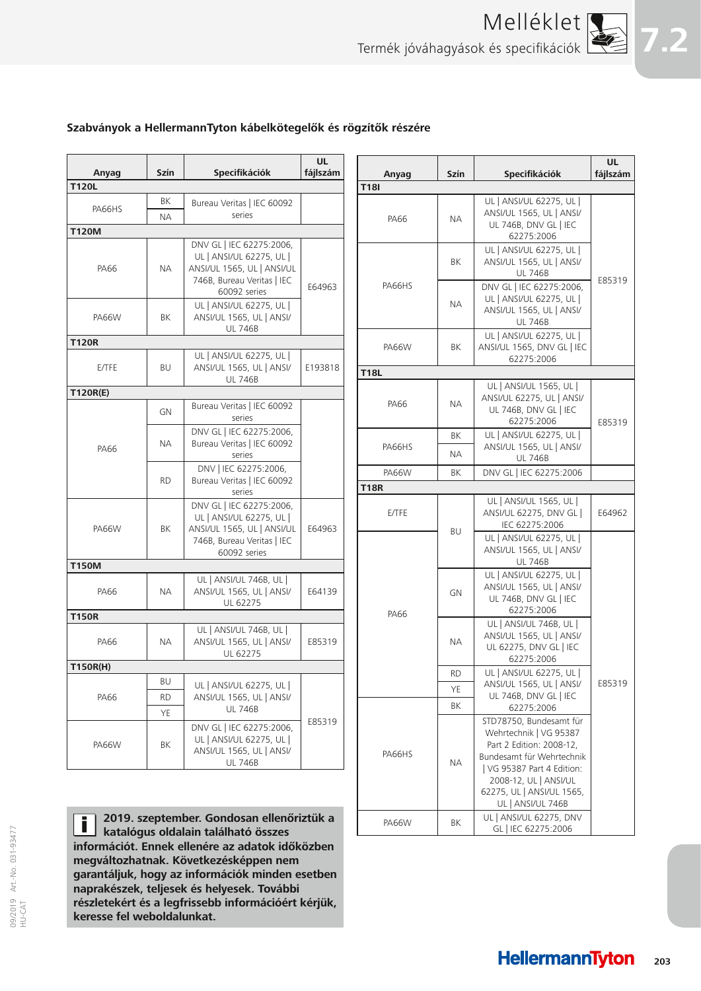

### **Szabványok a HellermannTyton kábelkötegelők és rögzítők részére**

| Anyag                  | Szín            | Specifikációk                                                                                                    | <b>UL</b><br>fájlszám | Anyag                       | Szín      | Specifikációk                                                                                                                            | <b>UL</b><br>fájlszám |
|------------------------|-----------------|------------------------------------------------------------------------------------------------------------------|-----------------------|-----------------------------|-----------|------------------------------------------------------------------------------------------------------------------------------------------|-----------------------|
| <b>T120L</b>           |                 |                                                                                                                  |                       | <b>T18I</b>                 |           |                                                                                                                                          |                       |
| PA66HS<br><b>T120M</b> | ΒK<br><b>NA</b> | Bureau Veritas   IEC 60092<br>series                                                                             |                       | PA66                        | <b>NA</b> | UL   ANSI/UL 62275, UL  <br>ANSI/UL 1565, UL   ANSI/<br>UL 746B, DNV GL   IEC                                                            |                       |
| PA66                   | <b>NA</b>       | DNV GL   IEC 62275:2006,<br>UL   ANSI/UL 62275, UL  <br>ANSI/UL 1565, UL   ANSI/UL<br>746B, Bureau Veritas   IEC |                       |                             | BK        | 62275:2006<br>UL   ANSI/UL 62275, UL  <br>ANSI/UL 1565, UL   ANSI/<br><b>UL 746B</b>                                                     | E85319                |
| <b>PA66W</b>           | ΒK              | 60092 series<br>UL   ANSI/UL 62275, UL  <br>ANSI/UL 1565, UL   ANSI/<br><b>UL 746B</b>                           | E64963                | PA66HS                      | <b>NA</b> | DNV GL   IEC 62275:2006,<br>UL   ANSI/UL 62275, UL  <br>ANSI/UL 1565, UL   ANSI/<br><b>UL 746B</b>                                       |                       |
| <b>T120R</b>           |                 | UL   ANSI/UL 62275, UL                                                                                           |                       | PA66W                       | ΒK        | UL   ANSI/UL 62275, UL  <br>ANSI/UL 1565, DNV GL   IEC<br>62275:2006                                                                     |                       |
| E/TFE                  | BU              | ANSI/UL 1565, UL   ANSI/<br><b>UL 746B</b>                                                                       | E193818               | <b>T18L</b>                 |           |                                                                                                                                          |                       |
| T120R(E)               | GN              | Bureau Veritas   IEC 60092<br>series                                                                             |                       | PA66                        | NА        | UL   ANSI/UL 1565, UL  <br>ANSI/UL 62275, UL   ANSI/<br>UL 746B, DNV GL   IEC<br>62275:2006                                              | E85319                |
| PA66                   | NА              | DNV GL   IEC 62275:2006,<br>Bureau Veritas   IEC 60092<br>series                                                 | PA66HS                |                             | BK<br>NА  | UL   ANSI/UL 62275, UL  <br>ANSI/UL 1565, UL   ANSI/<br><b>UL 746B</b>                                                                   |                       |
|                        | <b>RD</b>       | DNV   IEC 62275:2006,<br>Bureau Veritas   IEC 60092<br>series                                                    |                       | <b>PA66W</b><br><b>T18R</b> | BK        | DNV GL   IEC 62275:2006                                                                                                                  |                       |
| <b>PA66W</b>           | BK              | DNV GL   IEC 62275:2006,<br>UL   ANSI/UL 62275, UL  <br>ANSI/UL 1565, UL   ANSI/UL                               | E64963                | E/TFE                       | <b>BU</b> | UL   ANSI/UL 1565, UL  <br>ANSI/UL 62275, DNV GL  <br>IEC 62275:2006                                                                     | E64962                |
|                        |                 | 746B, Bureau Veritas   IEC<br>60092 series                                                                       |                       |                             |           | UL   ANSI/UL 62275, UL  <br>ANSI/UL 1565, UL   ANSI/<br><b>UL 746B</b>                                                                   |                       |
| <b>T150M</b><br>PA66   | <b>NA</b>       | UL   ANSI/UL 746B, UL  <br>ANSI/UL 1565, UL   ANSI/<br>UL 62275                                                  | E64139                |                             | GN        | UL   ANSI/UL 62275, UL  <br>ANSI/UL 1565, UL   ANSI/<br>UL 746B, DNV GL   IEC                                                            |                       |
| <b>T150R</b>           |                 |                                                                                                                  |                       | PA66                        |           | 62275:2006                                                                                                                               |                       |
| PA66                   | <b>NA</b>       | UL   ANSI/UL 746B, UL  <br>ANSI/UL 1565, UL   ANSI/<br>UL 62275                                                  | E85319                |                             | NА        | UL   ANSI/UL 746B, UL  <br>ANSI/UL 1565, UL   ANSI/<br>UL 62275, DNV GL   IEC<br>62275:2006                                              |                       |
| T150R(H)               |                 |                                                                                                                  |                       |                             | <b>RD</b> | UL   ANSI/UL 62275, UL                                                                                                                   |                       |
|                        | BU              | UL   ANSI/UL 62275, UL                                                                                           |                       |                             | YE        | ANSI/UL 1565, UL   ANSI/                                                                                                                 | E85319                |
| PA66                   | <b>RD</b>       | ANSI/UL 1565, UL   ANSI/<br><b>UL 746B</b>                                                                       |                       |                             | ΒK        | UL 746B, DNV GL   IEC<br>62275:2006                                                                                                      |                       |
| <b>PA66W</b>           | ΥE<br>BK        | DNV GL   IEC 62275:2006,<br>UL   ANSI/UL 62275, UL  <br>ANSI/UL 1565, UL   ANSI/<br><b>UL 746B</b>               | E85319                | PA66HS                      | NА        | STD78750, Bundesamt für<br>Wehrtechnik   VG 95387<br>Part 2 Edition: 2008-12,<br>Bundesamt für Wehrtechnik<br>  VG 95387 Part 4 Edition: |                       |
|                        |                 | 2019. szeptember. Gondosan ellenőriztük a                                                                        |                       | PA66W                       | ΒK        | 2008-12, UL   ANSI/UL<br>62275, UL   ANSI/UL 1565,<br>UL   ANSI/UL 746B<br>UL   ANSI/UL 62275, DNV                                       |                       |

**2019. szeptember. Gondosan ellenőriztük a**  П **katalógus oldalain található összes információt. Ennek ellenére az adatok időközben megváltozhatnak. Következésképpen nem garantáljuk, hogy az információk minden esetben naprakészek, teljesek és helyesek. További részletekért és a legfrissebb információért kérjük, keresse fel weboldalunkat.**

09/2019 Art.-No. 031-93477

GL | IEC 62275:2006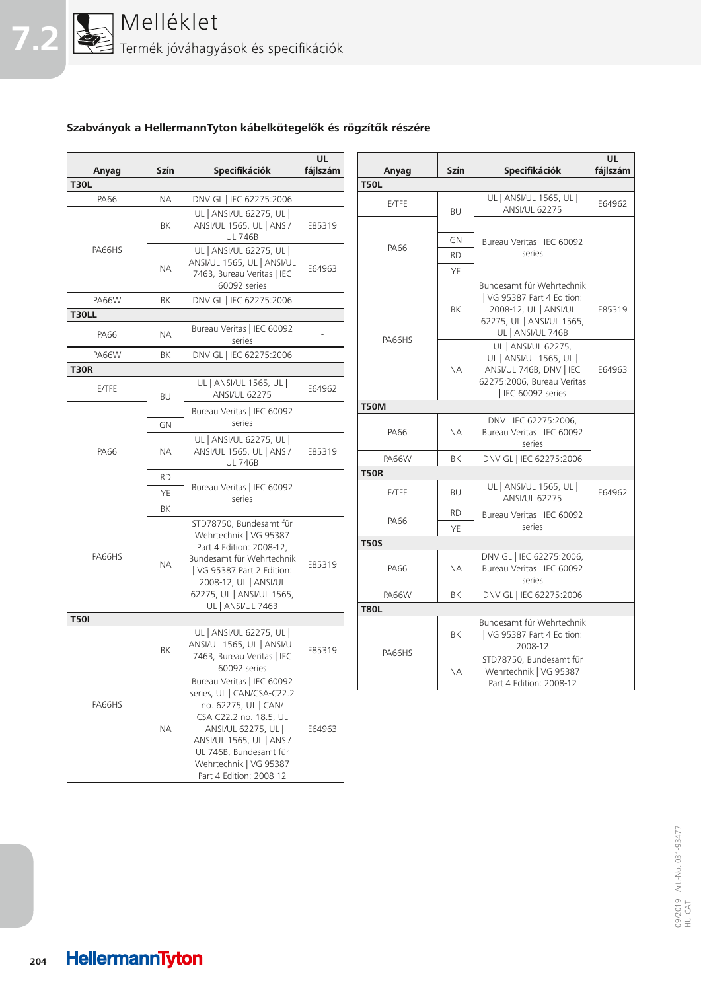

## **Szabványok a HellermannTyton kábelkötegelők és rögzítők részére**

| Anyag        | Szín      | <b>Specifikációk</b>                                                                                                                                                                                             | <b>UL</b><br>fájlszám | Anyag        | Szín            | <b>Specifikációk</b>                                                  | <b>UL</b><br>fájlszám |
|--------------|-----------|------------------------------------------------------------------------------------------------------------------------------------------------------------------------------------------------------------------|-----------------------|--------------|-----------------|-----------------------------------------------------------------------|-----------------------|
| <b>T30L</b>  |           |                                                                                                                                                                                                                  |                       | <b>T50L</b>  |                 |                                                                       |                       |
| <b>PA66</b>  | <b>NA</b> | DNV GL   IEC 62275:2006                                                                                                                                                                                          |                       | E/TFE        | BU              | UL   ANSI/UL 1565, UL  <br><b>ANSI/UL 62275</b>                       | E64962                |
|              | ΒK        | UL   ANSI/UL 62275, UL  <br>ANSI/UL 1565, UL   ANSI/<br><b>UL 746B</b>                                                                                                                                           | E85319                |              | GN              | Bureau Veritas   IEC 60092                                            |                       |
| PA66HS       | <b>NA</b> | UL   ANSI/UL 62275, UL  <br>ANSI/UL 1565, UL   ANSI/UL<br>746B, Bureau Veritas   IEC<br>60092 series                                                                                                             | E64963                | PA66         | <b>RD</b><br>YE | series<br>Bundesamt für Wehrtechnik                                   |                       |
| <b>PA66W</b> | BK        | DNV GL   IEC 62275:2006                                                                                                                                                                                          |                       |              |                 | I VG 95387 Part 4 Edition:                                            |                       |
| <b>T30LL</b> |           |                                                                                                                                                                                                                  |                       |              | BK              | 2008-12, UL   ANSI/UL                                                 | E85319                |
| PA66         | <b>NA</b> | Bureau Veritas   IEC 60092<br>series                                                                                                                                                                             |                       | PA66HS       |                 | 62275, UL   ANSI/UL 1565,<br>UL   ANSI/UL 746B<br>UL   ANSI/UL 62275, |                       |
| <b>PA66W</b> | BK        | DNV GL   IEC 62275:2006                                                                                                                                                                                          |                       |              |                 | UL   ANSI/UL 1565, UL                                                 |                       |
| <b>T30R</b>  |           |                                                                                                                                                                                                                  |                       |              | NА              | ANSI/UL 746B, DNV   IEC                                               | E64963                |
| E/TFE        | <b>BU</b> | UL   ANSI/UL 1565, UL  <br><b>ANSI/UL 62275</b>                                                                                                                                                                  | E64962                |              |                 | 62275:2006, Bureau Veritas<br>IEC 60092 series                        |                       |
|              |           | Bureau Veritas   IEC 60092                                                                                                                                                                                       |                       | <b>T50M</b>  |                 |                                                                       |                       |
|              | <b>GN</b> | series<br>UL   ANSI/UL 62275, UL                                                                                                                                                                                 |                       | PA66         | NА              | DNV   IEC 62275:2006,<br>Bureau Veritas   IEC 60092                   |                       |
| PA66         | ΝA        | ANSI/UL 1565, UL   ANSI/<br><b>UL 746B</b>                                                                                                                                                                       | E85319                | <b>PA66W</b> | ΒK              | series<br>DNV GL   IEC 62275:2006                                     |                       |
|              | <b>RD</b> |                                                                                                                                                                                                                  |                       | <b>T50R</b>  |                 |                                                                       |                       |
|              | YE        | Bureau Veritas   IEC 60092<br>series                                                                                                                                                                             |                       | E/TFE        | BU              | UL   ANSI/UL 1565, UL  <br><b>ANSI/UL 62275</b>                       | E64962                |
|              | BK        | STD78750, Bundesamt für                                                                                                                                                                                          |                       | PA66         | <b>RD</b><br>YE | Bureau Veritas   IEC 60092<br>series                                  |                       |
|              |           | Wehrtechnik   VG 95387<br>Part 4 Edition: 2008-12,                                                                                                                                                               |                       | <b>T50S</b>  |                 |                                                                       |                       |
| PA66HS       | <b>NA</b> | Bundesamt für Wehrtechnik<br>  VG 95387 Part 2 Edition:<br>2008-12, UL   ANSI/UL                                                                                                                                 | E85319                | PA66         | <b>NA</b>       | DNV GL   IEC 62275:2006,<br>Bureau Veritas   IEC 60092<br>series      |                       |
|              |           | 62275, UL   ANSI/UL 1565,                                                                                                                                                                                        |                       | <b>PA66W</b> | ΒK              | DNV GL   IEC 62275:2006                                               |                       |
|              |           | UL   ANSI/UL 746B                                                                                                                                                                                                |                       | <b>T80L</b>  |                 |                                                                       |                       |
| <b>T50I</b>  | ΒK        | UL   ANSI/UL 62275, UL  <br>ANSI/UL 1565, UL   ANSI/UL                                                                                                                                                           | E85319                | PA66HS       | ΒK              | Bundesamt für Wehrtechnik<br>  VG 95387 Part 4 Edition:<br>2008-12    |                       |
|              |           | 746B, Bureau Veritas   IEC<br>60092 series<br>Bureau Veritas   IEC 60092                                                                                                                                         |                       |              | NА              | STD78750, Bundesamt für<br>Wehrtechnik   VG 95387                     |                       |
| PA66HS       | NА        | series, UL   CAN/CSA-C22.2<br>no. 62275, UL   CAN/<br>CSA-C22.2 no. 18.5, UL<br>  ANSI/UL 62275, UL  <br>ANSI/UL 1565, UL   ANSI/<br>UL 746B, Bundesamt für<br>Wehrtechnik   VG 95387<br>Part 4 Edition: 2008-12 | E64963                |              |                 | Part 4 Edition: 2008-12                                               |                       |

09/2019 Art.-No. 031-93477 09/2019 Art.-No. 031-93477<br>HU-CAT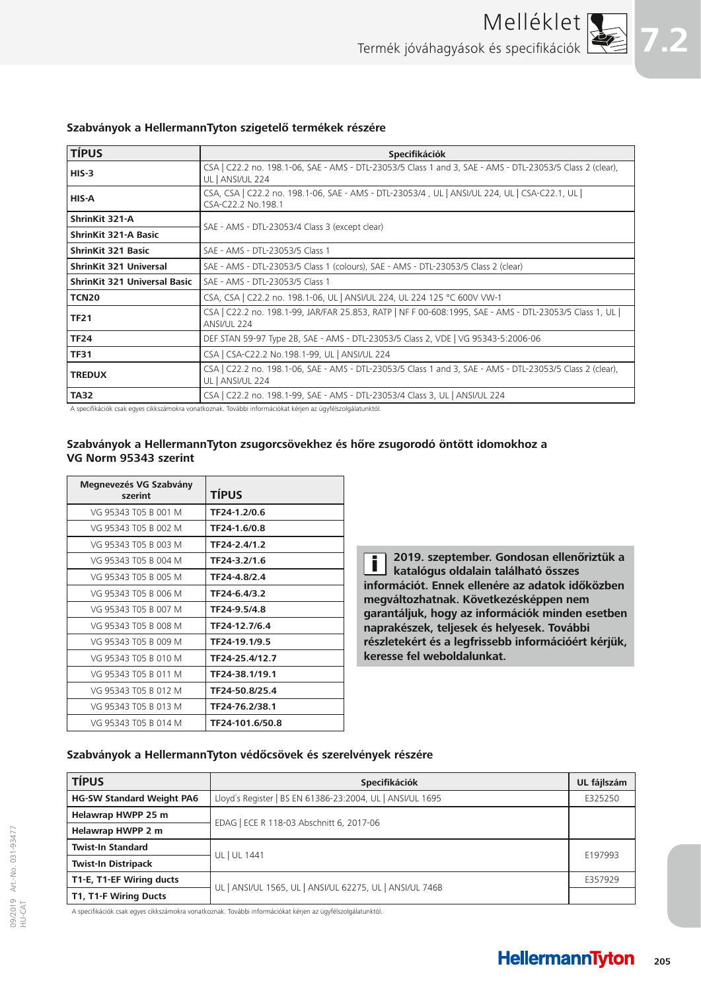

#### **Szabványok a HellermannTyton szigetelő termékek részére**

| <b>TÍPUS</b>                        | <b>Specifikációk</b>                                                                                                          |  |  |
|-------------------------------------|-------------------------------------------------------------------------------------------------------------------------------|--|--|
| $HIS-3$                             | CSA   C22.2 no. 198.1-06, SAE - AMS - DTL-23053/5 Class 1 and 3, SAE - AMS - DTL-23053/5 Class 2 (clear),<br>UL   ANSI/UL 224 |  |  |
| HIS-A                               | CSA, CSA   C22.2 no. 198.1-06, SAE - AMS - DTL-23053/4, UL   ANSI/UL 224, UL   CSA-C22.1, UL  <br>CSA-C22.2 No.198.1          |  |  |
| ShrinKit 321-A                      | SAE - AMS - DTL-23053/4 Class 3 (except clear)                                                                                |  |  |
| <b>ShrinKit 321-A Basic</b>         |                                                                                                                               |  |  |
| <b>ShrinKit 321 Basic</b>           | SAE - AMS - DTL-23053/5 Class 1                                                                                               |  |  |
| <b>ShrinKit 321 Universal</b>       | SAE - AMS - DTL-23053/5 Class 1 (colours), SAE - AMS - DTL-23053/5 Class 2 (clear)                                            |  |  |
| <b>ShrinKit 321 Universal Basic</b> | SAE - AMS - DTL-23053/5 Class 1                                                                                               |  |  |
| TCN <sub>20</sub>                   | CSA, CSA   C22.2 no. 198.1-06, UL   ANSI/UL 224, UL 224 125 °C 600V VW-1                                                      |  |  |
| <b>TF21</b>                         | CSA   C22.2 no. 198.1-99, JAR/FAR 25.853, RATP   NF F 00-608:1995, SAE - AMS - DTL-23053/5 Class 1, UL  <br>ANSI/UL 224       |  |  |
| <b>TF24</b>                         | DEF STAN 59-97 Type 2B, SAE - AMS - DTL-23053/5 Class 2, VDE   VG 95343-5:2006-06                                             |  |  |
| <b>TF31</b>                         | CSA   CSA-C22.2 No.198.1-99, UL   ANSI/UL 224                                                                                 |  |  |
| <b>TREDUX</b>                       | CSA   C22.2 no. 198.1-06, SAE - AMS - DTL-23053/5 Class 1 and 3, SAE - AMS - DTL-23053/5 Class 2 (clear),<br>UL   ANSI/UL 224 |  |  |
| <b>TA32</b>                         | CSA   C22.2 no. 198.1-99, SAE - AMS - DTL-23053/4 Class 3, UL   ANSI/UL 224                                                   |  |  |

A specifikációk csak egyes cikkszámokra vonatkoznak. További információkat kérjen az ügyfélszolgálatunktól.

#### **Szabványok a HellermannTyton zsugorcsövekhez és hőre zsugorodó öntött idomokhoz a VG Norm 95343 szerint**

| Megnevezés VG Szabvány<br>szerint | <b>TÍPUS</b>    |
|-----------------------------------|-----------------|
| VG 95343 T05 B 001 M              | TF24-1.2/0.6    |
| VG 95343 T05 B 002 M              | TF24-1.6/0.8    |
| VG 95343 T05 B 003 M              | TF24-2.4/1.2    |
| VG 95343 T05 B 004 M              | TF24-3.2/1.6    |
| VG 95343 T05 B 005 M              | TF24-4.8/2.4    |
| VG 95343 T05 B 006 M              | TF24-6.4/3.2    |
| VG 95343 T05 B 007 M              | TF24-9.5/4.8    |
| VG 95343 T05 B 008 M              | TF24-12.7/6.4   |
| VG 95343 T05 B 009 M              | TF24-19.1/9.5   |
| VG 95343 T05 B 010 M              | TF24-25.4/12.7  |
| VG 95343 T05 B 011 M              | TF24-38.1/19.1  |
| VG 95343 T05 B 012 M              | TF24-50.8/25.4  |
| VG 95343 T05 B 013 M              | TF24-76.2/38.1  |
| VG 95343 T05 B 014 M              | TF24-101.6/50.8 |

**2019. szeptember. Gondosan ellenőriztük a**  j. **katalógus oldalain található összes információt. Ennek ellenére az adatok időközben megváltozhatnak. Következésképpen nem garantáljuk, hogy az információk minden esetben naprakészek, teljesek és helyesek. További részletekért és a legfrissebb információért kérjük, keresse fel weboldalunkat.**

#### **Szabványok a HellermannTyton védőcsövek és szerelvények részére**

| <b>TÍPUS</b>                     | Specifikációk                                             | UL fájlszám |
|----------------------------------|-----------------------------------------------------------|-------------|
| <b>HG-SW Standard Weight PA6</b> | Lloyd's Register   BS EN 61386-23:2004, UL   ANSI/UL 1695 | E325250     |
| Helawrap HWPP 25 m               |                                                           |             |
| Helawrap HWPP 2 m                | EDAG   ECE R 118-03 Abschnitt 6, 2017-06                  |             |
| <b>Twist-In Standard</b>         |                                                           | E197993     |
| <b>Twist-In Distripack</b>       | UL   UL 1441                                              |             |
| T1-E, T1-EF Wiring ducts         | UL   ANSI/UL 1565, UL   ANSI/UL 62275, UL   ANSI/UL 746B  | E357929     |
| T1, T1-F Wiring Ducts            |                                                           |             |

A specifikációk csak egyes cikkszámokra vonatkoznak. További információkat kérjen az ügyfélszolgálatunktól.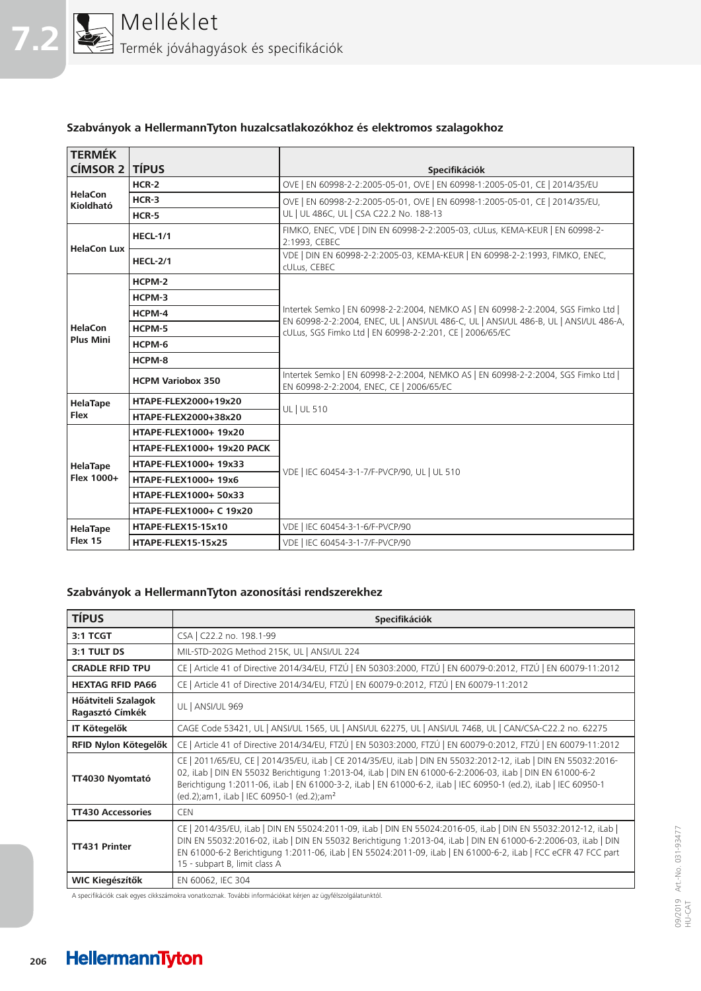

#### **Szabványok a HellermannTyton huzalcsatlakozókhoz és elektromos szalagokhoz**

| <b>TERMÉK</b><br><b>CÍMSOR 2</b> | <b>TÍPUS</b>                   | <b>Specifikációk</b>                                                                                                                                                                                                                  |  |  |
|----------------------------------|--------------------------------|---------------------------------------------------------------------------------------------------------------------------------------------------------------------------------------------------------------------------------------|--|--|
|                                  | $HCR-2$                        | OVE   EN 60998-2-2:2005-05-01, OVE   EN 60998-1:2005-05-01, CE   2014/35/EU                                                                                                                                                           |  |  |
| HelaCon<br>Kioldható             | $HCR-3$                        | OVE   EN 60998-2-2:2005-05-01, OVE   EN 60998-1:2005-05-01, CE   2014/35/EU,<br>UL   UL 486C, UL   CSA C22.2 No. 188-13                                                                                                               |  |  |
|                                  | $HCR-5$                        |                                                                                                                                                                                                                                       |  |  |
| <b>HelaCon Lux</b>               | <b>HECL-1/1</b>                | FIMKO, ENEC, VDE   DIN EN 60998-2-2:2005-03, cULus, KEMA-KEUR   EN 60998-2-<br>2:1993, CEBEC                                                                                                                                          |  |  |
|                                  | <b>HECL-2/1</b>                | VDE   DIN EN 60998-2-2:2005-03, KEMA-KEUR   EN 60998-2-2:1993, FIMKO, ENEC,<br>cULus, CEBEC                                                                                                                                           |  |  |
|                                  | HCPM-2                         |                                                                                                                                                                                                                                       |  |  |
|                                  | HCPM-3                         |                                                                                                                                                                                                                                       |  |  |
|                                  | HCPM-4                         | Intertek Semko   EN 60998-2-2:2004, NEMKO AS   EN 60998-2-2:2004, SGS Fimko Ltd  <br>EN 60998-2-2:2004, ENEC, UL   ANSI/UL 486-C, UL   ANSI/UL 486-B, UL   ANSI/UL 486-A,<br>cULus, SGS Fimko Ltd   EN 60998-2-2:201, CE   2006/65/EC |  |  |
| <b>HelaCon</b>                   | HCPM-5                         |                                                                                                                                                                                                                                       |  |  |
| <b>Plus Mini</b>                 | HCPM-6                         |                                                                                                                                                                                                                                       |  |  |
|                                  | HCPM-8                         |                                                                                                                                                                                                                                       |  |  |
|                                  | <b>HCPM Variobox 350</b>       | Intertek Semko   EN 60998-2-2:2004, NEMKO AS   EN 60998-2-2:2004, SGS Fimko Ltd  <br>EN 60998-2-2:2004, ENEC, CE   2006/65/EC                                                                                                         |  |  |
| <b>HelaTape</b>                  | HTAPE-FLEX2000+19x20           | UL   UL 510                                                                                                                                                                                                                           |  |  |
| <b>Flex</b>                      | HTAPE-FLEX2000+38x20           |                                                                                                                                                                                                                                       |  |  |
|                                  | HTAPE-FLEX1000+ 19x20          |                                                                                                                                                                                                                                       |  |  |
|                                  | HTAPE-FLEX1000+ 19x20 PACK     |                                                                                                                                                                                                                                       |  |  |
| <b>HelaTape</b>                  | HTAPE-FLEX1000+ 19x33          | VDE   IEC 60454-3-1-7/F-PVCP/90, UL   UL 510                                                                                                                                                                                          |  |  |
| Flex 1000+                       | HTAPE-FLEX1000+ 19x6           |                                                                                                                                                                                                                                       |  |  |
|                                  | HTAPE-FLEX1000+ 50x33          |                                                                                                                                                                                                                                       |  |  |
|                                  | <b>HTAPE-FLEX1000+ C 19x20</b> |                                                                                                                                                                                                                                       |  |  |
| HelaTape                         | HTAPE-FLEX15-15x10             | VDE   IEC 60454-3-1-6/F-PVCP/90                                                                                                                                                                                                       |  |  |
| Flex 15                          | HTAPE-FLEX15-15x25             | VDE   IEC 60454-3-1-7/F-PVCP/90                                                                                                                                                                                                       |  |  |

#### **Szabványok a HellermannTyton azonosítási rendszerekhez**

| <b>TÍPUS</b>                           | Specifikációk                                                                                                                                                                                                                                                                                                                                                                                          |
|----------------------------------------|--------------------------------------------------------------------------------------------------------------------------------------------------------------------------------------------------------------------------------------------------------------------------------------------------------------------------------------------------------------------------------------------------------|
| 3:1 TCGT                               | CSA   C22.2 no. 198.1-99                                                                                                                                                                                                                                                                                                                                                                               |
| 3:1 TULT DS                            | MIL-STD-202G Method 215K, UL   ANSI/UL 224                                                                                                                                                                                                                                                                                                                                                             |
| <b>CRADLE RFID TPU</b>                 | CE   Article 41 of Directive 2014/34/EU, FTZÚ   EN 50303:2000, FTZÚ   EN 60079-0:2012, FTZÚ   EN 60079-11:2012                                                                                                                                                                                                                                                                                         |
| <b>HEXTAG RFID PA66</b>                | CE   Article 41 of Directive 2014/34/EU, FTZÚ   EN 60079-0:2012, FTZÚ   EN 60079-11:2012                                                                                                                                                                                                                                                                                                               |
| Hőátviteli Szalagok<br>Ragasztó Címkék | UL   ANSI/UL 969                                                                                                                                                                                                                                                                                                                                                                                       |
| <b>IT Kötegelők</b>                    | CAGE Code 53421, UL   ANSI/UL 1565, UL   ANSI/UL 62275, UL   ANSI/UL 746B, UL   CAN/CSA-C22.2 no. 62275                                                                                                                                                                                                                                                                                                |
| RFID Nylon Kötegelők                   | CE   Article 41 of Directive 2014/34/EU, FTZÚ   EN 50303:2000, FTZÚ   EN 60079-0:2012, FTZÚ   EN 60079-11:2012                                                                                                                                                                                                                                                                                         |
| TT4030 Nyomtató                        | CE   2011/65/EU, CE   2014/35/EU, iLab   CE 2014/35/EU, iLab   DIN EN 55032:2012-12, iLab   DIN EN 55032:2016-<br>02, iLab   DIN EN 55032 Berichtigung 1:2013-04, iLab   DIN EN 61000-6-2:2006-03, iLab   DIN EN 61000-6-2<br>Berichtigung 1:2011-06, iLab   EN 61000-3-2, iLab   EN 61000-6-2, iLab   IEC 60950-1 (ed.2), iLab   IEC 60950-1<br>(ed.2);am1, iLab   IEC 60950-1 (ed.2);am <sup>2</sup> |
| <b>TT430 Accessories</b>               | <b>CEN</b>                                                                                                                                                                                                                                                                                                                                                                                             |
| <b>TT431 Printer</b>                   | CE   2014/35/EU, iLab   DIN EN 55024:2011-09, iLab   DIN EN 55024:2016-05, iLab   DIN EN 55032:2012-12, iLab  <br>DIN EN 55032:2016-02, iLab   DIN EN 55032 Berichtigung 1:2013-04, iLab   DIN EN 61000-6-2:2006-03, iLab   DIN<br>EN 61000-6-2 Berichtigung 1:2011-06, iLab   EN 55024:2011-09, iLab   EN 61000-6-2, iLab   FCC eCFR 47 FCC part<br>15 - subpart B, limit class A                     |
| <b>WIC Kiegészítők</b>                 | EN 60062, IEC 304                                                                                                                                                                                                                                                                                                                                                                                      |

A specifikációk csak egyes cikkszámokra vonatkoznak. További információkat kérjen az ügyfélszolgálatunktól.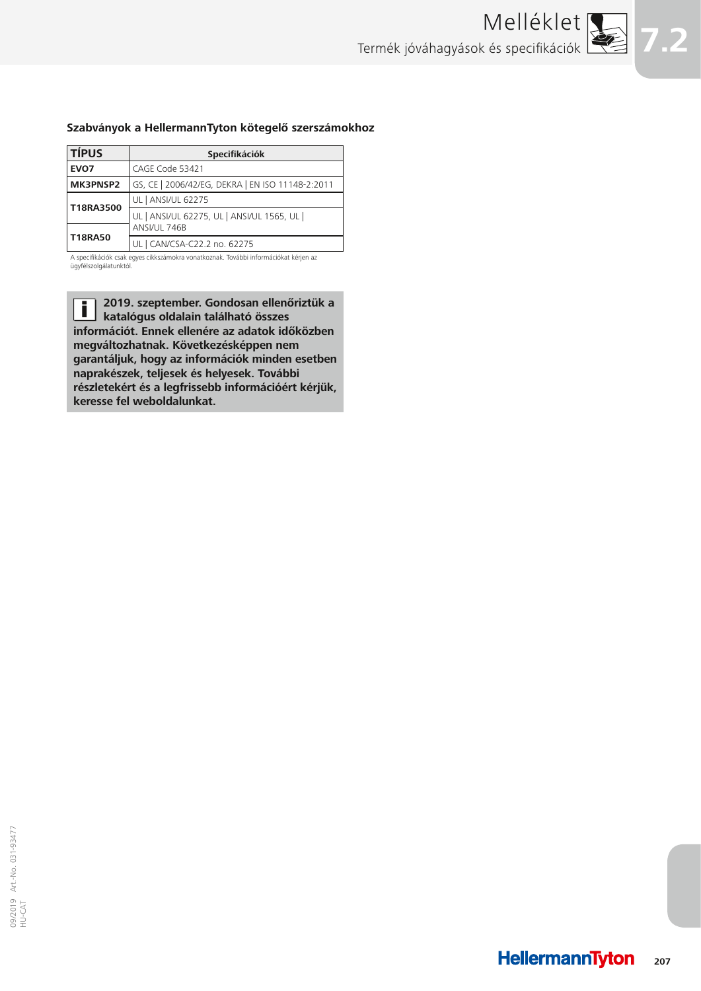

#### **Szabványok a HellermannTyton kötegelő szerszámokhoz**

| <b>TÍPUS</b>   | Specifikációk                                    |
|----------------|--------------------------------------------------|
| EVO7           | CAGE Code 53421                                  |
| MK3PNSP2       | GS, CE   2006/42/EG, DEKRA   EN ISO 11148-2:2011 |
| T18RA3500      | UL   ANSI/UL 62275                               |
|                | UL   ANSI/UL 62275, UL   ANSI/UL 1565, UL        |
| <b>T18RA50</b> | ANSI/UL 746B                                     |
|                | UL   CAN/CSA-C22.2 no. 62275                     |

A specifikációk csak egyes cikkszámokra vonatkoznak. További információkat kérjen az ügyfélszolgálatunktól.

**2019. szeptember. Gondosan ellenőriztük a**  Ī **katalógus oldalain található összes információt. Ennek ellenére az adatok időközben megváltozhatnak. Következésképpen nem garantáljuk, hogy az információk minden esetben naprakészek, teljesek és helyesek. További részletekért és a legfrissebb információért kérjük, keresse fel weboldalunkat.**

HellermannTyton **207**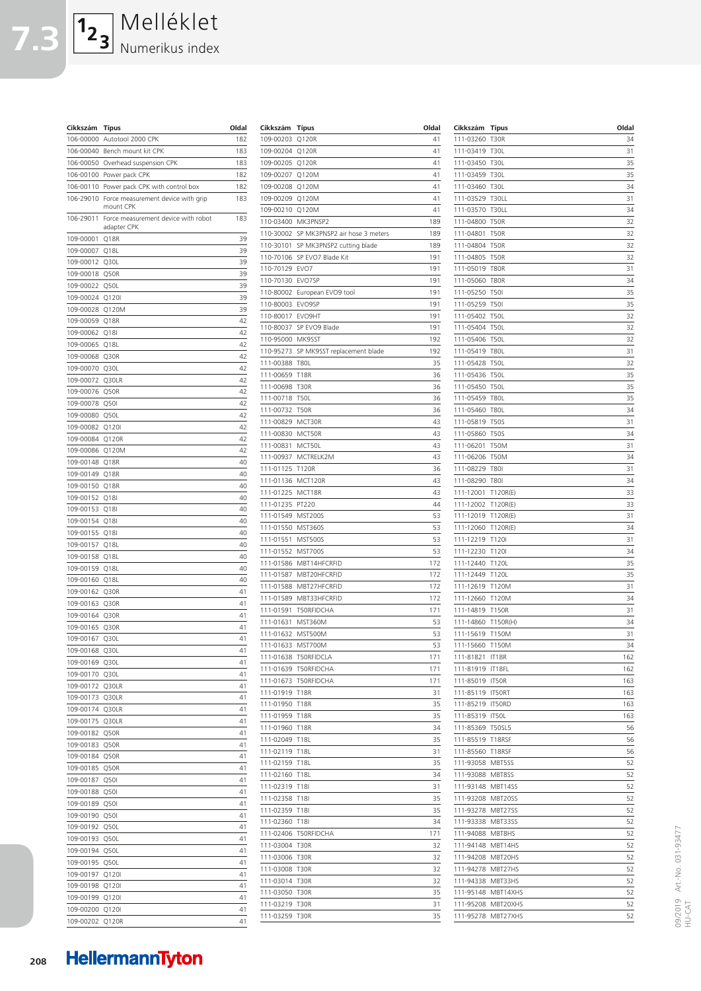$\boxed{1_2\phantom{1}_3}$ Melléklet **7.3** Numerikus index

**Cikkszám Típus** 

|                             | 106-00000 Autotool 2000 CPK                               | 182      |
|-----------------------------|-----------------------------------------------------------|----------|
|                             | 106-00040 Bench mount kit CPK                             | 183      |
|                             | 106-00050 Overhead suspension CPK                         | 183      |
|                             | 106-00100 Power pack CPK                                  | 182      |
|                             | 106-00110 Power pack CPK with control box                 | 182      |
|                             | 106-29010 Force measurement device with grip<br>mount CPK | 183      |
| 106-29011                   | Force measurement device with robot<br>adapter CPK        | 183      |
| 109-00001                   | Q <sub>18R</sub>                                          | 39       |
| 109-00007                   | Q <sub>18</sub> L                                         | 39       |
| 109-00012 Q30L              |                                                           | 39       |
| 109-00018                   | Q50R                                                      | 39       |
| 109-00022                   | Q50L                                                      | 39       |
| 109-00024 Q120I             |                                                           | 39       |
| 109-00028 Q120M             |                                                           | 39       |
| 109-00059                   | Q18R                                                      | 42       |
| 109-00062 Q18I              |                                                           | 42       |
| 109-00065                   | Q18L                                                      | 42       |
| 109-00068                   | Q30R                                                      | 42       |
| 109-00070 Q30L<br>109-00072 |                                                           | 42<br>42 |
| 109-00076                   | Q30LR<br>Q50R                                             | 42       |
| 109-00078 Q50I              |                                                           | 42       |
| 109-00080 Q50L              |                                                           | 42       |
| 109-00082                   | Q120I                                                     | 42       |
| 109-00084 Q120R             |                                                           | 42       |
| 109-00086 Q120M             |                                                           | 42       |
| 109-00148 Q18R              |                                                           | 40       |
| 109-00149 Q18R              |                                                           | 40       |
| 109-00150 Q18R              |                                                           | 40       |
| 109-00152                   | Q18I                                                      | 40       |
| 109-00153                   | Q18I                                                      | 40       |
| 109-00154                   | Q18I                                                      | 40       |
| 109-00155                   | Q18I                                                      | 40       |
| 109-00157 Q18L              |                                                           | 40       |
| 109-00158                   | Q <sub>18L</sub>                                          | 40       |
| 109-00159                   | Q <sub>18</sub> L                                         | 40       |
| 109-00160 Q18L              |                                                           | 40       |
| 109-00162                   | Q30R                                                      | 41       |
| 109-00163                   | Q30R                                                      | 41       |
| 109-00164 Q30R              |                                                           | 41       |
| 109-00165                   | Q30R                                                      | 41       |
| 109-00167                   | Q30L                                                      | 41       |
| 109-00168 Q30L              |                                                           | 41<br>41 |
| 109-00169<br>109-00170      | Q30L                                                      | 41       |
| 109-00172                   | Q30L<br>Q30LR                                             | 41       |
| 109-00173                   | Q30LR                                                     | 41       |
| 109-00174                   | Q30LR                                                     | 41       |
| 109-00175                   | Q30LR                                                     | 41       |
| 109-00182                   | Q50R                                                      | 41       |
| 109-00183                   | Q50R                                                      | 41       |
| 109-00184                   | Q50R                                                      | 41       |
| 109-00185                   | Q50R                                                      | 41       |
| 109-00187                   | Q50I                                                      | 41       |
| 109-00188                   | Q50I                                                      | 41       |
| 109-00189                   | Q50I                                                      | 41       |
| 109-00190                   | Q50I                                                      | 41       |
| 109-00192                   | Q50L                                                      | 41       |
| 109-00193                   | Q50L                                                      | 41       |
| 109-00194                   | Q50L                                                      | 41       |
| 109-00195                   | Q50L                                                      | 41       |
| 109-00197                   | Q120I                                                     | 41       |
| 109-00198                   | Q120I                                                     | 41       |
| 109-00199                   | Q120I                                                     | 41       |
| 109-00200                   | Q120I                                                     | 41       |
| 109-00202                   | Q120R                                                     | 41       |

| Cikkszám               | <b>Típus</b>                    | Oldal      |
|------------------------|---------------------------------|------------|
| 109-00203              | Q120R                           | 41         |
| 109-00204              | Q120R                           | 41         |
| 109-00205              | Q120R                           | 41         |
| 109-00207              | Q120M                           | 41         |
| 109-00208              | Q120M                           | 41         |
| 109-00209              | Q120M                           | 41         |
| 109-00210              | Q120M                           | 41         |
| 110-03400              | MK3PNSP2                        | 189        |
| 110-30002              | SP MK3PNSP2 air hose 3 meters   | 189        |
| 110-30101              | SP MK3PNSP2 cutting blade       | 189        |
| 110-70106              | SP EVO7 Blade Kit               | 191        |
| 110-70129              | EVO7                            | 191        |
| 110-70130              | EVO7SP                          | 191        |
| 110-80002              | European EVO9 tool              | 191        |
| 110-80003<br>110-80017 | EVO9SP<br>EVO9HT                | 191<br>191 |
| 110-80037              | SP EVO9 Blade                   | 191        |
| 110-95000              | MK9SST                          | 192        |
| 110-95273              | SP MK9SST replacement blade     | 192        |
| 111-00388              | <b>T80L</b>                     | 35         |
| 111-00659              | <b>T18R</b>                     | 36         |
| 111-00698              | T30R                            | 36         |
| 111-00718              | <b>T50L</b>                     | 36         |
| 111-00732              | T50R                            | 36         |
| 111-00829              | MCT30R                          | 43         |
| 111-00830              | MCT50R                          | 43         |
| 111-00831              | MCT50L                          | 43         |
| 111-00937              | MCTRELK2M                       | 43         |
| 111-01125              | T120R                           | 36         |
| 111-01136              | MCT120R                         | 43         |
| 111-01225              | MCT18R                          | 43         |
| 111-01235              | PT220                           | 44         |
| 111-01549              | <b>MST200S</b>                  | 53         |
| 111-01550              | MST360S                         | 53         |
| 111-01551              | <b>MST500S</b>                  | 53         |
| 111-01552              | MST700S                         | 53         |
| 111-01586              | MBT14HFCRFID                    | 172        |
| 111-01587              | MBT20HFCRFID                    | 172        |
| 111-01588              | MBT27HFCRFID                    | 172        |
| 111-01589              | MBT33HFCRFID                    | 172        |
| 111-01591              | T50RFIDCHA                      | 171        |
| 111-01631              | MST360M                         | 53         |
| 111-01632              | MST500M                         | 53         |
| 111-01633              | MST700M<br>111-01638 T50RFIDCLA | 53         |
|                        | 111-01639 T50RFIDCHA            | 171<br>171 |
|                        | 111-01673 T50RFIDCHA            | 171        |
| 111-01919 T18R         |                                 | 31         |
| 111-01950 T18R         |                                 | 35         |
| 111-01959 T18R         |                                 | 35         |
| 111-01960 T18R         |                                 | 34         |
| 111-02049              | <b>T18L</b>                     | 35         |
| 111-02119              | <b>T18L</b>                     | 31         |
| 111-02159              | <b>T18L</b>                     | 35         |
| 111-02160              | T18L                            | 34         |
| 111-02319 T18I         |                                 | 31         |
| 111-02358              | T18I                            | 35         |
| 111-02359              | T18I                            | 35         |
| 111-02360 T18I         |                                 | 34         |
|                        | 111-02406 T50RFIDCHA            | 171        |
| 111-03004 T30R         |                                 | 32         |
| 111-03006 T30R         |                                 | 32         |
| 111-03008 T30R         |                                 | 32         |
| 111-03014 T30R         |                                 | 32         |
| 111-03050 T30R         |                                 | 35         |
| 111-03219 T30R         |                                 | 31         |
| 111-03259 T30R         |                                 | 35         |

| Cikkszám                      | Típus                      | Oldal      |          |
|-------------------------------|----------------------------|------------|----------|
| 111-03260                     | T30R                       |            | 34       |
| 111-03419<br>111-03450        | <b>T30L</b><br><b>T30L</b> | 31<br>35   |          |
| 111-03459                     | <b>T30L</b>                |            | 35       |
| 111-03460                     | <b>T30L</b>                |            | 34       |
| 111-03529                     | T30LL                      | 31         |          |
| 111-03570                     | T30LL                      |            | 34       |
| 111-04800                     | <b>T50R</b>                |            | 32       |
| 111-04801<br>111-04804        | <b>T50R</b><br><b>T50R</b> | 32         | 32       |
| 111-04805                     | <b>T50R</b>                |            | 32       |
| 111-05019                     | <b>T80R</b>                | 31         |          |
| 111-05060                     | <b>T80R</b>                |            | 34       |
| 111-05250                     | <b>T50I</b>                |            | 35       |
| 111-05259                     | T50I                       | 35         |          |
| 111-05402                     | <b>T50L</b>                |            | 32       |
| 111-05404                     | <b>T50L</b>                |            | 32       |
| 111-05406<br>111-05419        | <b>T50L</b><br><b>T80L</b> | 32         | 31       |
| 111-05428                     | <b>T50L</b>                | 32         |          |
| 111-05436                     | <b>T50L</b>                | 35         |          |
| 111-05450                     | <b>T50L</b>                |            | 35       |
| 111-05459                     | <b>T80L</b>                |            | 35       |
| 111-05460                     | <b>T80L</b>                |            | 34       |
| 111-05819                     | <b>T50S</b>                |            | 31       |
| 111-05860                     | <b>T50S</b>                |            | 34       |
| 111-06201<br>111-06206        | <b>T50M</b>                | 31         |          |
| 111-08229                     | <b>T50M</b><br><b>T801</b> | 31         | 34       |
| 111-08290                     | <b>T801</b>                |            | 34       |
| 111-12001                     | T120R(E)                   |            | 33       |
| 111-12002                     | T120R(E)                   |            | 33       |
| 111-12019                     | T120R(E)                   | 31         |          |
| 111-12060                     | T120R(E)                   |            | 34       |
| 111-12219                     | T120I                      | 31         |          |
| 111-12230                     | T120I                      |            | 34       |
| 111-12440<br>111-12449        | T120L<br>T120L             |            | 35<br>35 |
| 111-12619                     | T120M                      | 31         |          |
| 111-12660                     | T120M                      |            | 34       |
| 111-14819                     | T150R                      | 31         |          |
| 111-14860                     | T150R(H)                   |            | 34       |
| 111-15619                     | T150M                      |            | 31       |
| 111-15660                     | T150M                      | 34         |          |
| 111-81821                     | IT18R                      | 162        |          |
| 111-81919 IT18FL<br>111-85019 | IT50R                      | 162<br>163 |          |
| 111-85119                     | IT50RT                     | 163        |          |
| 111-85219                     | IT50RD                     | 163        |          |
| 111-85319                     | IT50L                      | 163        |          |
| 111-85369                     | <b>T50SL5</b>              |            | 56       |
| 111-85519                     | T18RSF                     |            | 56       |
| 111-85560                     | T18RSF                     |            | 56       |
| 111-93058                     | MBT5SS                     |            | 52       |
| 111-93088                     | MBT8SS                     |            | 52<br>52 |
| 111-93148<br>111-93208        | MBT14SS<br>MBT20SS         |            | 52       |
| 111-93278                     | MBT27SS                    |            | 52       |
| 111-93338                     | MBT33SS                    |            | 52       |
| 111-94088                     | MBT8HS                     |            | 52       |
| 111-94148                     | MBT14HS                    |            | 52       |
| 111-94208                     | MBT20HS                    |            | 52       |
| 111-94278                     | MBT27HS                    |            | 52       |
| 111-94338                     | MBT33HS                    |            | 52       |
| 111-95148<br>111-95208        | MBT14XHS<br>MBT20XHS       |            | 52<br>52 |
| 111-95278                     | MBT27XHS                   |            | 52       |
|                               |                            |            |          |

09/2019 Art.-No. 031-93477 09/2019 Art.-No. 031-93477<br>HU-CAT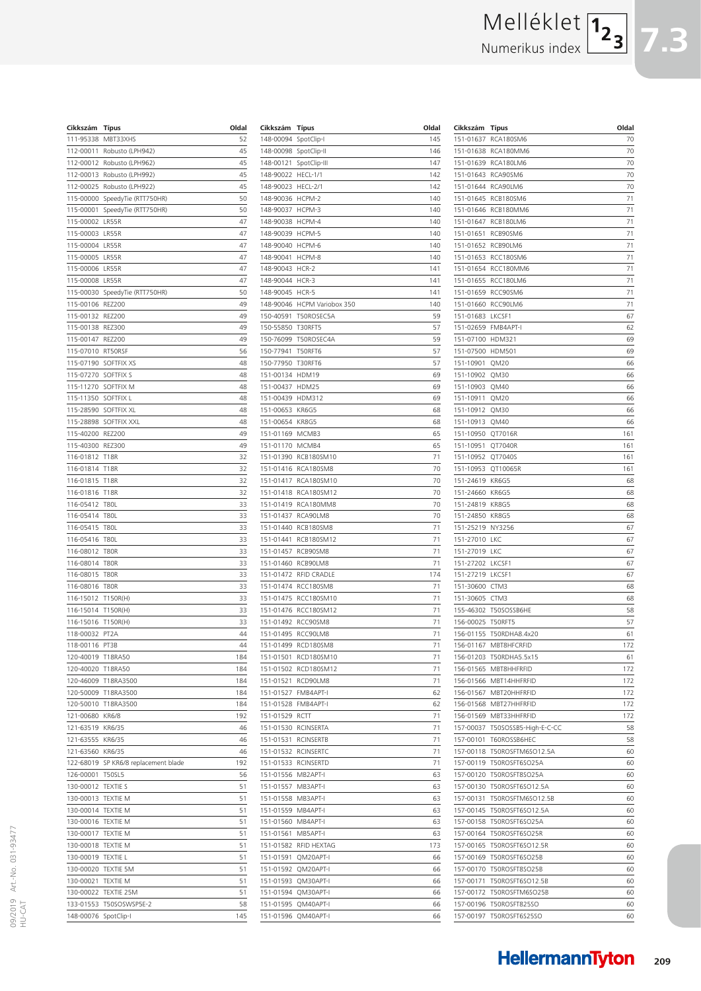# Melléklet Numerikus index

| Cikkszám               | Típus                                | Oldal    |
|------------------------|--------------------------------------|----------|
| 111-95338              | MBT33XHS                             | 52       |
| 112-00011              | Robusto (LPH942)                     | 45       |
| 112-00012              | Robusto (LPH962)                     | 45       |
| 112-00013              | Robusto (LPH992)                     | 45       |
| 112-00025              | Robusto (LPH922)                     | 45       |
| 115-00000              | SpeedyTie (RTT750HR)                 | 50       |
| 115-00001              | SpeedyTie (RTT750HR)                 | 50       |
| 115-00002              | LR55R                                | 47       |
| 115-00003              | LR55R                                | 47       |
| 115-00004              | LR55R                                | 47       |
| 115-00005              | LR55R                                | 47       |
| 115-00006              | LR55R                                | 47       |
| 115-00008              | LR55R                                | 47       |
| 115-00030              | SpeedyTie (RTT750HR)                 | 50       |
| 115-00106              | <b>REZ200</b>                        | 49       |
| 115-00132              | <b>REZ200</b>                        | 49       |
| 115-00138              | <b>REZ300</b>                        | 49       |
| 115-00147              | <b>REZ200</b>                        | 49       |
| 115-07010              | RT50RSF                              | 56       |
| 115-07190              | SOFTFIX XS                           | 48       |
| 115-07270              | SOFTFIX S                            | 48       |
| 115-11270              | SOFTFIX M                            | 48       |
| 115-11350              | SOFTFIX L                            | 48       |
| 115-28590              | SOFTFIX XL                           | 48       |
| 115-28898              | SOFTFIX XXL                          | 48       |
| 115-40200              | <b>REZ200</b>                        | 49       |
| 115-40300              | <b>REZ300</b>                        | 49       |
| 116-01812              | <b>T18R</b>                          | 32       |
| 116-01814              | <b>T18R</b>                          | 32       |
| 116-01815              | <b>T18R</b>                          | 32       |
| 116-01816              | <b>T18R</b>                          | 32       |
| 116-05412              | <b>T80L</b>                          | 33       |
| 116-05414              | <b>T80L</b>                          | 33       |
| 116-05415              | <b>T80L</b>                          | 33       |
| 116-05416<br>116-08012 | <b>T80L</b><br>T80R                  | 33<br>33 |
| 116-08014              | <b>T80R</b>                          | 33       |
|                        | <b>T80R</b>                          | 33       |
| 116-08015<br>116-08016 | <b>T80R</b>                          | 33       |
| 116-15012              | T150R(H)                             | 33       |
| 116-15014              | T150R(H)                             | 33       |
| 116-15016              | T150R(H)                             | 33       |
| 118-00032              | PT <sub>2</sub> A                    | 44       |
| 118-00116              | PT3B                                 | 44       |
| 120-40019              | T18RA50                              | 184      |
| 120-40020 T18RA50      |                                      | 184      |
|                        | 120-46009 T18RA3500                  | 184      |
| 120-50009              | T18RA3500                            | 184      |
| 120-50010              | T18RA3500                            | 184      |
| 121-00680              | KR6/8                                | 192      |
| 121-63519              | KR6/35                               | 46       |
| 121-63555              | KR6/35                               | 46       |
| 121-63560              | KR6/35                               | 46       |
|                        | 122-68019 SP KR6/8 replacement blade | 192      |
| 126-00001              | <b>T50SL5</b>                        | 56       |
| 130-00012              | <b>TEXTIE S</b>                      | 51       |
| 130-00013              | <b>TEXTIE M</b>                      | 51       |
| 130-00014              | <b>TEXTIE M</b>                      | 51       |
| 130-00016              | <b>TEXTIE M</b>                      | 51       |
| 130-00017              | <b>TEXTIE M</b>                      | 51       |
| 130-00018              | <b>TEXTIE M</b>                      | 51       |
| 130-00019              | <b>TEXTIE L</b>                      | 51       |
| 130-00020              | <b>TEXTIE 5M</b>                     | 51       |
| 130-00021              | <b>TEXTIE M</b>                      | 51       |
| 130-00022              | TEXTIE 25M                           | 51       |
|                        | 133-01553 T50SOSWSP5E-2              | 58       |
| 148-00076 SpotClip-I   |                                      | 145      |

| Cikkszám               | Típus                                | Oldal    |
|------------------------|--------------------------------------|----------|
| 148-00094              | SpotClip-I                           | 145      |
| 148-00098              | SpotClip-II                          | 146      |
| 148-00121              | SpotClip-III                         | 147      |
| 148-90022              | HECL-1/1                             | 142      |
| 148-90023              | HECL-2/1                             | 142      |
| 148-90036              | HCPM-2                               | 140      |
| 148-90037              | HCPM-3                               | 140      |
| 148-90038              | HCPM-4                               | 140      |
| 148-90039              | HCPM-5                               | 140      |
| 148-90040              | HCPM-6                               | 140      |
| 148-90041              | HCPM-8                               | 140      |
| 148-90043              | HCR-2                                | 141      |
| 148-90044              | HCR-3                                | 141      |
| 148-90045              | HCR-5                                | 141      |
| 148-90046              | HCPM Variobox 350                    | 140      |
| 150-40591              | T50ROSEC5A                           | 59       |
| 150-55850              | T30RFT5                              | 57       |
| 150-76099              | T50ROSEC4A                           | 59       |
| 150-77941              | T50RFT6                              | 57       |
| 150-77950              | T30RFT6                              | 57       |
| 151-00134              | HDM19                                | 69       |
| 151-00437              | HDM25                                | 69       |
| 151-00439              | <b>HDM312</b>                        | 69       |
| 151-00653              | KR6G5                                | 68       |
| 151-00654              | KR8G5                                | 68       |
| 151-01169              | MCMB3                                | 65       |
| 151-01170              | MCMB4                                | 65       |
| 151-01390              | RCB180SM10                           | 71       |
| 151-01416              | RCA180SM8                            | 70       |
| 151-01417              | RCA180SM10                           | 70       |
| 151-01418              | RCA180SM12                           | 70       |
| 151-01419              | RCA180MM8                            | 70       |
| 151-01437              | RCA90LM8                             | 70       |
| 151-01440              | RCB180SM8                            | 71       |
| 151-01441              | RCB180SM12                           | 71       |
| 151-01457              | RCB90SM8                             | 71       |
| 151-01460              | RCB90LM8                             | 71       |
| 151-01472              | RFID CRADLE                          | 174      |
| 151-01474              | RCC180SM8                            | 71       |
| 151-01475              | RCC180SM10                           | 71       |
| 151-01476              | RCC180SM12                           | 71       |
| 151-01492              | RCC90SM8                             | 71       |
| 151-01495              | RCC90LM8                             | 71       |
| 151-01499              | RCD180SM8                            | 71       |
| 151-01501              | RCD180SM10                           | 71       |
| 151-01502              | RCD180SM12                           | 71       |
| 151-01521              | RCD90LM8<br>FMB4APT-I                | 71       |
| 151-01527              |                                      | 62       |
| 151-01528              | FMB4APT-I                            | 62       |
| 151-01529              | RCTT                                 | 71<br>71 |
| 151-01530              | RCINSERTA                            |          |
| 151-01531<br>151-01532 | <b>RCINSERTB</b><br><b>RCINSERTC</b> | 71<br>71 |
|                        |                                      | 71       |
| 151-01533              | <b>RCINSERTD</b>                     |          |
| 151-01556              | MB2APT-I                             | 63       |
| 151-01557<br>151-01558 | MB3APT-I<br>MB3APT-I                 | 63<br>63 |
|                        |                                      |          |
| 151-01559              | MB4APT-I<br>MB4APT-I                 | 63       |
| 151-01560              | MB5APT-I                             | 63<br>63 |
| 151-01561              |                                      |          |
| 151-01582              | RFID HEXTAG                          | 173      |
| 151-01591              | QM20APT-I                            | 66       |
| 151-01592              | QM20APT-I                            | 66       |
| 151-01593              | QM30APT-I                            | 66       |
| 151-01594              | QM30APT-I                            | 66       |
| 151-01595              | QM40APT-I                            | 66       |
| 151-01596              | QM40APT-I                            | 66       |

| Cikkszám               | <b>Tipus</b>                     | Oldal      |
|------------------------|----------------------------------|------------|
| 151-01637              | RCA180SM6                        | 70         |
| 151-01638              | RCA180MM6                        | 70         |
| 151-01639              | RCA180LM6                        | 70         |
| 151-01643              | RCA90SM6                         | 70         |
| 151-01644              | RCA90LM6                         | 70         |
| 151-01645<br>151-01646 | RCB180SM6<br>RCB180MM6           | 71<br>71   |
| 151-01647              | RCB180LM6                        | 71         |
| 151-01651              | RCB90SM6                         | 71         |
| 151-01652              | RCB90LM6                         | 71         |
| 151-01653              | RCC180SM6                        | 71         |
| 151-01654              | RCC180MM6                        | 71         |
| 151-01655              | RCC180LM6                        | 71         |
| 151-01659              | RCC90SM6                         | 71         |
| 151-01660              | RCC90LM6                         | 71         |
| 151-01683              | LKCSF1                           | 67         |
| 151-02659              | FMB4APT-I                        | 62         |
| 151-07100              | <b>HDM321</b>                    | 69         |
| 151-07500              | <b>HDM501</b>                    | 69         |
| 151-10901<br>151-10902 | QM20<br>QM30                     | 66<br>66   |
| 151-10903              | QM40                             | 66         |
| 151-10911              | QM20                             | 66         |
| 151-10912              | QM30                             | 66         |
| 151-10913              | QM40                             | 66         |
| 151-10950              | QT7016R                          | 161        |
| 151-10951              | OT7040R                          | 161        |
| 151-10952              | QT7040S                          | 161        |
| 151-10953              | QT10065R                         | 161        |
| 151-24619              | KR6G5                            | 68         |
| 151-24660              | KR6G5                            | 68         |
| 151-24819              | KR8G5                            | 68         |
| 151-24850              | KR8G5                            | 68         |
| 151-25219<br>151-27010 | NY3256<br>LKC                    | 67         |
| 151-27019              | LKC                              | 67<br>67   |
| 151-27202              | LKCSF1                           | 67         |
| 151-27219              | LKCSF1                           | 67         |
| 151-30600              | CTM3                             | 68         |
| 151-30605              | CTM3                             | 68         |
| 155-46302              | T50SOSSB6HE                      | 58         |
| 156-00025              | T50RFT5                          | 57         |
| 156-01155              | T50RDHA8.4x20                    | 61         |
| 156-01167              | MBT8HFCRFID                      | 172        |
| 156-01203              | T50RDHA5.5x15                    | 61         |
| 156-01565              | MBT8HHFRFID                      | 172        |
| 156-01566              | MBT14HHFRFID                     | 172        |
| 156-01567<br>156-01568 | MBT20HHFRFID<br>MBT27HHFRFID     | 172        |
| 156-01569              | MBT33HHFRFID                     | 172<br>172 |
| 157-00037              | T50SOSSB5-High-E-C-CC            | 58         |
| 157-00101              | T60ROSSB6HEC                     | 58         |
| 157-00118              | T50ROSFTM6SO12.5A                | 60         |
| 157-00119              | T50ROSFT6SO25A                   | 60         |
| 157-00120              | T50ROSFT8SO25A                   | 60         |
| 157-00130              | T50ROSFT6SO12.5A                 | 60         |
| 157-00131              | T50ROSFTM6SO12.5B                | 60         |
| 157-00145              | T50ROSFT6SO12.5A                 | 60         |
| 157-00158              | T50ROSFT6SO25A                   | 60         |
| 157-00164              | T50ROSFT6SO25R                   | 60         |
| 157-00165              | T50ROSFT6SO12.5R                 | 60         |
| 157-00169              | T50ROSFT6SO25B                   | 60         |
| 157-00170              | T50ROSFT8SO25B                   | 60         |
| 157-00171              | T50ROSFT6SO12.5B                 | 60         |
| 157-00172<br>157-00196 | T50ROSFTM6SO25B<br>T50ROSFT825SO | 60<br>60   |
| 157-00197              | T50ROSFT6S25SO                   | 60         |
|                        |                                  |            |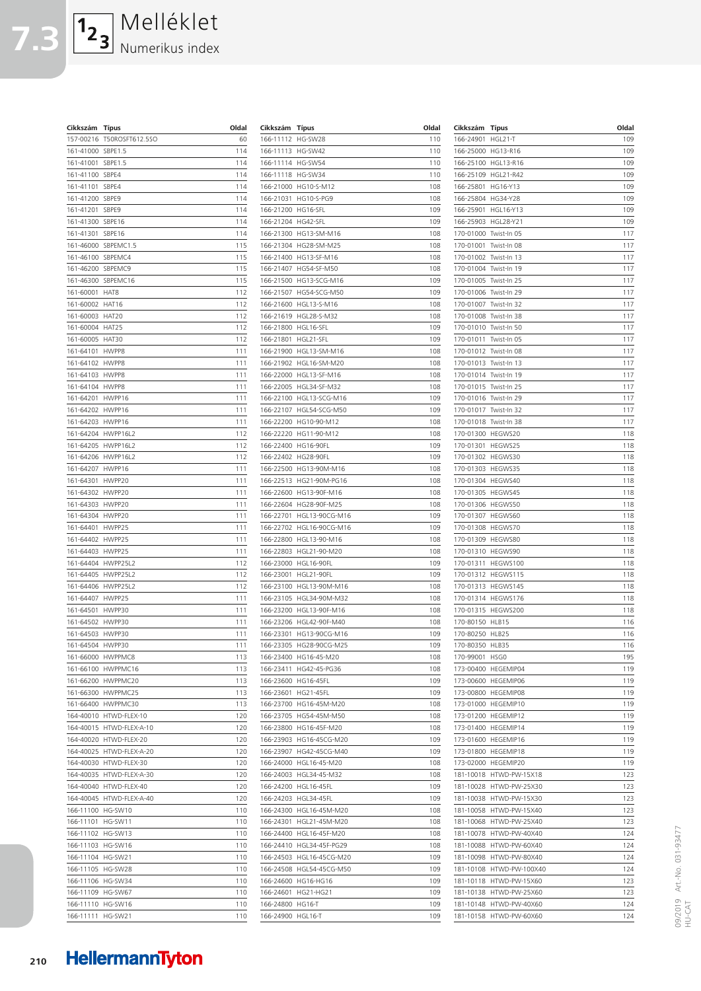**7.3** Melléklet Numerikus index

**Cikkszám Típus** 

| 157-00216        | T50ROSFT612.5SO    | 60  |
|------------------|--------------------|-----|
| 161-41000        | SBPE1.5            | 114 |
| 161-41001        | SBPE1.5            | 114 |
| 161-41100        | SBPE4              | 114 |
| 161-41101        | SBPE4              | 114 |
| 161-41200        | SBPE9              | 114 |
| 161-41201        | SBPE9              | 114 |
| 161-41300        | SBPE16             | 114 |
| 161-41301        | SBPE16             | 114 |
| 161-46000        | SBPEMC1.5          | 115 |
| 161-46100        | SBPEMC4            | 115 |
| 161-46200        | SBPEMC9            | 115 |
| 161-46300        | SBPEMC16           | 115 |
| 161-60001        | HAT8               | 112 |
| 161-60002        | HAT16              | 112 |
| 161-60003        | HAT20              | 112 |
| 161-60004        | HAT25              | 112 |
| 161-60005        | HAT30              | 112 |
| 161-64101        | HWPP8              | 111 |
| 161-64102        | HWPP8              | 111 |
| 161-64103        | HWPP8              | 111 |
| 161-64104        | HWPP8              | 111 |
| 161-64201        | HWPP16             | 111 |
| 161-64202        | HWPP16             | 111 |
| 161-64203        | HWPP16             | 111 |
|                  | 161-64204 HWPP16L2 | 112 |
| 161-64205        | HWPP16L2           | 112 |
| 161-64206        | HWPP16L2           | 112 |
| 161-64207        | HWPP16             | 111 |
| 161-64301        | HWPP20             | 111 |
| 161-64302        | HWPP20             | 111 |
| 161-64303        | HWPP20             | 111 |
| 161-64304        | HWPP20             | 111 |
| 161-64401        | HWPP25             | 111 |
| 161-64402        | HWPP25             | 111 |
| 161-64403        | HWPP25             | 111 |
| 161-64404        | HWPP25L2           | 112 |
| 161-64405        | HWPP25L2           | 112 |
| 161-64406        | HWPP25L2           | 112 |
| 161-64407        | HWPP25             | 111 |
| 161-64501        | HWPP30             | 111 |
| 161-64502        | HWPP30             | 111 |
| 161-64503        | HWPP30             | 111 |
| 161-64504 HWPP30 |                    | 111 |
|                  | 161-66000 HWPPMC8  | 113 |
| 161-66100        | HWPPMC16           | 113 |
| 161-66200        | HWPPMC20           | 113 |
| 161-66300        | HWPPMC25           | 113 |
| 161-66400        | HWPPMC30           | 113 |
| 164-40010        | HTWD-FLEX-10       | 120 |
| 164-40015        | HTWD-FLEX-A-10     | 120 |
| 164-40020        | HTWD-FLEX-20       | 120 |
| 164-40025        | HTWD-FLEX-A-20     | 120 |
| 164-40030        | HTWD-FLEX-30       | 120 |
| 164-40035        | HTWD-FLEX-A-30     | 120 |
| 164-40040        | HTWD-FLEX-40       | 120 |
| 164-40045        | HTWD-FLEX-A-40     | 120 |
| 166-11100        | HG-SW10            | 110 |
| 166-11101        | HG-SW11            | 110 |
| 166-11102        | HG-SW13            | 110 |
| 166-11103        | HG-SW16            | 110 |
| 166-11104        | HG-SW21            | 110 |
| 166-11105        | HG-SW28            | 110 |
| 166-11106        | HG-SW34            | 110 |
| 166-11109        | HG-SW67            | 110 |
| 166-11110        | HG-SW16            | 110 |
| 166-11111        | HG-SW21            | 110 |

| Cikkszám               | Típus                              | Oldal      |
|------------------------|------------------------------------|------------|
| 166-11112              | HG-SW28                            | 110        |
| 166-11113              | HG-SW42                            | 110        |
| 166-11114              | HG-SW54                            | 110        |
| 166-11118              | HG-SW34                            | 110        |
| 166-21000              | HG10-S-M12                         | 108        |
| 166-21031              | HG10-S-PG9                         | 108        |
| 166-21200              | HG16-SFL                           | 109        |
| 166-21204              | HG42-SFL                           | 109        |
| 166-21300              | HG13-SM-M16                        | 108        |
| 166-21304<br>166-21400 | HG28-SM-M25<br>HG13-SF-M16         | 108<br>108 |
| 166-21407              | HG54-SF-M50                        | 108        |
| 166-21500              | HG13-SCG-M16                       | 109        |
| 166-21507              | HG54-SCG-M50                       | 109        |
| 166-21600              | HGL13-S-M16                        | 108        |
| 166-21619              | HGL28-S-M32                        | 108        |
| 166-21800              | HGL16-SFL                          | 109        |
| 166-21801              | HGL21-SFL                          | 109        |
| 166-21900              | HGL13-SM-M16                       | 108        |
| 166-21902              | HGL16-SM-M20                       | 108        |
| 166-22000              | HGL13-SF-M16                       | 108        |
| 166-22005              | HGL34-SF-M32                       | 108        |
| 166-22100              | HGL13-SCG-M16                      | 109        |
| 166-22107              | HGL54-SCG-M50                      | 109        |
| 166-22200<br>166-22220 | HG10-90-M12<br>HG11-90-M12         | 108<br>108 |
| 166-22400              | <b>HG16-90FL</b>                   | 109        |
| 166-22402              | <b>HG28-90FL</b>                   | 109        |
| 166-22500              | HG13-90M-M16                       | 108        |
| 166-22513              | HG21-90M-PG16                      | 108        |
| 166-22600              | HG13-90F-M16                       | 108        |
| 166-22604              | HG28-90F-M25                       | 108        |
| 166-22701              | HGL13-90CG-M16                     | 109        |
| 166-22702              | HGL16-90CG-M16                     | 109        |
| 166-22800              | HGL13-90-M16                       | 108        |
| 166-22803              | HGL21-90-M20                       | 108        |
| 166-23000              | <b>HGL16-90FL</b>                  | 109        |
| 166-23001<br>166-23100 | <b>HGL21-90FL</b><br>HGL13-90M-M16 | 109<br>108 |
| 166-23105              | HGL34-90M-M32                      | 108        |
| 166-23200              | HGL13-90F-M16                      | 108        |
| 166-23206              | HGL42-90F-M40                      | 108        |
| 166-23301              | HG13-90CG-M16                      | 109        |
| 166-23305              | HG28-90CG-M25                      | 109        |
| 166-23400              | HG16-45-M20                        | 108        |
| 166-23411              | HG42-45-PG36                       | 108        |
| 166-23600              | HG16-45FL                          | 109        |
| 166-23601              | HG21-45FL                          | 109        |
| 166-23700              | HG16-45M-M20                       | 108        |
| 166-23705              | HG54-45M-M50                       | 108        |
| 166-23800              | HG16-45F-M20                       | 108        |
| 166-23903              | HG16-45CG-M20                      | 109        |
| 166-23907<br>166-24000 | HG42-45CG-M40<br>HGL16-45-M20      | 109<br>108 |
| 166-24003              | HGL34-45-M32                       | 108        |
| 166-24200              | <b>HGL16-45FL</b>                  | 109        |
| 166-24203              | <b>HGL34-45FL</b>                  | 109        |
| 166-24300              | HGL16-45M-M20                      | 108        |
| 166-24301              | HGL21-45M-M20                      | 108        |
| 166-24400              | HGL16-45F-M20                      | 108        |
| 166-24410              | HGL34-45F-PG29                     | 108        |
| 166-24503              | HGL16-45CG-M20                     | 109        |
| 166-24508              | HGL54-45CG-M50                     | 109        |
| 166-24600              | HG16-HG16                          | 109        |
| 166-24601              | HG21-HG21                          | 109        |
| 166-24800              | HG16-T                             | 109        |
| 166-24900              | HGL16-T                            | 109        |

| Cikkszám               | Típus                                      | Oldal      |
|------------------------|--------------------------------------------|------------|
| 166-24901              | HGL21-T                                    | 109        |
| 166-25000              | HG13-R16                                   | 109        |
| 166-25100              | HGL13-R16                                  | 109        |
| 166-25109              | <b>HGL21-R42</b>                           | 109        |
| 166-25801              | HG16-Y13                                   | 109        |
| 166-25804              | HG34-Y28                                   | 109        |
| 166-25901              | <b>HGL16-Y13</b>                           | 109        |
| 166-25903              | HGL28-Y21                                  | 109        |
| 170-01000              | Twist-In 05                                | 117        |
| 170-01001              | Twist-In 08                                | 117        |
| 170-01002              | Twist-In 13                                | 117        |
| 170-01004              | Twist-In 19                                | 117        |
| 170-01005              | Twist-In 25                                | 117        |
| 170-01006              | Twist-In 29                                | 117        |
| 170-01007              | Twist-In 32                                | 117        |
| 170-01008              | Twist-In 38                                | 117        |
| 170-01010              | Twist-In 50                                | 117        |
| 170-01011              | Twist-In 05                                | 117        |
| 170-01012              | Twist-In 08                                | 117        |
| 170-01013              | Twist-In 13                                | 117        |
| 170-01014              | Twist-In 19                                | 117        |
| 170-01015              | Twist-In 25                                | 117        |
| 170-01016              | Twist-In 29                                | 117        |
| 170-01017              | Twist-In 32                                | 117        |
| 170-01018              | Twist-In 38                                | 117        |
| 170-01300              | HEGWS20                                    | 118        |
| 170-01301              | HEGWS25                                    | 118        |
| 170-01302              | HEGWS30                                    | 118        |
| 170-01303              | HEGWS35                                    | 118        |
| 170-01304              | HEGWS40                                    | 118        |
| 170-01305              | HEGWS45                                    | 118        |
| 170-01306              | HEGWS50                                    | 118        |
| 170-01307              | HEGWS60                                    | 118        |
| 170-01308              | HEGWS70                                    | 118        |
| 170-01309              | HEGWS80                                    | 118        |
| 170-01310              | HEGWS90                                    | 118        |
| 170-01311              | HEGWS100                                   | 118        |
| 170-01312              | HEGWS115                                   | 118        |
| 170-01313              | HEGWS145                                   | 118        |
| 170-01314              | HEGWS176                                   | 118        |
| 170-01315              | HEGWS200<br>HLB15                          | 118<br>116 |
| 170-80150<br>170-80250 | HLB25                                      | 116        |
| 170-80350 HLB35        |                                            |            |
| 170-99001              | HSG0                                       | 116<br>195 |
|                        | HEGEMIP04                                  | 119        |
| 173-00400              |                                            | 119        |
|                        | 173-00600 HEGEMIP06<br>173-00800 HEGEMIP08 | 119        |
|                        |                                            |            |
| 173-01000              | HEGEMIP10<br>173-01200 HEGEMIP12           | 119<br>119 |
|                        | 173-01400 HEGEMIP14                        | 119        |
| 173-01600              | HEGEMIP16                                  | 119        |
| 173-01800              | HEGEMIP18                                  | 119        |
| 173-02000              | HEGEMIP20                                  | 119        |
| 181-10018              | HTWD-PW-15X18                              | 123        |
| 181-10028              | HTWD-PW-25X30                              | 123        |
| 181-10038              | HTWD-PW-15X30                              | 123        |
| 181-10058              | HTWD-PW-15X40                              | 123        |
| 181-10068              | HTWD-PW-25X40                              | 123        |
| 181-10078              | HTWD-PW-40X40                              | 124        |
| 181-10088              | HTWD-PW-60X40                              | 124        |
| 181-10098              | HTWD-PW-80X40                              | 124        |
| 181-10108              | HTWD-PW-100X40                             | 124        |
| 181-10118              | HTWD-PW-15X60                              | 123        |
| 181-10138              | HTWD-PW-25X60                              | 123        |
| 181-10148              | HTWD-PW-40X60                              | 124        |
| 181-10158              | HTWD-PW-60X60                              | 124        |
|                        |                                            |            |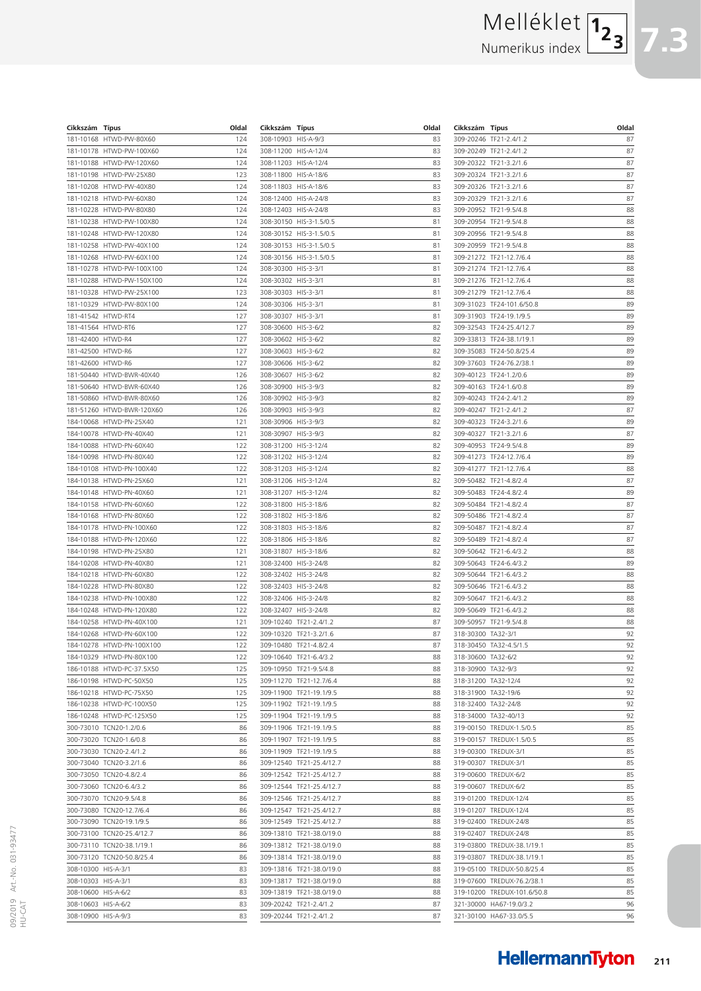# Melléklet

Numerikus index



| Cikkszám               | <b>Típus</b>                      | Oldal      |
|------------------------|-----------------------------------|------------|
| 181-10168              | HTWD-PW-80X60                     | 124        |
| 181-10178              | HTWD-PW-100X60                    | 124        |
| 181-10188              | HTWD-PW-120X60                    | 124        |
| 181-10198              | HTWD-PW-25X80                     | 123        |
| 181-10208              | HTWD-PW-40X80                     | 124        |
| 181-10218              | HTWD-PW-60X80                     | 124        |
| 181-10228              | HTWD-PW-80X80                     | 124        |
| 181-10238              | HTWD-PW-100X80                    | 124        |
| 181-10248              | HTWD-PW-120X80                    | 124        |
| 181-10258              | HTWD-PW-40X100                    | 124        |
| 181-10268<br>181-10278 | HTWD-PW-60X100<br>HTWD-PW-100X100 | 124<br>124 |
| 181-10288              | HTWD-PW-150X100                   | 124        |
| 181-10328              | HTWD-PW-25X100                    | 123        |
| 181-10329              | HTWD-PW-80X100                    | 124        |
| 181-41542              | HTWD-RT4                          | 127        |
| 181-41564              | HTWD-RT6                          | 127        |
| 181-42400              | HTWD-R4                           | 127        |
| 181-42500              | HTWD-R6                           | 127        |
| 181-42600              | HTWD-R6                           | 127        |
| 181-50440              | HTWD-BWR-40X40                    | 126        |
| 181-50640              | HTWD-BWR-60X40                    | 126        |
| 181-50860              | HTWD-BWR-80X60                    | 126        |
| 181-51260              | HTWD-BWR-120X60                   | 126        |
| 184-10068              | HTWD-PN-25X40                     | 121        |
| 184-10078              | HTWD-PN-40X40                     | 121        |
| 184-10088<br>184-10098 | HTWD-PN-60X40<br>HTWD-PN-80X40    | 122<br>122 |
| 184-10108              | HTWD-PN-100X40                    | 122        |
| 184-10138              | HTWD-PN-25X60                     | 121        |
| 184-10148              | HTWD-PN-40X60                     | 121        |
| 184-10158              | HTWD-PN-60X60                     | 122        |
| 184-10168              | HTWD-PN-80X60                     | 122        |
| 184-10178              | HTWD-PN-100X60                    | 122        |
| 184-10188              | HTWD-PN-120X60                    | 122        |
| 184-10198              | HTWD-PN-25X80                     | 121        |
| 184-10208              | HTWD-PN-40X80                     | 121        |
| 184-10218              | HTWD-PN-60X80                     | 122        |
| 184-10228              | HTWD-PN-80X80                     | 122        |
| 184-10238<br>184-10248 | HTWD-PN-100X80<br>HTWD-PN-120X80  | 122<br>122 |
| 184-10258              | HTWD-PN-40X100                    | 121        |
| 184-10268              | HTWD-PN-60X100                    | 122        |
| 184-10278              | HTWD-PN-100X100                   | 122        |
| 184-10329              | HTWD-PN-80X100                    | 122        |
| 186-10188              | HTWD-PC-37.5X50                   | 125        |
| 186-10198              | HTWD-PC-50X50                     | 125        |
| 186-10218              | HTWD-PC-75X50                     | 125        |
| 186-10238              | HTWD-PC-100X50                    | 125        |
| 186-10248              | HTWD-PC-125X50                    | 125        |
| 300-73010              | TCN20-1.2/0.6                     | 86         |
| 300-73020              | TCN20-1.6/0.8                     | 86         |
| 300-73030              | TCN20-2.4/1.2                     | 86         |
| 300-73040<br>300-73050 | TCN20-3.2/1.6<br>TCN20-4.8/2.4    | 86<br>86   |
| 300-73060              | TCN20-6.4/3.2                     | 86         |
| 300-73070              | TCN20-9.5/4.8                     | 86         |
| 300-73080              | TCN20-12.7/6.4                    | 86         |
| 300-73090              | TCN20-19.1/9.5                    | 86         |
| 300-73100              | TCN20-25.4/12.7                   | 86         |
| 300-73110              | TCN20-38.1/19.1                   | 86         |
| 300-73120              | TCN20-50.8/25.4                   | 86         |
| 308-10300              | HIS-A-3/1                         | 83         |
| 308-10303              | HIS-A-3/1                         | 83         |
| 308-10600              | HIS-A-6/2                         | 83         |
| 308-10603              | HIS-A-6/2                         | 83         |
| 308-10900 HIS-A-9/3    |                                   | 83         |

| Cikkszám  | Típus          | Oldal |
|-----------|----------------|-------|
| 308-10903 | $HIS-A-9/3$    | 83    |
| 308-11200 | HIS-A-12/4     | 83    |
| 308-11203 | HIS-A-12/4     | 83    |
| 308-11800 | HIS-A-18/6     | 83    |
| 308-11803 | HIS-A-18/6     | 83    |
| 308-12400 | HIS-A-24/8     | 83    |
| 308-12403 | HIS-A-24/8     | 83    |
| 308-30150 | HIS-3-1.5/0.5  | 81    |
| 308-30152 | HIS-3-1.5/0.5  | 81    |
|           |                |       |
| 308-30153 | HIS-3-1.5/0.5  | 81    |
| 308-30156 | HIS-3-1.5/0.5  | 81    |
| 308-30300 | HIS-3-3/1      | 81    |
| 308-30302 | HIS-3-3/1      | 81    |
| 308-30303 | HIS-3-3/1      | 81    |
| 308-30306 | $HIS-3-3/1$    | 81    |
| 308-30307 | HIS-3-3/1      | 81    |
| 308-30600 | $HIS-3-6/2$    | 82    |
| 308-30602 | HIS-3-6/2      | 82    |
| 308-30603 | $HIS-3-6/2$    | 82    |
| 308-30606 | HIS-3-6/2      | 82    |
| 308-30607 | $HIS-3-6/2$    | 82    |
| 308-30900 | HIS-3-9/3      | 82    |
|           |                |       |
| 308-30902 | HIS-3-9/3      | 82    |
| 308-30903 | HIS-3-9/3      | 82    |
| 308-30906 | HIS-3-9/3      | 82    |
| 308-30907 | HIS-3-9/3      | 82    |
| 308-31200 | HIS-3-12/4     | 82    |
| 308-31202 | HIS-3-12/4     | 82    |
| 308-31203 | HIS-3-12/4     | 82    |
| 308-31206 | HIS-3-12/4     | 82    |
| 308-31207 | HIS-3-12/4     | 82    |
| 308-31800 | HIS-3-18/6     | 82    |
| 308-31802 | HIS-3-18/6     | 82    |
| 308-31803 | HIS-3-18/6     | 82    |
| 308-31806 | HIS-3-18/6     | 82    |
| 308-31807 | HIS-3-18/6     | 82    |
| 308-32400 | HIS-3-24/8     | 82    |
|           |                |       |
| 308-32402 | HIS-3-24/8     | 82    |
| 308-32403 | HIS-3-24/8     | 82    |
| 308-32406 | HIS-3-24/8     | 82    |
| 308-32407 | HIS-3-24/8     | 82    |
| 309-10240 | TF21-2.4/1.2   | 87    |
| 309-10320 | TF21-3.2/1.6   | 87    |
| 309-10480 | TF21-4.8/2.4   | 87    |
| 309-10640 | TF21-6.4/3.2   | 88    |
| 309-10950 | TF21-9.5/4.8   | 88    |
| 309-11270 | TF21-12.7/6.4  | 88    |
| 309-11900 | TF21-19.1/9.5  | 88    |
| 309-11902 | TF21-19.1/9.5  | 88    |
| 309-11904 | TF21-19.1/9.5  | 88    |
| 309-11906 | TF21-19.1/9.5  | 88    |
|           |                |       |
| 309-11907 | TF21-19.1/9.5  | 88    |
| 309-11909 | TF21-19.1/9.5  | 88    |
| 309-12540 | TF21-25.4/12.7 | 88    |
| 309-12542 | TF21-25.4/12.7 | 88    |
| 309-12544 | TF21-25.4/12.7 | 88    |
| 309-12546 | TF21-25.4/12.7 | 88    |
| 309-12547 | TF21-25.4/12.7 | 88    |
| 309-12549 | TF21-25.4/12.7 | 88    |
| 309-13810 | TF21-38.0/19.0 | 88    |
| 309-13812 | TF21-38.0/19.0 | 88    |
| 309-13814 | TF21-38.0/19.0 | 88    |
| 309-13816 | TF21-38.0/19.0 | 88    |
|           |                |       |
| 309-13817 | TF21-38.0/19.0 | 88    |
| 309-13819 | TF21-38.0/19.0 | 88    |
| 309-20242 | TF21-2.4/1.2   | 87    |
| 309-20244 | TF21-2.4/1.2   | 87    |
|           |                |       |

| Cikkszám               | Típus                         | Oldal    |
|------------------------|-------------------------------|----------|
| 309-20246              | TF21-2.4/1.2                  | 87       |
| 309-20249              | TF21-2.4/1.2                  | 87       |
| 309-20322              | TF21-3.2/1.6                  | 87       |
| 309-20324              | TF21-3.2/1.6                  | 87       |
| 309-20326              | TF21-3.2/1.6                  | 87       |
| 309-20329              | TF21-3.2/1.6                  | 87       |
| 309-20952              | TF21-9.5/4.8                  | 88       |
| 309-20954              | TF21-9.5/4.8                  | 88       |
| 309-20956<br>309-20959 | TF21-9.5/4.8                  | 88<br>88 |
| 309-21272              | TF21-9.5/4.8<br>TF21-12.7/6.4 | 88       |
| 309-21274              | TF21-12.7/6.4                 | 88       |
| 309-21276              | TF21-12.7/6.4                 | 88       |
| 309-21279              | TF21-12.7/6.4                 | 88       |
| 309-31023              | TF24-101.6/50.8               | 89       |
| 309-31903              | TF24-19.1/9.5                 | 89       |
| 309-32543              | TF24-25.4/12.7                | 89       |
| 309-33813              | TF24-38.1/19.1                | 89       |
| 309-35083              | TF24-50.8/25.4                | 89       |
| 309-37603              | TF24-76.2/38.1                | 89       |
| 309-40123              | TF24-1.2/0.6                  | 89       |
| 309-40163              | TF24-1.6/0.8                  | 89       |
| 309-40243              | TF24-2.4/1.2                  | 89       |
| 309-40247              | TF21-2.4/1.2                  | 87       |
| 309-40323              | TF24-3.2/1.6                  | 89       |
| 309-40327              | TF21-3.2/1.6                  | 87       |
| 309-40953              | TF24-9.5/4.8                  | 89       |
| 309-41273              | TF24-12.7/6.4                 | 89       |
| 309-41277              | TF21-12.7/6.4                 | 88       |
| 309-50482              | TF21-4.8/2.4                  | 87       |
| 309-50483              | TF24-4.8/2.4                  | 89       |
| 309-50484<br>309-50486 | TF21-4.8/2.4<br>TF21-4.8/2.4  | 87<br>87 |
| 309-50487              | TF21-4.8/2.4                  | 87       |
| 309-50489              | TF21-4.8/2.4                  | 87       |
| 309-50642              | TF21-6.4/3.2                  | 88       |
| 309-50643              | TF24-6.4/3.2                  | 89       |
| 309-50644              | TF21-6.4/3.2                  | 88       |
| 309-50646              | TF21-6.4/3.2                  | 88       |
| 309-50647              | TF21-6.4/3.2                  | 88       |
| 309-50649              | TF21-6.4/3.2                  | 88       |
| 309-50957              | TF21-9.5/4.8                  | 88       |
| 318-30300              | TA32-3/1                      | 92       |
| 318-30450              | TA32-4.5/1.5                  | 92       |
| 318-30600              | TA32-6/2                      | 92       |
| 318-30900              | TA32-9/3                      | 92       |
| 318-31200              | TA32-12/4                     | 92       |
| 318-31900              | TA32-19/6                     | 92       |
| 318-32400              | TA32-24/8                     | 92       |
| 318-34000              | TA32-40/13                    | 92       |
| 319-00150              | TREDUX-1.5/0.5                | 85       |
| 319-00157              | TREDUX-1.5/0.5                | 85       |
| 319-00300              | TREDUX-3/1                    | 85       |
| 319-00307              | TREDUX-3/1                    | 85       |
| 319-00600<br>319-00607 | TREDUX-6/2                    | 85<br>85 |
| 319-01200              | TREDUX-6/2<br>TREDUX-12/4     | 85       |
| 319-01207              | TREDUX-12/4                   | 85       |
| 319-02400              | TREDUX-24/8                   | 85       |
| 319-02407              | TREDUX-24/8                   | 85       |
| 319-03800              | TREDUX-38.1/19.1              | 85       |
| 319-03807              | TREDUX-38.1/19.1              | 85       |
| 319-05100              | TREDUX-50.8/25.4              | 85       |
| 319-07600              | TREDUX-76.2/38.1              | 85       |
| 319-10200              | TREDUX-101.6/50.8             | 85       |
| 321-30000              | HA67-19.0/3.2                 | 96       |
| 321-30100              | HA67-33.0/5.5                 | 96       |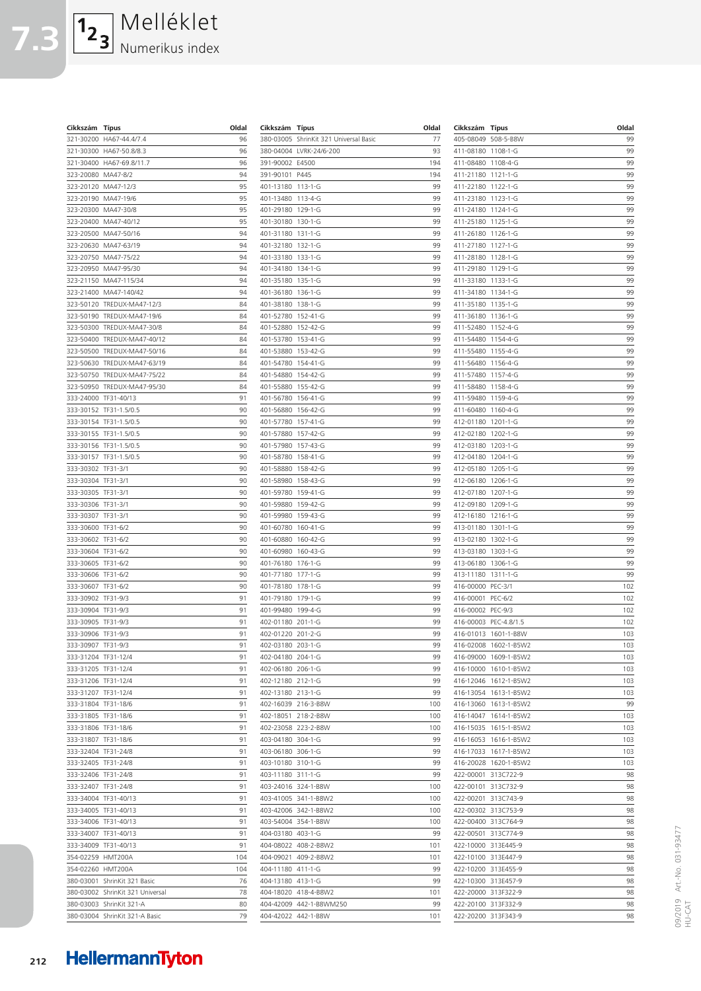| Cikkszám  | <b>Típus</b>           | Oldal |
|-----------|------------------------|-------|
| 321-30200 | HA67-44.4/7.4          | 96    |
| 321-30300 | HA67-50.8/8.3          | 96    |
| 321-30400 | HA67-69.8/11.7         | 96    |
| 323-20080 | MA47-8/2               | 94    |
| 323-20120 | MA47-12/3              | 95    |
| 323-20190 | MA47-19/6              | 95    |
| 323-20300 | MA47-30/8              | 95    |
| 323-20400 | MA47-40/12             | 95    |
| 323-20500 | MA47-50/16             | 94    |
| 323-20630 | MA47-63/19             | 94    |
| 323-20750 | MA47-75/22             | 94    |
| 323-20950 | MA47-95/30             | 94    |
| 323-21150 | MA47-115/34            | 94    |
| 323-21400 | MA47-140/42            | 94    |
| 323-50120 | TREDUX-MA47-12/3       | 84    |
| 323-50190 | TREDUX-MA47-19/6       | 84    |
| 323-50300 | TREDUX-MA47-30/8       | 84    |
| 323-50400 | TREDUX-MA47-40/12      | 84    |
| 323-50500 | TREDUX-MA47-50/16      | 84    |
| 323-50630 | TREDUX-MA47-63/19      | 84    |
| 323-50750 | TREDUX-MA47-75/22      | 84    |
| 323-50950 | TREDUX-MA47-95/30      | 84    |
| 333-24000 | TF31-40/13             | 91    |
| 333-30152 | TF31-1.5/0.5           | 90    |
| 333-30154 | TF31-1.5/0.5           | 90    |
| 333-30155 | TF31-1.5/0.5           | 90    |
| 333-30156 | TF31-1.5/0.5           | 90    |
| 333-30157 | TF31-1.5/0.5           | 90    |
| 333-30302 | TF31-3/1               | 90    |
| 333-30304 | TF31-3/1               | 90    |
| 333-30305 | TF31-3/1               | 90    |
| 333-30306 | TF31-3/1               | 90    |
| 333-30307 | TF31-3/1               | 90    |
| 333-30600 | TF31-6/2               | 90    |
| 333-30602 | TF31-6/2               | 90    |
| 333-30604 | TF31-6/2               | 90    |
| 333-30605 | TF31-6/2               | 90    |
| 333-30606 | TF31-6/2               | 90    |
| 333-30607 | TF31-6/2               | 90    |
| 333-30902 | TF31-9/3               | 91    |
| 333-30904 | TF31-9/3               | 91    |
| 333-30905 | TF31-9/3               | 91    |
| 333-30906 | TF31-9/3               | 91    |
| 333-30907 | TF31-9/3               | 91    |
| 333-31204 | TF31-12/4              | 91    |
| 333-31205 | TF31-12/4              | 91    |
| 333-31206 | TF31-12/4              | 91    |
| 333-31207 | TF31-12/4              | 91    |
| 333-31804 | TF31-18/6              | 91    |
| 333-31805 | TF31-18/6              | 91    |
| 333-31806 | TF31-18/6              | 91    |
| 333-31807 | TF31-18/6              | 91    |
| 333-32404 | TF31-24/8              | 91    |
| 333-32405 | TF31-24/8              | 91    |
| 333-32406 | TF31-24/8              | 91    |
| 333-32407 | TF31-24/8              | 91    |
| 333-34004 | TF31-40/13             | 91    |
| 333-34005 | TF31-40/13             | 91    |
| 333-34006 | TF31-40/13             | 91    |
| 333-34007 | TF31-40/13             | 91    |
| 333-34009 | TF31-40/13             | 91    |
| 354-02259 | HMT200A                | 104   |
| 354-02260 | HMT200A                | 104   |
| 380-03001 | ShrinKit 321 Basic     | 76    |
| 380-03002 | ShrinKit 321 Universal | 78    |
|           |                        |       |

Melléklet

Numerikus index

**7.3**

 $\boxed{1_2\phantom{1}_3}$ 

| Cikkszám               | Típus                        | Oldal      |
|------------------------|------------------------------|------------|
| 380-03005              | ShrinKit 321 Universal Basic | 77         |
| 380-04004              | LVRK-24/6-200                | 93         |
| 391-90002              | E4500                        | 194        |
| 391-90101              | P445                         | 194        |
| 401-13180              | 113-1-G                      | 99         |
| 401-13480              | 113-4-G                      | 99         |
| 401-29180              | 129-1-G                      | 99         |
| 401-30180<br>401-31180 | 130-1-G<br>131-1-G           | 99<br>99   |
| 401-32180              | $132 - 1 - G$                | 99         |
| 401-33180              | 133-1-G                      | 99         |
| 401-34180              | 134-1-G                      | 99         |
| 401-35180              | $135 - 1 - G$                | 99         |
| 401-36180              | 136-1-G                      | 99         |
| 401-38180              | 138-1-G                      | 99         |
| 401-52780              | 152-41-G                     | 99         |
| 401-52880              | 152-42-G                     | 99         |
| 401-53780              | 153-41-G                     | 99         |
| 401-53880              | 153-42-G                     | 99         |
| 401-54780              | 154-41-G                     | 99         |
| 401-54880              | 154-42-G                     | 99         |
| 401-55880              | 155-42-G                     | 99         |
| 401-56780              | 156-41-G                     | 99         |
| 401-56880              | 156-42-G                     | 99         |
| 401-57780<br>401-57880 | 157-41-G                     | 99         |
| 401-57980              | 157-42-G<br>157-43-G         | 99<br>99   |
| 401-58780              | 158-41-G                     | 99         |
| 401-58880              | 158-42-G                     | 99         |
| 401-58980              | 158-43-G                     | 99         |
| 401-59780              | 159-41-G                     | 99         |
| 401-59880              | 159-42-G                     | 99         |
| 401-59980              | 159-43-G                     | 99         |
| 401-60780              | 160-41-G                     | 99         |
| 401-60880              | 160-42-G                     | 99         |
| 401-60980              | 160-43-G                     | 99         |
| 401-76180              | $176 - 1 - G$                | 99         |
| 401-77180              | 177-1-G                      | 99         |
| 401-78180              | 178-1-G                      | 99         |
| 401-79180              | $179 - 1 - G$                | 99         |
| 401-99480              | 199-4-G                      | 99<br>99   |
| 402-01180<br>402-01220 | 201-1-G<br>201-2-G           | 99         |
| 402-03180              | 203-1-G                      | 99         |
| 402-04180              | 204-1-G                      | 99         |
| 402-06180              | $206 - 1 - G$                | 99         |
| 402-12180              | $212 - 1 - G$                | 99         |
| 402-13180              | $213 - 1 - G$                | 99         |
| 402-16039              | 216-3-B8W                    | 100        |
| 402-18051              | 218-2-B8W                    | 100        |
| 402-23058              | 223-2-B8W                    | 100        |
| 403-04180              | $304 - 1 - G$                | 99         |
| 403-06180              | 306-1-G                      | 99         |
| 403-10180              | 310-1-G                      | 99         |
| 403-11180              | 311-1-G                      | 99         |
| 403-24016              | 324-1-B8W                    | 100<br>100 |
| 403-41005<br>403-42006 | 341-1-B8W2<br>342-1-B8W2     | 100        |
| 403-54004              | 354-1-B8W                    | 100        |
| 404-03180              | 403-1-G                      | 99         |
| 404-08022              | 408-2-B8W2                   | 101        |
| 404-09021              | 409-2-B8W2                   | 101        |
| 404-11180              | 411-1-G                      | 99         |
| 404-13180              | $413 - 1 - G$                | 99         |
| 404-18020              | 418-4-B8W2                   | 101        |
| 404-42009              | 442-1-B8WM250                | 99         |
| 404-42022              | 442-1-B8W                    | 101        |
|                        |                              |            |

| Cikkszám               | Típus                  | Oldal      |
|------------------------|------------------------|------------|
| 405-08049              | 508-5-B8W              | 99         |
| 411-08180              | 1108-1-G               | 99         |
| 411-08480              | 1108-4-G               | 99         |
| 411-21180              | 1121-1-G               | 99         |
| 411-22180              | 1122-1-G               | 99         |
| 411-23180              | $1123 - 1 - G$         | 99         |
| 411-24180              | 1124-1-G               | 99         |
| 411-25180              | 1125-1-G               | 99         |
| 411-26180              | $1126 - 1 - G$         | 99         |
| 411-27180              | 1127-1-G               | 99         |
| 411-28180              | 1128-1-G               | 99         |
| 411-29180              | 1129-1-G               | 99         |
| 411-33180              | 1133-1-G               | 99         |
| 411-34180              | 1134-1-G               | 99         |
| 411-35180              | 1135-1-G               | 99         |
| 411-36180              | 1136-1-G               | 99         |
| 411-52480              | 1152-4-G               | 99         |
| 411-54480<br>411-55480 | 1154-4-G               | 99<br>99   |
| 411-56480              | 1155-4-G<br>1156-4-G   | 99         |
| 411-57480              | 1157-4-G               | 99         |
| 411-58480              | 1158-4-G               | 99         |
| 411-59480              | 1159-4-G               | 99         |
| 411-60480              | 1160-4-G               | 99         |
| 412-01180              | 1201-1-G               | 99         |
| 412-02180              | 1202-1-G               | 99         |
| 412-03180              | 1203-1-G               | 99         |
| 412-04180              | 1204-1-G               | 99         |
| 412-05180              | 1205-1-G               | 99         |
| 412-06180              | 1206-1-G               | 99         |
| 412-07180              | 1207-1-G               | 99         |
| 412-09180              | 1209-1-G               | 99         |
| 412-16180              | 1216-1-G               | 99         |
| 413-01180              | 1301-1-G               | 99         |
| 413-02180              | 1302-1-G               | 99         |
| 413-03180              | 1303-1-G               | 99         |
| 413-06180              | 1306-1-G               | 99         |
| 413-11180              | 1311-1-G               | 99         |
| 416-00000              | PEC-3/1                | 102        |
| 416-00001              | PEC-6/2                | 102        |
| 416-00002<br>416-00003 | PEC-9/3<br>PEC-4.8/1.5 | 102<br>102 |
| 416-01013              | 1601-1-B8W             | 103        |
| 416-02008              | 1602-1-B5W2            | 103        |
| 416-09000              | 1609-1-B5W2            | 103        |
| 416-10000              | 1610-1-B5W2            | 103        |
| 416-12046              | 1612-1-B5W2            | 103        |
| 416-13054              | 1613-1-B5W2            | 103        |
| 416-13060              | 1613-1-B5W2            | 99         |
| 416-14047              | 1614-1-B5W2            | 103        |
| 416-15035              | 1615-1-B5W2            | 103        |
| 416-16053              | 1616-1-B5W2            | 103        |
| 416-17033              | 1617-1-B5W2            | 103        |
| 416-20028              | 1620-1-B5W2            | 103        |
| 422-00001              | 313C722-9              | 98         |
| 422-00101              | 313C732-9              | 98         |
| 422-00201              | 313C743-9              | 98         |
| 422-00302              | 313C753-9              | 98         |
| 422-00400              | 313C764-9              | 98         |
| 422-00501              | 313C774-9              | 98         |
| 422-10000              | 313E445-9              | 98         |
| 422-10100              | 313E447-9              | 98         |
| 422-10200              | 313E455-9              | 98         |
| 422-10300              | 313E457-9              | 98         |
| 422-20000<br>422-20100 | 313F322-9<br>313F332-9 | 98<br>98   |
| 422-20200              | 313F343-9              | 98         |
|                        |                        |            |

380-03003 ShrinKit 321-A 380-03004 ShrinKit 321-A Basic 79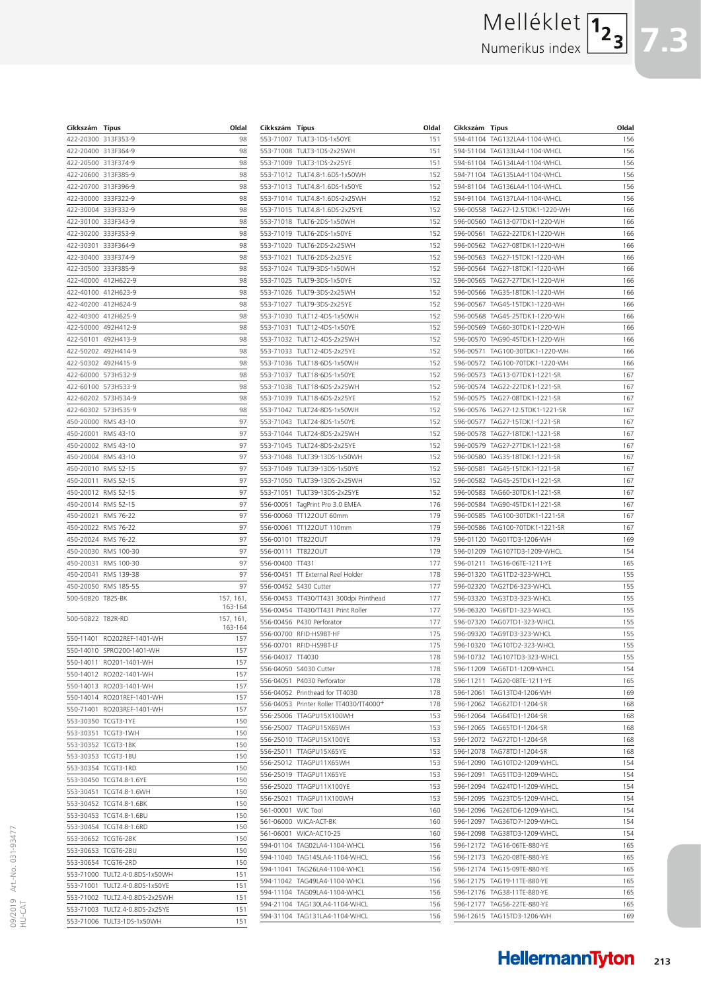# Melléklet Numerikus index

| Cikkszám          | Típus                | Oldal                |
|-------------------|----------------------|----------------------|
| 422-20300         | 313F353-9            | 98                   |
| 422-20400         | 313F364-9            | 98                   |
| 422-20500         | 313F374-9            | 98                   |
| 422-20600         | 313F385-9            | 98                   |
| 422-20700         | 313F396-9            | 98                   |
| 422-30000         | 333F322-9            | 98                   |
| 422-30004         | 333F332-9            | 98                   |
| 422-30100         | 333F343-9            | 98                   |
| 422-30200         | 333F353-9            | 98                   |
| 422-30301         | 333F364-9            | 98                   |
| 422-30400         | 333F374-9            | 98                   |
| 422-30500         | 333F385-9            | 98                   |
| 422-40000         | 412H622-9            | 98                   |
| 422-40100         | 412H623-9            | 98                   |
| 422-40200         | 412H624-9            | 98                   |
| 422-40300         | 412H625-9            | 98                   |
| 422-50000         | 492H412-9            | 98                   |
| 422-50101         | 492H413-9            | 98                   |
| 422-50202         | 492H414-9            | 98                   |
| 422-50302         | 492H415-9            | 98                   |
| 422-60000         | 573H532-9            | 98                   |
| 422-60100         | 573H533-9            | 98                   |
| 422-60202         | 573H534-9            | 98                   |
| 422-60302         | 573H535-9            | 98                   |
| 450-20000         | RMS 43-10            | 97                   |
| 450-20001         | RMS 43-10            | 97                   |
| 450-20002         | RMS 43-10            | 97                   |
| 450-20004         | RMS 43-10            | 97                   |
| 450-20010         | RMS 52-15            | 97                   |
| 450-20011         | RMS 52-15            | 97                   |
| 450-20012         | RMS 52-15            | 97                   |
| 450-20014         | RMS 52-15            | 97                   |
| 450-20021         | RMS 76-22            | 97                   |
|                   |                      |                      |
| 450-20022         | RMS 76-22            | 97                   |
| 450-20024         | RMS 76-22            | 97                   |
| 450-20030         | RMS 100-30           | 97                   |
| 450-20031         | RMS 100-30           | 97                   |
| 450-20041         | RMS 139-38           | 97                   |
| 450-20050         | RMS 185-55           | 97                   |
| 500-50820         | T82S-BK              | 157, 161,<br>163-164 |
| 500-50822 T82R-RD |                      | 157, 161,            |
|                   |                      | 163-164              |
| 550-11401         | RO202REF-1401-WH     | 157                  |
| 550-14010         | SPRO200-1401-WH      | 157                  |
| 550-14011         | RO201-1401-WH        | 157                  |
| 550-14012         | RO202-1401-WH        | 157                  |
| 550-14013         | RO203-1401-WH        | 157                  |
| 550-14014         | RO201REF-1401-WH     | 157                  |
| 550-71401         | RO203REF-1401-WH     | 157                  |
| 553-30350         | TCGT3-1YE            | 150                  |
| 553-30351         | TCGT3-1WH            | 150                  |
| 553-30352         | TCGT3-1BK            | 150                  |
| 553-30353         | TCGT3-1BU            | 150                  |
| 553-30354         | TCGT3-1RD            | 150                  |
| 553-30450         | <b>TCGT4.8-1.6YE</b> | 150                  |
| 553-30451         | <b>TCGT4.8-1.6WH</b> | 150                  |
| 553-30452         | TCGT4.8-1.6BK        | 150                  |
| 553-30453         | TCGT4.8-1.6BU        | 150                  |
| 553-30454         | TCGT4.8-1.6RD        | 150                  |
| 553-30652         | TCGT6-2BK            | 150                  |
| 553-30653         | TCGT6-2BU            | 150                  |
| 553-30654         | TCGT6-2RD            | 150                  |
| 553-71000         | TULT2.4-0.8DS-1x50WH | 151                  |
| 553-71001         | TULT2.4-0.8DS-1x50YE | 151                  |
| 553-71002         | TULT2.4-0.8DS-2x25WH | 151                  |
| 553-71003         | TULT2.4-0.8DS-2x25YE | 151                  |
| 553-71006         | TULT3-1DS-1x50WH     | 151                  |
|                   |                      |                      |

| Cikkszám               | <b>Típus</b>                           | Oldal |
|------------------------|----------------------------------------|-------|
| 553-71007              | TULT3-1DS-1x50YE                       | 151   |
| 553-71008              | TULT3-1DS-2x25WH                       | 151   |
| 553-71009              | TULT3-1DS-2x25YE                       | 151   |
| 553-71012              | TULT4.8-1.6DS-1x50WH                   | 152   |
| 553-71013              | TULT4.8-1.6DS-1x50YE                   | 152   |
| 553-71014              | TULT4.8-1.6DS-2x25WH                   | 152   |
| 553-71015              | TULT4.8-1.6DS-2x25YE                   | 152   |
| 553-71018              | TULT6-2DS-1x50WH                       | 152   |
| 553-71019              | TULT6-2DS-1x50YE                       | 152   |
| 553-71020              | TULT6-2DS-2x25WH                       | 152   |
| 553-71021              | TULT6-2DS-2x25YE                       | 152   |
| 553-71024              | TULT9-3DS-1x50WH                       | 152   |
| 553-71025              | TULT9-3DS-1x50YE                       | 152   |
| 553-71026              | TULT9-3DS-2x25WH                       | 152   |
| 553-71027              | TULT9-3DS-2x25YE                       | 152   |
| 553-71030              | TULT12-4DS-1x50WH                      | 152   |
| 553-71031              | TULT12-4DS-1x50YE                      | 152   |
| 553-71032              | TULT12-4DS-2x25WH                      | 152   |
| 553-71033              | TULT12-4DS-2x25YE                      | 152   |
| 553-71036              | TULT18-6DS-1x50WH                      | 152   |
| 553-71037              | TULT18-6DS-1x50YE                      | 152   |
| 553-71038              |                                        | 152   |
|                        | TULT18-6DS-2x25WH<br>TULT18-6DS-2x25YE | 152   |
| 553-71039<br>553-71042 |                                        | 152   |
|                        | TULT24-8DS-1x50WH                      |       |
| 553-71043              | TULT24-8DS-1x50YE                      | 152   |
| 553-71044              | TULT24-8DS-2x25WH                      | 152   |
| 553-71045              | TULT24-8DS-2x25YE                      | 152   |
| 553-71048              | TULT39-13DS-1x50WH                     | 152   |
| 553-71049              | TULT39-13DS-1x50YE                     | 152   |
| 553-71050              | TULT39-13DS-2x25WH                     | 152   |
| 553-71051              | TULT39-13DS-2x25YE                     | 152   |
| 556-00051              | TagPrint Pro 3.0 EMEA                  | 176   |
| 556-00060              | TT1220UT 60mm                          | 179   |
| 556-00061              | TT1220UT 110mm                         | 179   |
| 556-00101              | <b>TT822OUT</b>                        | 179   |
| 556-00111              | <b>TT822OUT</b>                        | 179   |
| 556-00400              | TT431                                  | 177   |
| 556-00451              | TT External Reel Holder                | 178   |
| 556-00452              | S430 Cutter                            | 177   |
| 556-00453              | TT430/TT431 300dpi Printhead           | 177   |
| 556-00454              | TT430/TT431 Print Roller               | 177   |
| 556-00456              | P430 Perforator                        | 177   |
| 556-00700              | RFID-HS9BT-HF                          | 175   |
| 556-00701              | RFID-HS9BT-LF                          | 175   |
| 556-04037              | TT4030                                 | 178   |
| 556-04050              | S4030 Cutter                           | 178   |
| 556-04051              | P4030 Perforator                       | 178   |
| 556-04052              | Printhead for TT4030                   | 178   |
| 556-04053              | Printer Roller TT4030/TT4000+          | 178   |
| 556-25006              | TTAGPU15X100WH                         | 153   |
| 556-25007              | TTAGPU15X65WH                          | 153   |
| 556-25010              | TTAGPU15X100YE                         | 153   |
| 556-25011              | TTAGPU15X65YE                          | 153   |
| 556-25012              | TTAGPU11X65WH                          | 153   |
| 556-25019              | TTAGPU11X65YE                          | 153   |
| 556-25020              | TTAGPU11X100YE                         | 153   |
| 556-25021              | TTAGPU11X100WH                         | 153   |
| 561-00001              | WIC Tool                               | 160   |
| 561-06000              | WICA-ACT-BK                            | 160   |
| 561-06001              | WICA-AC10-25                           | 160   |
| 594-01104              | TAG02LA4-1104-WHCL                     | 156   |
| 594-11040              | TAG145LA4-1104-WHCL                    | 156   |
| 594-11041              | TAG26LA4-1104-WHCL                     | 156   |
| 594-11042              | TAG49LA4-1104-WHCL                     | 156   |
| 594-11104              | TAG09LA4-1104-WHCL                     | 156   |
| 594-21104              | TAG130LA4-1104-WHCL                    | 156   |
| 594-31104              | TAG131LA4-1104-WHCL                    | 156   |
|                        |                                        |       |

| Cikkszám  | <b>Típus</b>           | Oldal |
|-----------|------------------------|-------|
| 594-41104 | TAG132LA4-1104-WHCL    | 156   |
| 594-51104 | TAG133LA4-1104-WHCL    | 156   |
| 594-61104 | TAG134LA4-1104-WHCL    | 156   |
| 594-71104 | TAG135LA4-1104-WHCL    | 156   |
| 594-81104 | TAG136LA4-1104-WHCL    | 156   |
| 594-91104 | TAG137LA4-1104-WHCL    | 156   |
| 596-00558 | TAG27-12.5TDK1-1220-WH | 166   |
| 596-00560 | TAG13-07TDK1-1220-WH   | 166   |
| 596-00561 | TAG22-22TDK1-1220-WH   | 166   |
| 596-00562 | TAG27-08TDK1-1220-WH   | 166   |
| 596-00563 | TAG27-15TDK1-1220-WH   | 166   |
| 596-00564 | TAG27-18TDK1-1220-WH   | 166   |
| 596-00565 | TAG27-27TDK1-1220-WH   | 166   |
| 596-00566 | TAG35-18TDK1-1220-WH   | 166   |
| 596-00567 | TAG45-15TDK1-1220-WH   | 166   |
| 596-00568 | TAG45-25TDK1-1220-WH   | 166   |
| 596-00569 | TAG60-30TDK1-1220-WH   | 166   |
| 596-00570 | TAG90-45TDK1-1220-WH   | 166   |
| 596-00571 | TAG100-30TDK1-1220-WH  | 166   |
| 596-00572 | TAG100-70TDK1-1220-WH  | 166   |
| 596-00573 | TAG13-07TDK1-1221-SR   | 167   |
| 596-00574 | TAG22-22TDK1-1221-SR   | 167   |
| 596-00575 | TAG27-08TDK1-1221-SR   | 167   |
| 596-00576 | TAG27-12.5TDK1-1221-SR | 167   |
| 596-00577 | TAG27-15TDK1-1221-SR   | 167   |
| 596-00578 | TAG27-18TDK1-1221-SR   | 167   |
| 596-00579 | TAG27-27TDK1-1221-SR   | 167   |
| 596-00580 | TAG35-18TDK1-1221-SR   | 167   |
| 596-00581 | TAG45-15TDK1-1221-SR   | 167   |
| 596-00582 | TAG45-25TDK1-1221-SR   | 167   |
| 596-00583 | TAG60-30TDK1-1221-SR   | 167   |
| 596-00584 | TAG90-45TDK1-1221-SR   | 167   |
| 596-00585 | TAG100-30TDK1-1221-SR  | 167   |
| 596-00586 | TAG100-70TDK1-1221-SR  | 167   |
| 596-01120 | TAG01TD3-1206-WH       | 169   |
| 596-01209 | TAG107TD3-1209-WHCL    | 154   |
| 596-01211 | TAG16-06TE-1211-YE     | 165   |
| 596-01320 | TAG1TD2-323-WHCL       | 155   |
| 596-02320 | TAG2TD6-323-WHCL       | 155   |
| 596-03320 | TAG3TD3-323-WHCL       | 155   |
| 596-06320 | TAG6TD1-323-WHCL       | 155   |
| 596-07320 | TAG07TD1-323-WHCL      | 155   |
| 596-09320 | TAG9TD3-323-WHCL       | 155   |
| 596-10320 | TAG10TD2-323-WHCL      | 155   |
| 596-10732 | TAG107TD3-323-WHCL     | 155   |
| 596-11209 | TAG6TD1-1209-WHCL      | 154   |
| 596-11211 | TAG20-08TE-1211-YE     | 165   |
| 596-12061 | TAG13TD4-1206-WH       | 169   |
| 596-12062 | TAG62TD1-1204-SR       | 168   |
| 596-12064 | TAG64TD1-1204-SR       | 168   |
| 596-12065 | TAG65TD1-1204-SR       | 168   |
| 596-12072 | TAG72TD1-1204-SR       | 168   |
| 596-12078 | TAG78TD1-1204-SR       | 168   |
| 596-12090 | TAG10TD2-1209-WHCL     | 154   |
| 596-12091 | TAG51TD3-1209-WHCL     | 154   |
| 596-12094 | TAG24TD1-1209-WHCL     | 154   |
| 596-12095 | TAG23TD5-1209-WHCL     | 154   |
| 596-12096 | TAG26TD6-1209-WHCL     | 154   |
| 596-12097 | TAG36TD7-1209-WHCL     | 154   |
| 596-12098 | TAG38TD3-1209-WHCL     | 154   |
| 596-12172 | TAG16-06TE-880-YE      | 165   |
| 596-12173 | TAG20-08TE-880-YE      | 165   |
| 596-12174 | TAG15-09TE-880-YE      | 165   |
| 596-12175 | TAG19-11TE-880-YE      | 165   |
| 596-12176 | TAG38-11TE-880-YE      | 165   |
| 596-12177 | TAG56-22TE-880-YE      | 165   |
| 596-12615 | TAG15TD3-1206-WH       | 169   |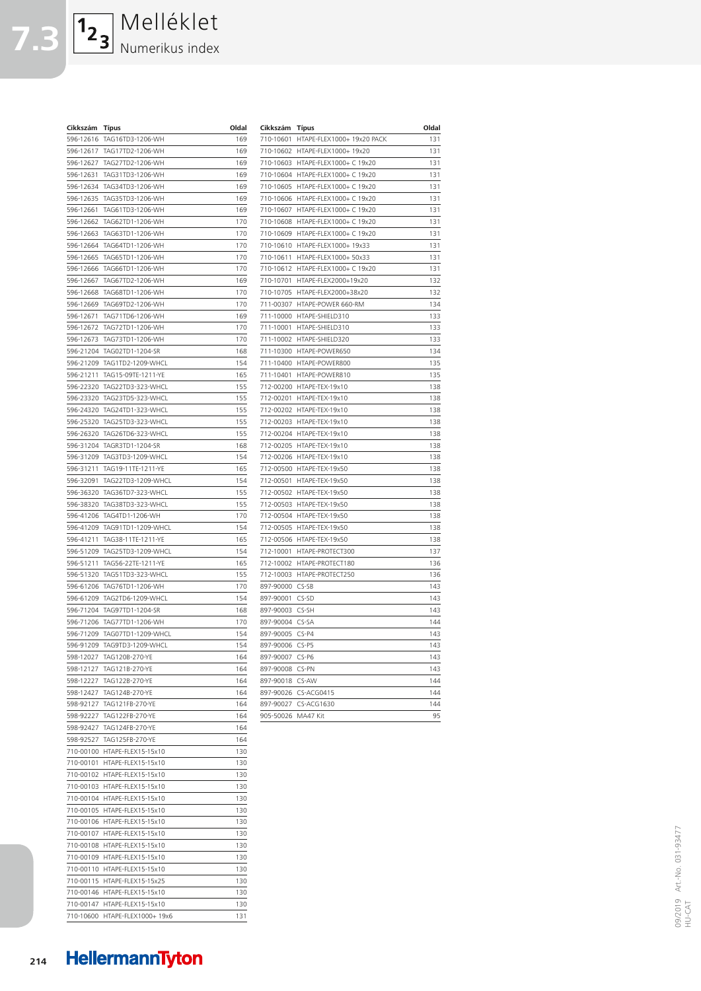| Cikkszám  | Típus                        | Oldal      | Cikkszám     | Tíj |
|-----------|------------------------------|------------|--------------|-----|
|           | 596-12616 TAG16TD3-1206-WH   | 169        | 710-10601    | HT. |
|           | 596-12617 TAG17TD2-1206-WH   | 169        | 710-10602 HT |     |
|           | 596-12627 TAG27TD2-1206-WH   | 169        | 710-10603 HT |     |
| 596-12631 | TAG31TD3-1206-WH             | 169        | 710-10604 HT |     |
|           | 596-12634 TAG34TD3-1206-WH   | 169        | 710-10605 HT |     |
|           | 596-12635 TAG35TD3-1206-WH   | 169        | 710-10606 HT |     |
| 596-12661 | TAG61TD3-1206-WH             | 169        | 710-10607 HT |     |
| 596-12662 | TAG62TD1-1206-WH             | 170        | 710-10608 HT |     |
|           | 596-12663 TAG63TD1-1206-WH   | 170        | 710-10609 HT |     |
|           | 596-12664 TAG64TD1-1206-WH   | 170        | 710-10610 HT |     |
| 596-12665 | TAG65TD1-1206-WH             | 170        | 710-10611    | HT  |
|           | 596-12666 TAG66TD1-1206-WH   | 170        | 710-10612 HT |     |
| 596-12667 | TAG67TD2-1206-WH             | 169        | 710-10701 HT |     |
|           | 596-12668 TAG68TD1-1206-WH   | 170        | 710-10705 HT |     |
|           | 596-12669 TAG69TD2-1206-WH   | 170        | 711-00307 HT |     |
| 596-12671 | TAG71TD6-1206-WH             | 169        | 711-10000 HT |     |
|           | 596-12672 TAG72TD1-1206-WH   | 170        | 711-10001    | HT  |
|           | 596-12673 TAG73TD1-1206-WH   | 170        | 711-10002 HT |     |
|           | 596-21204 TAG02TD1-1204-SR   | 168        | 711-10300 HT |     |
|           | 596-21209 TAG1TD2-1209-WHCL  | 154        | 711-10400 HT |     |
|           | 596-21211 TAG15-09TE-1211-YE | 165        | 711-10401 HT |     |
|           | 596-22320 TAG22TD3-323-WHCL  | 155        | 712-00200 HT |     |
|           | 596-23320 TAG23TD5-323-WHCL  | 155        | 712-00201 HT |     |
|           | 596-24320 TAG24TD1-323-WHCL  | 155        | 712-00202 HT |     |
|           | 596-25320 TAG25TD3-323-WHCL  | 155        | 712-00203 HT |     |
|           | 596-26320 TAG26TD6-323-WHCL  | 155        | 712-00204 HT |     |
|           | 596-31204 TAGR3TD1-1204-SR   | 168        | 712-00205 HT |     |
|           | 596-31209 TAG3TD3-1209-WHCL  | 154        | 712-00206 HT |     |
| 596-31211 | TAG19-11TE-1211-YE           | 165        | 712-00500 HT |     |
|           | 596-32091 TAG22TD3-1209-WHCL | 154        | 712-00501 HT |     |
|           | 596-36320 TAG36TD7-323-WHCL  | 155        | 712-00502 HT |     |
|           | 596-38320 TAG38TD3-323-WHCL  | 155        | 712-00503 HT |     |
|           | 596-41206 TAG4TD1-1206-WH    | 170        | 712-00504 HT |     |
|           | 596-41209 TAG91TD1-1209-WHCL | 154        | 712-00505 HT |     |
| 596-41211 | TAG38-11TE-1211-YE           | 165        | 712-00506 HT |     |
|           | 596-51209 TAG25TD3-1209-WHCL | 154        | 712-10001 HT |     |
|           | 596-51211 TAG56-22TE-1211-YE | 165        | 712-10002    | HT  |
|           | 596-51320 TAG51TD3-323-WHCL  | 155        | 712-10003 HT |     |
|           | 596-61206 TAG76TD1-1206-WH   | 170        | 897-90000 CS |     |
|           | 596-61209 TAG2TD6-1209-WHCL  | 154        | 897-90001 CS |     |
|           | 596-71204 TAG97TD1-1204-SR   | 168        | 897-90003    | CS  |
|           | 596-71206 TAG77TD1-1206-WH   | 170        | 897-90004 CS |     |
|           | 596-71209 TAG07TD1-1209-WHCL | 154        | 897-90005 CS |     |
| 596-91209 | TAG9TD3-1209-WHCL            | 154        | 897-90006 CS |     |
|           | 598-12027 TAG120B-270-YE     |            | 897-90007 CS |     |
|           |                              | 164<br>164 |              |     |
|           | 598-12127 TAG121B-270-YE     |            | 897-90008 CS |     |
|           | 598-12227 TAG122B-270-YE     | 164        | 897-90018 CS |     |
|           | 598-12427 TAG124B-270-YE     | 164        | 897-90026 CS |     |
|           | 598-92127 TAG121FB-270-YE    | 164        | 897-90027 CS |     |
|           | 598-92227 TAG122FB-270-YE    | 164        | 905-50026 M/ |     |
|           | 598-92427 TAG124FB-270-YE    | 164        |              |     |
|           | 598-92527 TAG125FB-270-YE    | 164        |              |     |
|           | 710-00100 HTAPE-FLEX15-15x10 | 130        |              |     |
|           | 710-00101 HTAPE-FLEX15-15x10 | 130        |              |     |
|           | 710-00102 HTAPE-FLEX15-15x10 | 130        |              |     |
|           | 710-00103 HTAPE-FLEX15-15x10 | 130        |              |     |
|           | 710-00104 HTAPE-FLEX15-15x10 | 130        |              |     |
|           | 710-00105 HTAPE-FLEX15-15x10 | 130        |              |     |
|           | 710-00106 HTAPE-FLEX15-15x10 | 130        |              |     |
|           | 710-00107 HTAPE-FLEX15-15x10 | 130        |              |     |
|           | 710-00108 HTAPE-FLEX15-15x10 | 130        |              |     |
|           | 710-00109 HTAPE-FLEX15-15x10 | 130        |              |     |
|           | 710-00110 HTAPE-FLEX15-15x10 | 130        |              |     |
|           | 710-00115 HTAPE-FLEX15-15x25 | 130        |              |     |
|           | 710-00146 HTAPE-FLEX15-15x10 | 130        |              |     |
|           | 710-00147 HTAPE-FLEX15-15x10 | 130        |              |     |

Melléklet

Numerikus index

**7.3**

| Cikkszám  | <b>Típus</b>               | Oldal |
|-----------|----------------------------|-------|
| 710-10601 | HTAPE-FLEX1000+ 19x20 PACK | 131   |
| 710-10602 | HTAPE-FLEX1000+ 19x20      | 131   |
| 710-10603 | HTAPE-FLEX1000+ C 19x20    | 131   |
| 710-10604 | HTAPE-FLEX1000+C<br>19x20  | 131   |
| 710-10605 | HTAPE-FLEX1000+C<br>19x20  | 131   |
| 710-10606 | HTAPE-FLEX1000+C<br>19x20  | 131   |
| 710-10607 | HTAPE-FLEX1000+C<br>19x20  | 131   |
| 710-10608 | HTAPE-FLEX1000+ C 19x20    | 131   |
| 710-10609 | HTAPE-FLEX1000+ C 19x20    | 131   |
| 710-10610 | HTAPE-FLEX1000+ 19x33      | 131   |
| 710-10611 | HTAPE-FLEX1000+ 50x33      | 131   |
| 710-10612 | HTAPE-FLEX1000+ C 19x20    | 131   |
| 710-10701 | HTAPE-FLEX2000+19x20       | 132   |
| 710-10705 | HTAPE-FLEX2000+38x20       | 132   |
| 711-00307 | HTAPE-POWER 660-RM         | 134   |
| 711-10000 | HTAPE-SHIELD310            | 133   |
| 711-10001 | HTAPE-SHIELD310            | 133   |
| 711-10002 | HTAPE-SHIELD320            | 133   |
| 711-10300 | HTAPE-POWER650             | 134   |
| 711-10400 | HTAPE-POWER800             | 135   |
| 711-10401 | HTAPF-POWFR810             | 135   |
| 712-00200 | HTAPE-TEX-19x10            | 138   |
| 712-00201 | HTAPE-TEX-19x10            | 138   |
| 712-00202 | HTAPE-TEX-19x10            | 138   |
| 712-00203 | HTAPE-TEX-19x10            | 138   |
| 712-00204 | HTAPE-TEX-19x10            | 138   |
| 712-00205 | HTAPE-TEX-19x10            | 138   |
| 712-00206 | HTAPE-TEX-19x10            | 138   |
| 712-00500 | HTAPE-TEX-19x50            | 138   |
| 712-00501 | HTAPE-TEX-19x50            | 138   |
| 712-00502 | HTAPE-TEX-19x50            | 138   |
| 712-00503 | HTAPE-TEX-19x50            | 138   |
| 712-00504 | HTAPE-TEX-19x50            | 138   |
| 712-00505 | HTAPE-TEX-19x50            | 138   |
| 712-00506 | HTAPE-TEX-19x50            | 138   |
| 712-10001 | HTAPE-PROTECT300           | 137   |
| 712-10002 | HTAPE-PROTECT180           | 136   |
| 712-10003 | HTAPE-PROTECT250           | 136   |
| 897-90000 | $CS-SB$                    | 143   |
| 897-90001 | CS-SD                      | 143   |
| 897-90003 | CS-SH                      | 143   |
| 897-90004 | CS-SA                      | 144   |
| 897-90005 | $CS-P4$                    | 143   |
| 897-90006 | $CS-P5$                    | 143   |
| 897-90007 | $CS-P6$                    | 143   |
| 897-90008 | CS-PN                      | 143   |
| 897-90018 | CS-AW                      | 144   |
| 897-90026 | CS-ACG0415                 | 144   |
| 897-90027 | CS-ACG1630                 | 144   |
| 905-50026 | MA47 Kit                   | 95    |
|           |                            |       |

710-10600 HTAPE-FLEX1000+ 19x6 131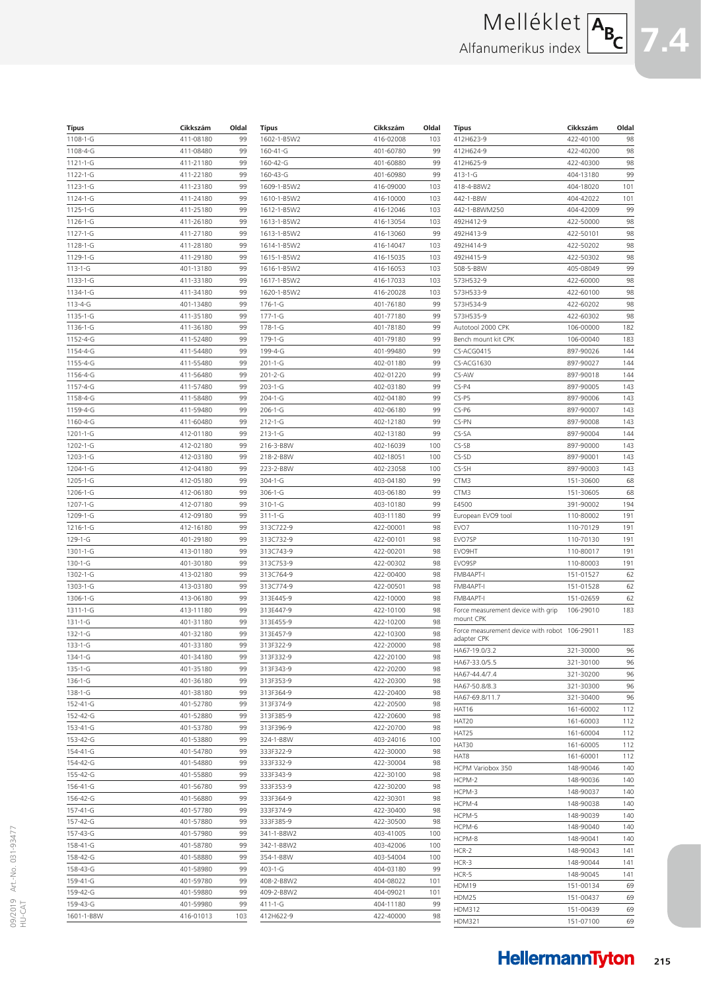# Melléklet Alfanumerikus index



| Típus                | Cikkszám               | Oldal    |
|----------------------|------------------------|----------|
| 1108-1-G             | 411-08180              | 99       |
| 1108-4-G             | 411-08480              | 99       |
| $1121 - 1 - G$       | 411-21180              | 99       |
| 1122-1-G             | 411-22180              | 99       |
| $1123 - 1 - G$       | 411-23180              | 99       |
| 1124-1-G             | 411-24180              | 99       |
| 1125-1-G             | 411-25180              | 99       |
| $1126 - 1 - G$       | 411-26180              | 99       |
| 1127-1-G             | 411-27180              | 99       |
| 1128-1-G<br>1129-1-G | 411-28180<br>411-29180 | 99<br>99 |
| $113 - 1 - G$        | 401-13180              | 99       |
| 1133-1-G             | 411-33180              | 99       |
| 1134-1-G             | 411-34180              | 99       |
| $113 - 4 - G$        | 401-13480              | 99       |
| 1135-1-G             | 411-35180              | 99       |
| 1136-1-G             | 411-36180              | 99       |
| 1152-4-G             | 411-52480              | 99       |
| 1154-4-G             | 411-54480              | 99       |
| 1155-4-G             | 411-55480              | 99       |
| 1156-4-G             | 411-56480              | 99       |
| 1157-4-G             | 411-57480              | 99       |
| 1158-4-G             | 411-58480              | 99       |
| 1159-4-G             | 411-59480              | 99       |
| 1160-4-G<br>1201-1-G | 411-60480<br>412-01180 | 99<br>99 |
| 1202-1-G             | 412-02180              | 99       |
| 1203-1-G             | 412-03180              | 99       |
| 1204-1-G             | 412-04180              | 99       |
| 1205-1-G             | 412-05180              | 99       |
| 1206-1-G             | 412-06180              | 99       |
| 1207-1-G             | 412-07180              | 99       |
| 1209-1-G             | 412-09180              | 99       |
| 1216-1-G             | 412-16180              | 99       |
| $129 - 1 - G$        | 401-29180              | 99       |
| 1301-1-G             | 413-01180              | 99       |
| 130-1-G              | 401-30180              | 99       |
| 1302-1-G<br>1303-1-G | 413-02180<br>413-03180 | 99<br>99 |
| 1306-1-G             | 413-06180              | 99       |
| 1311-1-G             | 413-11180              | 99       |
| $131 - 1 - G$        | 401-31180              | 99       |
| 132-1-G              | 401-32180              | 99       |
| $133 - 1 - G$        | 401-33180              | 99       |
| 134-1-G              | 401-34180              | 99       |
| $135 - 1 - G$        | 401-35180              | 99       |
| 136-1-G              | 401-36180              | 99       |
| $138 - 1 - G$        | 401-38180              | 99       |
| 152-41-G             | 401-52780              | 99       |
| 152-42-G             | 401-52880              | 99       |
| 153-41-G             | 401-53780              | 99       |
| 153-42-G             | 401-53880              | 99       |
| 154-41-G<br>154-42-G | 401-54780<br>401-54880 | 99<br>99 |
| 155-42-G             | 401-55880              | 99       |
| 156-41-G             | 401-56780              | 99       |
| 156-42-G             | 401-56880              | 99       |
| 157-41-G             | 401-57780              | 99       |
| 157-42-G             | 401-57880              | 99       |
| 157-43-G             | 401-57980              | 99       |
| 158-41-G             | 401-58780              | 99       |
| 158-42-G             | 401-58880              | 99       |
| 158-43-G             | 401-58980              | 99       |
| 159-41-G             | 401-59780              | 99       |
| 159-42-G             | 401-59880              | 99       |
| 159-43-G             | 401-59980              | 99       |
| 1601-1-B8W           | 416-01013              | 103      |

| 1602-1-B5W2                                                                                                                                                                                       | Cikkszám  | Oldal                                                                                  |
|---------------------------------------------------------------------------------------------------------------------------------------------------------------------------------------------------|-----------|----------------------------------------------------------------------------------------|
|                                                                                                                                                                                                   | 416-02008 | 103                                                                                    |
| 160-41-G                                                                                                                                                                                          | 401-60780 | 99                                                                                     |
| 160-42-G                                                                                                                                                                                          | 401-60880 | 99                                                                                     |
| 160-43-G                                                                                                                                                                                          | 401-60980 | 99                                                                                     |
| 1609-1-B5W2                                                                                                                                                                                       | 416-09000 | 103                                                                                    |
| 1610-1-B5W2                                                                                                                                                                                       | 416-10000 | 103                                                                                    |
| 1612-1-B5W2                                                                                                                                                                                       | 416-12046 | 103                                                                                    |
| 1613-1-B5W2                                                                                                                                                                                       | 416-13054 | 103                                                                                    |
| 1613-1-B5W2                                                                                                                                                                                       | 416-13060 | 99                                                                                     |
| 1614-1-B5W2                                                                                                                                                                                       | 416-14047 | 103                                                                                    |
| 1615-1-B5W2                                                                                                                                                                                       | 416-15035 | 103                                                                                    |
| 1616-1-B5W2                                                                                                                                                                                       | 416-16053 | 103                                                                                    |
| 1617-1-B5W2                                                                                                                                                                                       | 416-17033 | 103                                                                                    |
| 1620-1-B5W2                                                                                                                                                                                       | 416-20028 | 103                                                                                    |
| 176-1-G                                                                                                                                                                                           | 401-76180 | 99                                                                                     |
| 177-1-G                                                                                                                                                                                           | 401-77180 | 99                                                                                     |
| 178-1-G                                                                                                                                                                                           | 401-78180 | 99                                                                                     |
| 179-1-G                                                                                                                                                                                           | 401-79180 | 99                                                                                     |
| 199-4-G                                                                                                                                                                                           | 401-99480 | 99                                                                                     |
| 201-1-G                                                                                                                                                                                           | 402-01180 | 99                                                                                     |
| 201-2-G                                                                                                                                                                                           | 402-01220 | 99                                                                                     |
| 203-1-G                                                                                                                                                                                           | 402-03180 | 99                                                                                     |
| 204-1-G                                                                                                                                                                                           | 402-04180 | 99                                                                                     |
| $206 - 1 - G$                                                                                                                                                                                     | 402-06180 | 99                                                                                     |
| 212-1-G                                                                                                                                                                                           | 402-12180 | 99                                                                                     |
| $213 - 1 - G$                                                                                                                                                                                     | 402-13180 | 99                                                                                     |
| 216-3-B8W                                                                                                                                                                                         | 402-16039 | 100                                                                                    |
| 218-2-B8W                                                                                                                                                                                         | 402-18051 | 100                                                                                    |
| 223-2-B8W                                                                                                                                                                                         | 402-23058 | 100                                                                                    |
| 304-1-G                                                                                                                                                                                           | 403-04180 | 99                                                                                     |
| 306-1-G                                                                                                                                                                                           | 403-06180 | 99                                                                                     |
| 310-1-G                                                                                                                                                                                           | 403-10180 | 99                                                                                     |
| 311-1-G                                                                                                                                                                                           | 403-11180 | 99                                                                                     |
| 313C722-9                                                                                                                                                                                         | 422-00001 | 98                                                                                     |
| 313C732-9                                                                                                                                                                                         | 422-00101 | 98                                                                                     |
| 313C743-9                                                                                                                                                                                         | 422-00201 | 98                                                                                     |
| 313C753-9                                                                                                                                                                                         | 422-00302 | 98                                                                                     |
| 313C764-9                                                                                                                                                                                         | 422-00400 | 98                                                                                     |
| 313C774-9                                                                                                                                                                                         | 422-00501 | 98                                                                                     |
| 313E445-9                                                                                                                                                                                         | 422-10000 | 98                                                                                     |
| 313E447-9                                                                                                                                                                                         | 422-10100 | 98                                                                                     |
| 313E455-9                                                                                                                                                                                         | 422-10200 | 98                                                                                     |
| 313E457-9                                                                                                                                                                                         | 422-10300 | 98                                                                                     |
| 313F322-9                                                                                                                                                                                         | 422-20000 | 98                                                                                     |
| 313F332-9                                                                                                                                                                                         | 422-20100 | 98                                                                                     |
| 313F343-9                                                                                                                                                                                         | 422-20200 | 98                                                                                     |
| 313F353-9                                                                                                                                                                                         | 422-20300 | 98                                                                                     |
| 313F364-9                                                                                                                                                                                         | 422-20400 | 98                                                                                     |
| 313F374-9                                                                                                                                                                                         | 422-20500 | 98                                                                                     |
| 313F385-9                                                                                                                                                                                         | 422-20600 | 98                                                                                     |
|                                                                                                                                                                                                   | 422-20700 | 98                                                                                     |
|                                                                                                                                                                                                   |           |                                                                                        |
|                                                                                                                                                                                                   | 403-24016 |                                                                                        |
|                                                                                                                                                                                                   | 422-30000 |                                                                                        |
|                                                                                                                                                                                                   | 422-30004 |                                                                                        |
|                                                                                                                                                                                                   | 422-30100 |                                                                                        |
|                                                                                                                                                                                                   | 422-30200 |                                                                                        |
|                                                                                                                                                                                                   | 422-30301 |                                                                                        |
|                                                                                                                                                                                                   | 422-30400 |                                                                                        |
|                                                                                                                                                                                                   | 422-30500 |                                                                                        |
|                                                                                                                                                                                                   | 403-41005 |                                                                                        |
|                                                                                                                                                                                                   | 403-42006 |                                                                                        |
|                                                                                                                                                                                                   | 403-54004 |                                                                                        |
|                                                                                                                                                                                                   | 404-03180 |                                                                                        |
|                                                                                                                                                                                                   | 404-08022 |                                                                                        |
| 313F396-9<br>324-1-B8W<br>333F322-9<br>333F332-9<br>333F343-9<br>333F353-9<br>333F364-9<br>333F374-9<br>333F385-9<br>341-1-B8W2<br>342-1-B8W2<br>354-1-B8W<br>403-1-G<br>408-2-B8W2<br>409-2-B8W2 | 404-09021 | 100<br>98<br>98<br>98<br>98<br>98<br>98<br>98<br>100<br>100<br>100<br>99<br>101<br>101 |
| 411-1-G                                                                                                                                                                                           | 404-11180 | 99                                                                                     |

| Típus                                              | Cikkszám  | Oldal |
|----------------------------------------------------|-----------|-------|
| 412H623-9                                          | 422-40100 | 98    |
| 412H624-9                                          | 422-40200 | 98    |
| 412H625-9                                          | 422-40300 | 98    |
| 413-1-G                                            | 404-13180 | 99    |
| 418-4-B8W2                                         | 404-18020 | 101   |
| 442-1-B8W                                          | 404-42022 | 101   |
| 442-1-B8WM250                                      | 404-42009 | 99    |
| 492H412-9                                          | 422-50000 | 98    |
| 492H413-9                                          | 422-50101 | 98    |
| 492H414-9                                          | 422-50202 | 98    |
| 492H415-9                                          | 422-50302 | 98    |
| 508-5-B8W                                          | 405-08049 | 99    |
| 573H532-9                                          | 422-60000 | 98    |
| 573H533-9                                          | 422-60100 | 98    |
| 573H534-9                                          | 422-60202 | 98    |
| 573H535-9                                          | 422-60302 | 98    |
| Autotool 2000 CPK                                  | 106-00000 | 182   |
| Bench mount kit CPK                                | 106-00040 | 183   |
| CS-ACG0415                                         | 897-90026 | 144   |
| CS-ACG1630                                         | 897-90027 | 144   |
| CS-AW                                              | 897-90018 | 144   |
| $CS-P4$                                            | 897-90005 | 143   |
|                                                    |           |       |
| $CS-P5$                                            | 897-90006 | 143   |
| CS-P6                                              | 897-90007 | 143   |
| CS-PN                                              | 897-90008 | 143   |
| CS-SA                                              | 897-90004 | 144   |
| $CS-SB$                                            | 897-90000 | 143   |
| $CS-SD$                                            | 897-90001 | 143   |
| CS-SH                                              | 897-90003 | 143   |
| CTM3                                               | 151-30600 | 68    |
| CTM3                                               | 151-30605 | 68    |
| E4500                                              | 391-90002 | 194   |
| European EVO9 tool                                 | 110-80002 | 191   |
| EVO7                                               | 110-70129 | 191   |
| EVO7SP                                             | 110-70130 | 191   |
| EVO9HT                                             | 110-80017 | 191   |
| EVO9SP                                             | 110-80003 | 191   |
| FMB4APT-I                                          | 151-01527 | 62    |
| FMB4APT-I                                          | 151-01528 | 62    |
| FMB4APT-I                                          | 151-02659 | 62    |
| Force measurement device with grip<br>mount CPK    | 106-29010 | 183   |
| Force measurement device with robot<br>adapter CPK | 106-29011 | 183   |
| HA67-19.0/3.2                                      | 321-30000 | 96    |
| HA67-33.0/5.5                                      | 321-30100 | 96    |
| HA67-44.4/7.4                                      | 321-30200 | 96    |
| HA67-50.8/8.3                                      | 321-30300 | 96    |
| HA67-69.8/11.7                                     | 321-30400 | 96    |
| HAT16                                              | 161-60002 | 112   |
| HAT20                                              | 161-60003 | 112   |
| HAT25                                              | 161-60004 | 112   |
| HAT30                                              | 161-60005 | 112   |
| HAT8                                               | 161-60001 | 112   |
| HCPM Variobox 350                                  | 148-90046 | 140   |
| HCPM-2                                             | 148-90036 | 140   |
| HCPM-3                                             | 148-90037 | 140   |
| HCPM-4                                             | 148-90038 | 140   |
| HCPM-5                                             | 148-90039 | 140   |
| HCPM-6                                             | 148-90040 | 140   |
| HCPM-8                                             | 148-90041 | 140   |
| HCR-2                                              | 148-90043 | 141   |
| HCR-3                                              | 148-90044 | 141   |
| HCR-5                                              | 148-90045 | 141   |
| HDM19                                              | 151-00134 | 69    |
| HDM25                                              | 151-00437 | 69    |
| HDM312                                             | 151-00439 | 69    |
| <b>HDM321</b>                                      | 151-07100 | 69    |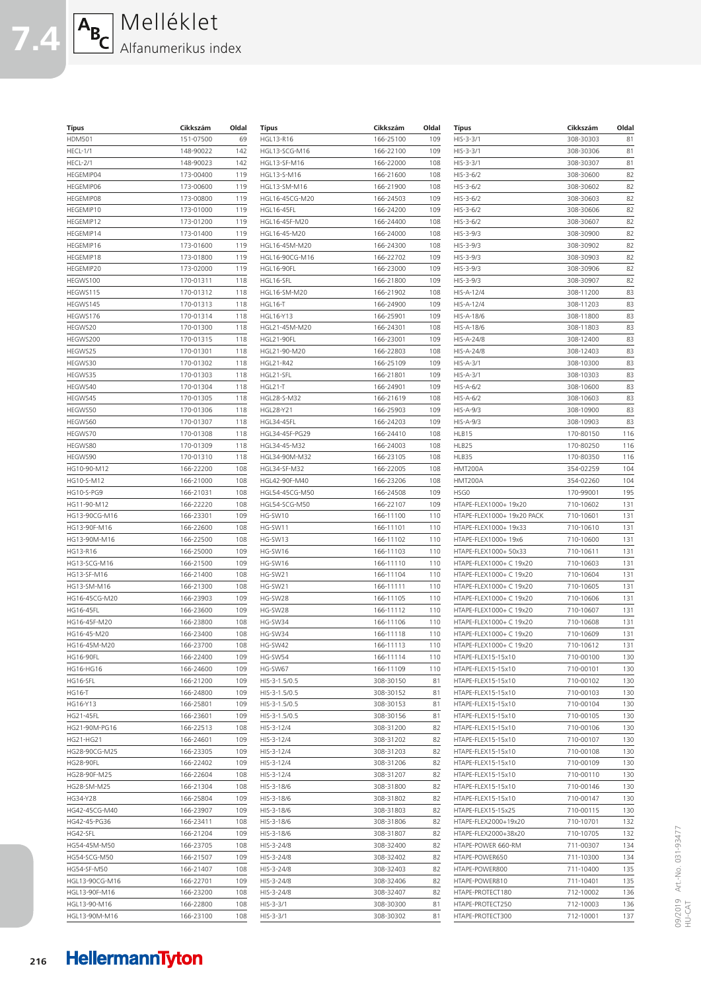| <b>Típus</b>     | Cikkszám  | Oldal | <b>Típus</b>      | Cikkszám  | Oldal | <b>Típus</b>               | Cikkszám  | Olda |
|------------------|-----------|-------|-------------------|-----------|-------|----------------------------|-----------|------|
| <b>HDM501</b>    | 151-07500 | 69    | HGL13-R16         | 166-25100 | 109   | $HIS-3-3/1$                | 308-30303 | 81   |
| HECL-1/1         | 148-90022 | 142   | HGL13-SCG-M16     | 166-22100 | 109   | $HIS-3-3/1$                | 308-30306 | 81   |
| HECL-2/1         | 148-90023 | 142   | HGL13-SF-M16      | 166-22000 | 108   | HIS-3-3/1                  | 308-30307 | 81   |
| HEGEMIP04        | 173-00400 | 119   | HGL13-S-M16       | 166-21600 | 108   | $HIS-3-6/2$                | 308-30600 | 82   |
| HEGEMIP06        | 173-00600 | 119   | HGL13-SM-M16      | 166-21900 | 108   | $HIS-3-6/2$                | 308-30602 | 82   |
| HEGEMIP08        | 173-00800 | 119   | HGL16-45CG-M20    | 166-24503 | 109   | $HIS-3-6/2$                | 308-30603 | 82   |
| HEGEMIP10        | 173-01000 | 119   | <b>HGL16-45FL</b> | 166-24200 | 109   | $HIS-3-6/2$                | 308-30606 | 82   |
| HEGEMIP12        | 173-01200 | 119   | HGL16-45F-M20     | 166-24400 | 108   | $HIS-3-6/2$                | 308-30607 | 82   |
| HEGEMIP14        | 173-01400 | 119   | HGL16-45-M20      | 166-24000 | 108   | $HIS-3-9/3$                | 308-30900 | 82   |
| HEGEMIP16        | 173-01600 | 119   | HGL16-45M-M20     | 166-24300 | 108   | $HIS-3-9/3$                | 308-30902 | 82   |
| HEGEMIP18        | 173-01800 | 119   | HGL16-90CG-M16    | 166-22702 | 109   | $HIS-3-9/3$                | 308-30903 | 82   |
| HEGEMIP20        | 173-02000 | 119   | <b>HGL16-90FL</b> | 166-23000 | 109   | $HIS-3-9/3$                | 308-30906 | 82   |
| HEGWS100         | 170-01311 | 118   | HGL16-SFL         | 166-21800 | 109   | $HIS-3-9/3$                | 308-30907 | 82   |
| HEGWS115         | 170-01312 | 118   | HGL16-SM-M20      | 166-21902 | 108   | HIS-A-12/4                 | 308-11200 | 83   |
| HEGWS145         | 170-01313 | 118   | HGL16-T           | 166-24900 | 109   | HIS-A-12/4                 | 308-11203 | 83   |
| HEGWS176         | 170-01314 | 118   | HGL16-Y13         | 166-25901 | 109   | HIS-A-18/6                 | 308-11800 | 83   |
| HEGWS20          | 170-01300 | 118   | HGL21-45M-M20     | 166-24301 | 108   | HIS-A-18/6                 | 308-11803 | 83   |
| HEGWS200         | 170-01315 | 118   | <b>HGL21-90FL</b> | 166-23001 | 109   | HIS-A-24/8                 | 308-12400 | 83   |
| HEGWS25          | 170-01301 | 118   | HGL21-90-M20      | 166-22803 | 108   | HIS-A-24/8                 | 308-12403 | 83   |
| HEGWS30          | 170-01302 | 118   | <b>HGL21-R42</b>  | 166-25109 | 109   | $HIS-A-3/1$                | 308-10300 | 83   |
| HEGWS35          | 170-01303 | 118   | HGL21-SFL         | 166-21801 | 109   | $HIS-A-3/1$                | 308-10303 | 83   |
| HEGWS40          | 170-01304 | 118   | HGL21-T           | 166-24901 | 109   | $HIS-A-6/2$                | 308-10600 | 83   |
| HEGWS45          | 170-01305 | 118   | HGL28-S-M32       | 166-21619 | 108   | $HIS-A-6/2$                | 308-10603 | 83   |
| HEGWS50          | 170-01306 | 118   | HGL28-Y21         | 166-25903 | 109   | $HIS-A-9/3$                | 308-10900 | 83   |
| HEGWS60          | 170-01307 | 118   | <b>HGL34-45FL</b> | 166-24203 | 109   | $HIS-A-9/3$                | 308-10903 | 83   |
| HEGWS70          | 170-01308 | 118   | HGL34-45F-PG29    | 166-24410 | 108   | HLB15                      | 170-80150 | 116  |
| HEGWS80          | 170-01309 | 118   | HGL34-45-M32      | 166-24003 | 108   | HLB25                      | 170-80250 | 116  |
| HEGWS90          | 170-01310 | 118   | HGL34-90M-M32     | 166-23105 | 108   | HLB35                      | 170-80350 | 116  |
| HG10-90-M12      | 166-22200 | 108   | HGL34-SF-M32      | 166-22005 | 108   | HMT200A                    | 354-02259 | 104  |
| HG10-S-M12       | 166-21000 | 108   | HGL42-90F-M40     | 166-23206 | 108   | HMT200A                    | 354-02260 | 104  |
| HG10-S-PG9       | 166-21031 | 108   | HGL54-45CG-M50    | 166-24508 | 109   | HSG0                       | 170-99001 | 195  |
| HG11-90-M12      | 166-22220 | 108   | HGL54-SCG-M50     | 166-22107 | 109   | HTAPE-FLEX1000+ 19x20      | 710-10602 | 131  |
| HG13-90CG-M16    | 166-23301 | 109   | HG-SW10           | 166-11100 | 110   | HTAPE-FLEX1000+ 19x20 PACK | 710-10601 | 131  |
| HG13-90F-M16     | 166-22600 | 108   | HG-SW11           | 166-11101 | 110   | HTAPE-FLEX1000+ 19x33      | 710-10610 | 131  |
| HG13-90M-M16     | 166-22500 | 108   | HG-SW13           | 166-11102 | 110   | HTAPE-FLEX1000+ 19x6       | 710-10600 | 131  |
| HG13-R16         | 166-25000 | 109   | HG-SW16           | 166-11103 | 110   | HTAPE-FLEX1000+ 50x33      | 710-10611 | 131  |
| HG13-SCG-M16     | 166-21500 | 109   | HG-SW16           | 166-11110 | 110   | HTAPE-FLEX1000+ C 19x20    | 710-10603 | 131  |
| HG13-SF-M16      | 166-21400 | 108   | HG-SW21           | 166-11104 | 110   | HTAPE-FLEX1000+ C 19x20    | 710-10604 | 131  |
| HG13-SM-M16      | 166-21300 | 108   | HG-SW21           | 166-11111 | 110   | HTAPE-FLEX1000+ C 19x20    | 710-10605 | 131  |
| HG16-45CG-M20    | 166-23903 | 109   | HG-SW28           | 166-11105 | 110   | HTAPE-FLEX1000+ C 19x20    | 710-10606 | 131  |
| <b>HG16-45FL</b> | 166-23600 | 109   | HG-SW28           | 166-11112 | 110   | HTAPE-FLEX1000+ C 19x20    | 710-10607 | 131  |
| HG16-45F-M20     | 166-23800 | 108   | HG-SW34           | 166-11106 | 110   | HTAPE-FLEX1000+ C 19x20    | 710-10608 | 131  |
| HG16-45-M20      | 166-23400 | 108   | HG-SW34           | 166-11118 | 110   | HTAPE-FLEX1000+ C 19x20    | 710-10609 | 131  |
| HG16-45M-M20     | 166-23700 | 108   | HG-SW42           | 166-11113 | 110   | HTAPE-FLEX1000+ C 19x20    | 710-10612 | 131  |
| HG16-90FL        | 166-22400 | 109   | HG-SW54           | 166-11114 | 110   | HTAPE-FLEX15-15x10         | 710-00100 | 130  |
| HG16-HG16        | 166-24600 | 109   | HG-SW67           | 166-11109 | 110   | HTAPE-FLEX15-15x10         | 710-00101 | 130  |
| HG16-SFL         | 166-21200 | 109   | HIS-3-1.5/0.5     | 308-30150 | 81    | HTAPE-FLEX15-15x10         | 710-00102 | 130  |
| <b>HG16-T</b>    | 166-24800 | 109   | HIS-3-1.5/0.5     | 308-30152 | 81    | HTAPE-FLEX15-15x10         | 710-00103 | 130  |
| HG16-Y13         | 166-25801 | 109   | HIS-3-1.5/0.5     | 308-30153 | 81    | HTAPE-FLEX15-15x10         | 710-00104 | 130  |
| <b>HG21-45FL</b> | 166-23601 | 109   | HIS-3-1.5/0.5     | 308-30156 | 81    | HTAPE-FLEX15-15x10         | 710-00105 | 130  |
| HG21-90M-PG16    | 166-22513 | 108   | HIS-3-12/4        | 308-31200 | 82    | HTAPE-FLEX15-15x10         | 710-00106 | 130  |
| HG21-HG21        | 166-24601 | 109   | HIS-3-12/4        | 308-31202 | 82    | HTAPE-FLEX15-15x10         | 710-00107 | 130  |
| HG28-90CG-M25    | 166-23305 | 109   | HIS-3-12/4        | 308-31203 | 82    | HTAPE-FLEX15-15x10         | 710-00108 | 130  |
| <b>HG28-90FL</b> | 166-22402 | 109   | HIS-3-12/4        | 308-31206 | 82    | HTAPE-FLEX15-15x10         | 710-00109 | 130  |
| HG28-90F-M25     | 166-22604 | 108   | HIS-3-12/4        | 308-31207 | 82    | HTAPE-FLEX15-15x10         | 710-00110 | 130  |
| HG28-SM-M25      | 166-21304 | 108   | HIS-3-18/6        | 308-31800 | 82    | HTAPE-FLEX15-15x10         | 710-00146 | 130  |
| HG34-Y28         | 166-25804 | 109   | HIS-3-18/6        | 308-31802 | 82    | HTAPE-FLEX15-15x10         | 710-00147 | 130  |
| HG42-45CG-M40    | 166-23907 | 109   | HIS-3-18/6        | 308-31803 | 82    | HTAPE-FLEX15-15x25         | 710-00115 | 130  |
| HG42-45-PG36     | 166-23411 | 108   | HIS-3-18/6        | 308-31806 | 82    | HTAPE-FLEX2000+19x20       | 710-10701 | 132  |
| HG42-SFL         | 166-21204 | 109   | HIS-3-18/6        | 308-31807 | 82    | HTAPE-FLEX2000+38x20       | 710-10705 | 132  |

HIS-3-24/8 308-32400 82<br>HIS-3-24/8 308-32402 82

HIS-3-24/8 308-32403 82 HIS-3-24/8 308-32406 82 HIS-3-24/8 308-32407 82 HIS-3-3/1 308-30300 81 HIS-3-3/1 308-30302 81

308-32402

HTAPE-POWER 660-RM 711-00307 134<br>HTAPE-POWER650 711-10300 134 HTAPE-POWER650 711-10300 HTAPE-POWER800 711-10400 135 HTAPE-POWER810 711-10401 135 HTAPE-PROTECT180 712-10002 136 HTAPE-PROTECT250 712-10003 136 HTAPE-PROTECT300 712-10001 137

**Típus Cikkszám Oldal**

HG54-45M-M50 166-23705 108 HG54-SCG-M50 166-21507 109 HG54-SF-M50 166-21407 108 HGL13-90CG-M16 166-22701 109 HGL13-90F-M16 166-23200 108 HGL13-90-M16 166-22800 108 HGL13-90M-M16 166-23100 108

**7.4**

AB<sub>C</sub> Melléklet

Alfanumerikus index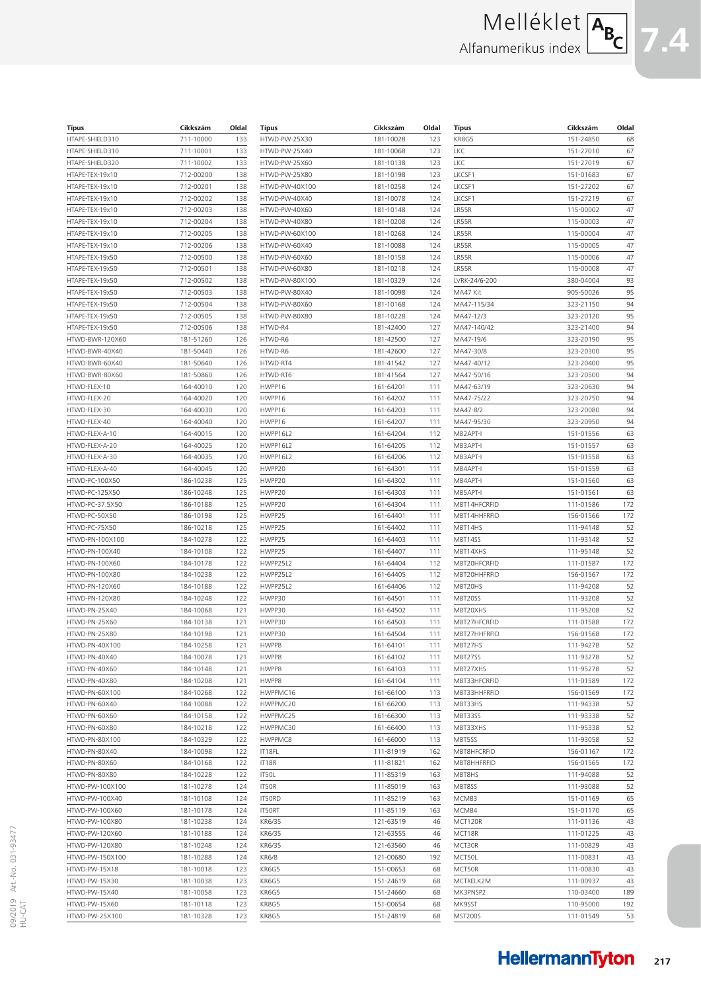# Melléklet ABC Alfanumerikus index

| <b>Típus</b>                       | Cikkszám               | Oldal      |
|------------------------------------|------------------------|------------|
| HTAPE-SHIELD310                    | 711-10000              | 133        |
| HTAPE-SHIELD310                    | 711-10001              | 133        |
| HTAPE-SHIELD320                    | 711-10002              | 133        |
| HTAPE-TEX-19x10                    | 712-00200              | 138        |
| HTAPE-TEX-19x10                    | 712-00201              | 138        |
| HTAPE-TEX-19x10                    | 712-00202              | 138        |
| HTAPE-TEX-19x10                    | 712-00203              | 138        |
| HTAPE-TEX-19x10                    | 712-00204              | 138        |
| HTAPE-TEX-19x10                    | 712-00205              | 138        |
| HTAPE-TEX-19x10<br>HTAPE-TEX-19x50 | 712-00206<br>712-00500 | 138<br>138 |
| HTAPE-TEX-19x50                    | 712-00501              | 138        |
| HTAPE-TEX-19x50                    | 712-00502              | 138        |
| HTAPE-TEX-19x50                    | 712-00503              | 138        |
| HTAPE-TEX-19x50                    | 712-00504              | 138        |
| HTAPE-TEX-19x50                    | 712-00505              | 138        |
| HTAPE-TEX-19x50                    | 712-00506              | 138        |
| HTWD-BWR-120X60                    | 181-51260              | 126        |
| HTWD-BWR-40X40                     | 181-50440              | 126        |
| HTWD-BWR-60X40                     | 181-50640              | 126        |
| HTWD-BWR-80X60                     | 181-50860              | 126        |
| HTWD-FLEX-10                       | 164-40010              | 120        |
| HTWD-FLEX-20                       | 164-40020              | 120        |
| HTWD-FLEX-30                       | 164-40030              | 120        |
| HTWD-FLEX-40                       | 164-40040              | 120        |
| HTWD-FLEX-A-10                     | 164-40015              | 120        |
| HTWD-FLEX-A-20<br>HTWD-FLEX-A-30   | 164-40025              | 120        |
| HTWD-FLEX-A-40                     | 164-40035<br>164-40045 | 120<br>120 |
| HTWD-PC-100X50                     | 186-10238              | 125        |
| HTWD-PC-125X50                     | 186-10248              | 125        |
| HTWD-PC-37.5X50                    | 186-10188              | 125        |
| HTWD-PC-50X50                      | 186-10198              | 125        |
| HTWD-PC-75X50                      | 186-10218              | 125        |
| HTWD-PN-100X100                    | 184-10278              | 122        |
| HTWD-PN-100X40                     | 184-10108              | 122        |
| HTWD-PN-100X60                     | 184-10178              | 122        |
| HTWD-PN-100X80                     | 184-10238              | 122        |
| HTWD-PN-120X60                     | 184-10188              | 122        |
| HTWD-PN-120X80                     | 184-10248              | 122        |
| HTWD-PN-25X40                      | 184-10068              | 121        |
| HTWD-PN-25X60<br>HTWD-PN-25X80     | 184-10138<br>184-10198 | 121<br>121 |
| HTWD-PN-40X100                     | 184-10258              | 121        |
| HTWD-PN-40X40                      | 184-10078              | 121        |
| HTWD-PN-40X60                      | 184-10148              | 121        |
| HTWD-PN-40X80                      | 184-10208              | 121        |
| HTWD-PN-60X100                     | 184-10268              | 122        |
| HTWD-PN-60X40                      | 184-10088              | 122        |
| HTWD-PN-60X60                      | 184-10158              | 122        |
| HTWD-PN-60X80                      | 184-10218              | 122        |
| HTWD-PN-80X100                     | 184-10329              | 122        |
| HTWD-PN-80X40                      | 184-10098              | 122        |
| HTWD-PN-80X60                      | 184-10168              | 122        |
| HTWD-PN-80X80                      | 184-10228              | 122        |
| HTWD-PW-100X100                    | 181-10278              | 124        |
| HTWD-PW-100X40                     | 181-10108              | 124        |
| HTWD-PW-100X60<br>HTWD-PW-100X80   | 181-10178<br>181-10238 | 124<br>124 |
| HTWD-PW-120X60                     | 181-10188              | 124        |
| HTWD-PW-120X80                     | 181-10248              | 124        |
| HTWD-PW-150X100                    | 181-10288              | 124        |
| HTWD-PW-15X18                      | 181-10018              | 123        |
| HTWD-PW-15X30                      | 181-10038              | 123        |
| HTWD-PW-15X40                      | 181-10058              | 123        |
| HTWD-PW-15X60                      | 181-10118              | 123        |
| HTWD-PW-25X100                     | 181-10328              | 123        |

| Típus          | Cikkszám  | Oldal |
|----------------|-----------|-------|
| HTWD-PW-25X30  | 181-10028 | 123   |
| HTWD-PW-25X40  | 181-10068 | 123   |
| HTWD-PW-25X60  | 181-10138 | 123   |
| HTWD-PW-25X80  | 181-10198 | 123   |
| HTWD-PW-40X100 | 181-10258 | 124   |
| HTWD-PW-40X40  | 181-10078 | 124   |
| HTWD-PW-40X60  | 181-10148 | 124   |
| HTWD-PW-40X80  | 181-10208 | 124   |
| HTWD-PW-60X100 | 181-10268 | 124   |
| HTWD-PW-60X40  | 181-10088 | 124   |
| HTWD-PW-60X60  | 181-10158 | 124   |
| HTWD-PW-60X80  | 181-10218 | 124   |
| HTWD-PW-80X100 | 181-10329 | 124   |
| HTWD-PW-80X40  | 181-10098 | 124   |
| HTWD-PW-80X60  | 181-10168 | 124   |
| HTWD-PW-80X80  | 181-10228 | 124   |
| HTWD-R4        | 181-42400 | 127   |
| HTWD-R6        | 181-42500 | 127   |
| HTWD-R6        | 181-42600 | 127   |
| HTWD-RT4       | 181-41542 | 127   |
| HTWD-RT6       | 181-41564 | 127   |
| HWPP16         | 161-64201 | 111   |
| HWPP16         | 161-64202 | 111   |
| HWPP16         | 161-64203 | 111   |
| HWPP16         | 161-64207 | 111   |
| HWPP16L2       | 161-64204 | 112   |
| HWPP16L2       | 161-64205 | 112   |
| HWPP16L2       | 161-64206 | 112   |
| HWPP20         | 161-64301 | 111   |
| HWPP20         | 161-64302 | 111   |
| HWPP20         | 161-64303 | 111   |
| HWPP20         | 161-64304 | 111   |
| HWPP25         | 161-64401 | 111   |
| HWPP25         | 161-64402 | 111   |
| HWPP25         | 161-64403 | 111   |
| HWPP25         | 161-64407 | 111   |
| HWPP25L2       | 161-64404 | 112   |
| HWPP25L2       | 161-64405 | 112   |
| HWPP25L2       | 161-64406 | 112   |
| HWPP30         | 161-64501 | 111   |
| HWPP30         | 161-64502 | 111   |
| HWPP30         | 161-64503 | 111   |
| HWPP30         | 161-64504 | 111   |
| HWPP8          | 161-64101 | 111   |
| HWPP8          | 161-64102 | 111   |
| HWPP8          | 161-64103 | 111   |
|                |           |       |
| HWPP8          | 161-64104 | 111   |
| HWPPMC16       | 161-66100 | 113   |
| HWPPMC20       | 161-66200 | 113   |
| HWPPMC25       | 161-66300 | 113   |
| HWPPMC30       | 161-66400 | 113   |
| HWPPMC8        | 161-66000 | 113   |
| IT18FL         | 111-81919 | 162   |
| IT18R          | 111-81821 | 162   |
| IT50L          | 111-85319 | 163   |
| IT50R          | 111-85019 | 163   |
| IT50RD         | 111-85219 | 163   |
| IT50RT         | 111-85119 | 163   |
| KR6/35         | 121-63519 | 46    |
| KR6/35         | 121-63555 | 46    |
| KR6/35         | 121-63560 | 46    |
| KR6/8          | 121-00680 | 192   |
| KR6G5          | 151-00653 | 68    |
| KR6G5          | 151-24619 | 68    |
| KR6G5          | 151-24660 | 68    |
| KR8G5          | 151-00654 | 68    |
| KR8G5          | 151-24819 | 68    |
|                |           |       |

| Típus                | Cikkszám               | Oldal    |
|----------------------|------------------------|----------|
| KR8G5                | 151-24850              | 68       |
| LKC                  | 151-27010              | 67       |
| LKC                  | 151-27019              | 67       |
| LKCSF1               | 151-01683              | 67       |
| LKCSF1               | 151-27202              | 67       |
| LKCSF1               | 151-27219              | 67       |
| LR55R                | 115-00002              | 47       |
| LR55R                | 115-00003              | 47       |
| LR55R                | 115-00004              | 47       |
| LR55R                | 115-00005              | 47       |
| LR55R                | 115-00006              | 47       |
| LR55R                | 115-00008              | 47       |
| LVRK-24/6-200        | 380-04004              | 93       |
| MA47 Kit             | 905-50026              | 95       |
| MA47-115/34          | 323-21150              | 94       |
| MA47-12/3            | 323-20120              | 95       |
| MA47-140/42          | 323-21400              | 94       |
| MA47-19/6            | 323-20190              | 95       |
| MA47-30/8            | 323-20300              | 95       |
| MA47-40/12           | 323-20400              | 95       |
| MA47-50/16           | 323-20500              | 94       |
| MA47-63/19           | 323-20630              | 94       |
| MA47-75/22           | 323-20750              | 94       |
| MA47-8/2             | 323-20080              | 94       |
| MA47-95/30           | 323-20950              | 94       |
| MB2APT-I<br>MB3APT-I | 151-01556              | 63<br>63 |
| MB3APT-I             | 151-01557<br>151-01558 | 63       |
| MB4APT-I             | 151-01559              |          |
| MB4APT-I             | 151-01560              | 63<br>63 |
| MB5APT-I             | 151-01561              | 63       |
| MBT14HFCRFID         | 111-01586              | 172      |
| MBT14HHFRFID         | 156-01566              | 172      |
| MBT14HS              | 111-94148              | 52       |
| MBT14SS              | 111-93148              | 52       |
| MBT14XHS             | 111-95148              | 52       |
| MBT20HFCRFID         | 111-01587              | 172      |
| MBT20HHFRFID         | 156-01567              | 172      |
| MBT20HS              | 111-94208              | 52       |
| MBT20SS              | 111-93208              | 52       |
| MBT20XHS             | 111-95208              | 52       |
| MBT27HFCRFID         | 111-01588              | 172      |
| MBT27HHFRFID         | 156-01568              | 172      |
| MBT27HS              | 111-94278              | 52       |
| MBT27SS              | 111-93278              | 52       |
| MBT27XHS             | 111-95278              | 52       |
| MBT33HFCRFID         | 111-01589              | 172      |
| MBT33HHFRFID         | 156-01569              | 172      |
| MBT33HS              | 111-94338              | 52       |
| MBT33SS              | 111-93338              | 52       |
| MBT33XHS             | 111-95338              | 52       |
| MBT5SS               | 111-93058              | 52       |
| MBT8HFCRFID          | 156-01167              | 172      |
| MBT8HHFRFID          | 156-01565              | 172      |
| MBT8HS               | 111-94088              | 52       |
| MBT8SS               | 111-93088              | 52       |
| MCMB3                | 151-01169              | 65       |
| MCMB4                | 151-01170              | 65       |
| MCT120R              | 111-01136              | 43       |
| MCT18R               | 111-01225              | 43       |
| MCT30R               | 111-00829              | 43       |
| MCT50L               | 111-00831              | 43       |
| MCT50R               | 111-00830              | 43       |
| MCTRELK2M            | 111-00937              | 43       |
| MK3PNSP2             | 110-03400              | 189      |
| MK9SST               | 110-95000              | 192      |
| <b>MST200S</b>       | 111-01549              | 53       |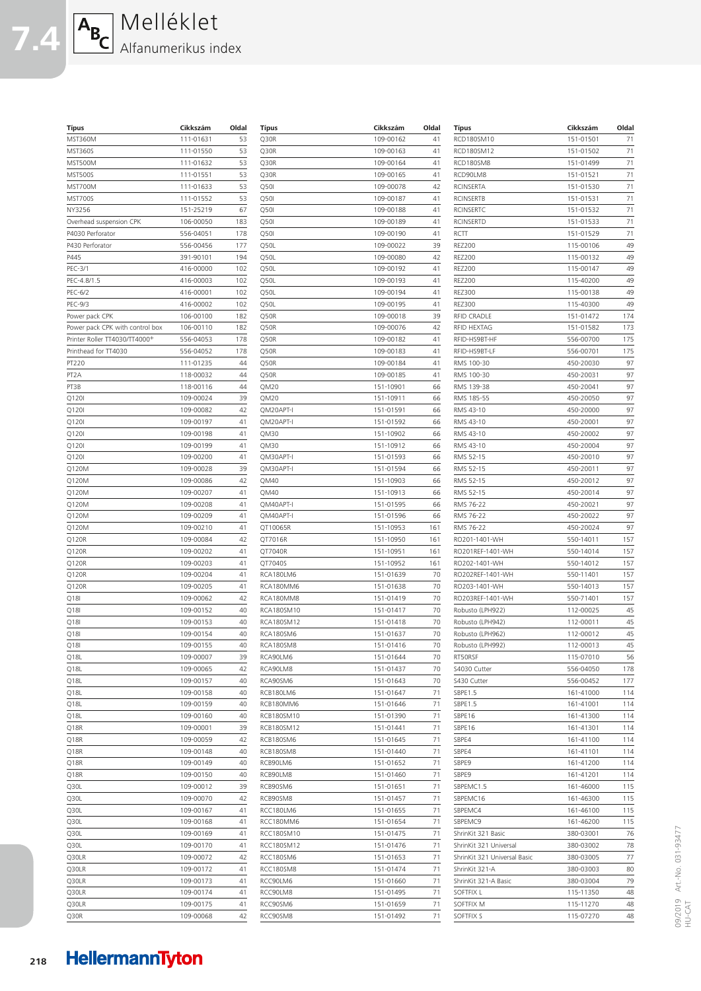| $A_{B_C}$ Melléklet |
|---------------------|
|                     |

**7.4**

| Típus                           | Cikkszám  | Oldal | <b>Típus</b> | Cikkszám  | Oldal | <b>Típus</b>                 | Cikkszám  | Oldal |
|---------------------------------|-----------|-------|--------------|-----------|-------|------------------------------|-----------|-------|
| MST360M                         | 111-01631 | 53    | Q30R         | 109-00162 | 41    | RCD180SM10                   | 151-01501 | 71    |
| <b>MST360S</b>                  | 111-01550 | 53    | Q30R         | 109-00163 | 41    | RCD180SM12                   | 151-01502 | 71    |
| MST500M                         | 111-01632 | 53    | Q30R         | 109-00164 | 41    | RCD180SM8                    | 151-01499 | 71    |
| <b>MST500S</b>                  | 111-01551 | 53    | Q30R         | 109-00165 | 41    | RCD90LM8                     | 151-01521 | 71    |
| MST700M                         | 111-01633 | 53    | Q50I         | 109-00078 | 42    | <b>RCINSERTA</b>             | 151-01530 | 71    |
| MST700S                         | 111-01552 | 53    | Q50I         | 109-00187 | 41    | <b>RCINSERTB</b>             | 151-01531 | 71    |
| NY3256                          | 151-25219 | 67    | Q50I         | 109-00188 | 41    | <b>RCINSERTC</b>             | 151-01532 | 71    |
| Overhead suspension CPK         | 106-00050 | 183   | Q50I         | 109-00189 | 41    | <b>RCINSERTD</b>             | 151-01533 | 71    |
| P4030 Perforator                | 556-04051 | 178   | Q50I         | 109-00190 | 41    | RCTT                         | 151-01529 | 71    |
| P430 Perforator                 | 556-00456 | 177   | Q50L         | 109-00022 | 39    | <b>REZ200</b>                | 115-00106 | 49    |
| P445                            | 391-90101 | 194   | Q50L         | 109-00080 | 42    | <b>REZ200</b>                | 115-00132 | 49    |
| PEC-3/1                         | 416-00000 | 102   | Q50L         | 109-00192 | 41    | <b>REZ200</b>                | 115-00147 | 49    |
| PEC-4.8/1.5                     | 416-00003 | 102   | Q50L         | 109-00193 | 41    | <b>REZ200</b>                | 115-40200 | 49    |
| PEC-6/2                         | 416-00001 | 102   | Q50L         | 109-00194 | 41    | <b>REZ300</b>                | 115-00138 | 49    |
| PEC-9/3                         | 416-00002 | 102   | Q50L         | 109-00195 | 41    | <b>REZ300</b>                | 115-40300 | 49    |
| Power pack CPK                  | 106-00100 | 182   | Q50R         | 109-00018 | 39    | <b>RFID CRADLE</b>           | 151-01472 | 174   |
| Power pack CPK with control box | 106-00110 | 182   | Q50R         | 109-00076 | 42    | RFID HEXTAG                  | 151-01582 | 173   |
| Printer Roller TT4030/TT4000+   | 556-04053 | 178   | Q50R         | 109-00182 | 41    | RFID-HS9BT-HF                | 556-00700 | 175   |
| Printhead for TT4030            | 556-04052 | 178   | Q50R         | 109-00183 | 41    | RFID-HS9BT-LF                | 556-00701 | 175   |
| PT220                           | 111-01235 | 44    | Q50R         | 109-00184 | 41    | RMS 100-30                   | 450-20030 | 97    |
| PT <sub>2</sub> A               | 118-00032 | 44    | Q50R         | 109-00185 | 41    | RMS 100-30                   | 450-20031 | 97    |
| PT3B                            | 118-00116 | 44    | QM20         | 151-10901 | 66    | RMS 139-38                   | 450-20041 | 97    |
| Q120I                           | 109-00024 | 39    | QM20         | 151-10911 | 66    | RMS 185-55                   | 450-20050 | 97    |
| Q120I                           | 109-00082 | 42    | QM20APT-I    | 151-01591 | 66    | RMS 43-10                    | 450-20000 | 97    |
| Q120I                           | 109-00197 | 41    | QM20APT-I    | 151-01592 | 66    | RMS 43-10                    | 450-20001 | 97    |
| Q120I                           | 109-00198 | 41    | QM30         | 151-10902 | 66    | RMS 43-10                    | 450-20002 | 97    |
| Q120I                           | 109-00199 | 41    | QM30         | 151-10912 | 66    | RMS 43-10                    | 450-20004 | 97    |
| Q120I                           | 109-00200 | 41    | QM30APT-I    | 151-01593 | 66    | RMS 52-15                    | 450-20010 | 97    |
| Q120M                           | 109-00028 | 39    | QM30APT-I    | 151-01594 | 66    | RMS 52-15                    | 450-20011 | 97    |
| Q120M                           | 109-00086 | 42    | QM40         | 151-10903 | 66    | RMS 52-15                    | 450-20012 | 97    |
| Q120M                           | 109-00207 | 41    | QM40         | 151-10913 | 66    | RMS 52-15                    | 450-20014 | 97    |
| Q120M                           | 109-00208 | 41    | QM40APT-I    | 151-01595 | 66    | RMS 76-22                    | 450-20021 | 97    |
| Q120M                           | 109-00209 | 41    | QM40APT-I    | 151-01596 | 66    | RMS 76-22                    | 450-20022 | 97    |
| Q120M                           | 109-00210 | 41    | QT10065R     | 151-10953 | 161   | RMS 76-22                    | 450-20024 | 97    |
| Q120R                           | 109-00084 | 42    | QT7016R      | 151-10950 | 161   | RO201-1401-WH                | 550-14011 | 157   |
| Q120R                           | 109-00202 | 41    | QT7040R      | 151-10951 | 161   | RO201REF-1401-WH             | 550-14014 | 157   |
| Q120R                           | 109-00203 | 41    | QT7040S      | 151-10952 | 161   | RO202-1401-WH                | 550-14012 | 157   |
| Q120R                           | 109-00204 | 41    | RCA180LM6    | 151-01639 | 70    | RO202REF-1401-WH             | 550-11401 | 157   |
| Q120R                           | 109-00205 | 41    | RCA180MM6    | 151-01638 | 70    | RO203-1401-WH                | 550-14013 | 157   |
| Q18I                            | 109-00062 | 42    | RCA180MM8    | 151-01419 | 70    | RO203REF-1401-WH             | 550-71401 | 157   |
| Q18I                            | 109-00152 | 40    | RCA180SM10   | 151-01417 | 70    | Robusto (LPH922)             | 112-00025 | 45    |
| Q18I                            | 109-00153 | 40    | RCA180SM12   | 151-01418 | 70    | Robusto (LPH942)             | 112-00011 | 45    |
| Q18I                            | 109-00154 | 40    | RCA180SM6    | 151-01637 | 70    | Robusto (LPH962)             | 112-00012 | 45    |
| Q18I                            | 109-00155 | 40    | RCA180SM8    | 151-01416 | 70    | Robusto (LPH992)             | 112-00013 | 45    |
| Q18L                            | 109-00007 | 39    | RCA90LM6     | 151-01644 | 70    | RT50RSF                      | 115-07010 | 56    |
| Q18L                            | 109-00065 | 42    | RCA90LM8     | 151-01437 | 70    | S4030 Cutter                 | 556-04050 | 178   |
| Q18L                            | 109-00157 | 40    | RCA90SM6     | 151-01643 | 70    | S430 Cutter                  | 556-00452 | 177   |
| Q18L                            | 109-00158 | 40    | RCB180LM6    | 151-01647 | 71    | SBPE1.5                      | 161-41000 | 114   |
| Q18L                            | 109-00159 | 40    | RCB180MM6    | 151-01646 | 71    | SBPE1.5                      | 161-41001 | 114   |
| Q18L                            | 109-00160 | 40    | RCB180SM10   | 151-01390 | 71    | SBPE16                       | 161-41300 | 114   |
| Q18R                            | 109-00001 | 39    | RCB180SM12   | 151-01441 | 71    | SBPE16                       | 161-41301 | 114   |
| Q18R                            | 109-00059 | 42    | RCB180SM6    | 151-01645 | 71    | SBPE4                        | 161-41100 | 114   |
| Q18R                            | 109-00148 | 40    | RCB180SM8    | 151-01440 | 71    | SBPE4                        | 161-41101 | 114   |
| Q18R                            | 109-00149 | 40    | RCB90LM6     | 151-01652 | 71    | SBPE9                        | 161-41200 | 114   |
| Q18R                            | 109-00150 | 40    | RCB90LM8     | 151-01460 | 71    | SBPE9                        | 161-41201 | 114   |
| Q30L                            | 109-00012 | 39    | RCB90SM6     | 151-01651 | 71    | SBPEMC1.5                    | 161-46000 | 115   |
| Q30L                            | 109-00070 | 42    | RCB90SM8     | 151-01457 | 71    | SBPEMC16                     | 161-46300 | 115   |
| Q30L                            | 109-00167 | 41    | RCC180LM6    | 151-01655 | 71    | SBPEMC4                      | 161-46100 | 115   |
| Q30L                            | 109-00168 | 41    | RCC180MM6    | 151-01654 | 71    | SBPEMC9                      | 161-46200 | 115   |
| Q30L                            | 109-00169 | 41    | RCC180SM10   | 151-01475 | 71    | ShrinKit 321 Basic           | 380-03001 | 76    |
| Q30L                            | 109-00170 | 41    | RCC180SM12   | 151-01476 | 71    | ShrinKit 321 Universal       | 380-03002 | 78    |
| Q30LR                           | 109-00072 | 42    | RCC180SM6    | 151-01653 | 71    | ShrinKit 321 Universal Basic | 380-03005 | 77    |
| Q30LR                           | 109-00172 | 41    | RCC180SM8    | 151-01474 | 71    | ShrinKit 321-A               | 380-03003 | 80    |
| Q30LR                           | 109-00173 | 41    | RCC90LM6     | 151-01660 | 71    | ShrinKit 321-A Basic         | 380-03004 | 79    |
| Q30LR                           | 109-00174 | 41    | RCC90LM8     | 151-01495 | 71    | SOFTFIX L                    | 115-11350 | 48    |
| Q30LR                           | 109-00175 | 41    | RCC90SM6     | 151-01659 | 71    | SOFTFIX M                    | 115-11270 | 48    |
| Q30R                            | 109-00068 | 42    | RCC90SM8     | 151-01492 | 71    | SOFTFIX S                    | 115-07270 | 48    |
|                                 |           |       |              |           |       |                              |           |       |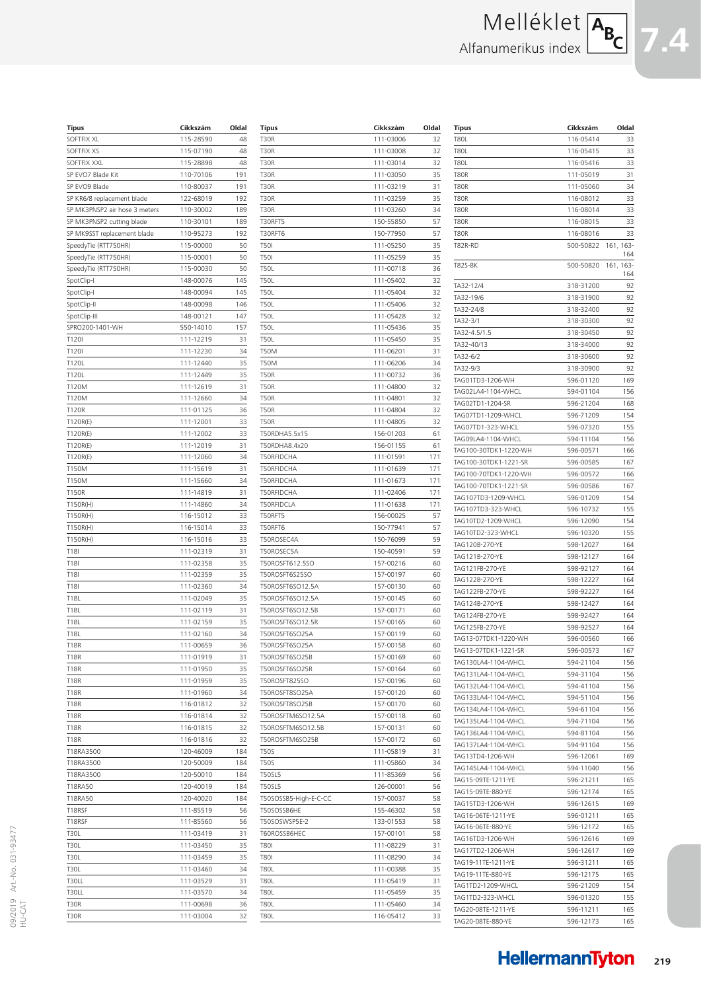| Típus                         | Cikkszám  | Oldal |
|-------------------------------|-----------|-------|
| SOFTFIX XL                    | 115-28590 | 48    |
| SOFTFIX XS                    | 115-07190 | 48    |
| SOFTFIX XXL                   | 115-28898 | 48    |
| SP EVO7 Blade Kit             | 110-70106 | 191   |
| SP EVO9 Blade                 | 110-80037 | 191   |
| SP KR6/8 replacement blade    | 122-68019 | 192   |
| SP MK3PNSP2 air hose 3 meters | 110-30002 | 189   |
| SP MK3PNSP2 cutting blade     | 110-30101 | 189   |
| SP MK9SST replacement blade   | 110-95273 | 192   |
| SpeedyTie (RTT750HR)          | 115-00000 | 50    |
| SpeedyTie (RTT750HR)          | 115-00001 | 50    |
| SpeedyTie (RTT750HR)          | 115-00030 | 50    |
| SpotClip-I                    | 148-00076 | 145   |
| SpotClip-I                    | 148-00094 | 145   |
| SpotClip-II                   | 148-00098 | 146   |
| SpotClip-III                  | 148-00121 | 147   |
| SPRO200-1401-WH               | 550-14010 | 157   |
| T120I                         | 111-12219 | 31    |
| T120I                         | 111-12230 | 34    |
| T120L                         | 111-12440 | 35    |
| T120L                         | 111-12449 | 35    |
| T120M                         | 111-12619 | 31    |
| T120M                         | 111-12660 | 34    |
| T120R                         | 111-01125 | 36    |
| T120R(E)                      | 111-12001 | 33    |
| T120R(E)                      | 111-12002 | 33    |
| T120R(E)                      | 111-12019 | 31    |
| T120R(E)                      | 111-12060 | 34    |
| T150M                         | 111-15619 | 31    |
| T150M                         | 111-15660 | 34    |
| T150R                         | 111-14819 | 31    |
| T150R(H)                      | 111-14860 | 34    |
| T150R(H)                      | 116-15012 | 33    |
| T150R(H)                      | 116-15014 | 33    |
| T150R(H)                      | 116-15016 | 33    |
| T <sub>18</sub>               | 111-02319 | 31    |
| T18I                          | 111-02358 | 35    |
| T18I                          | 111-02359 | 35    |
| T18I                          | 111-02360 | 34    |
| T18L                          | 111-02049 | 35    |
| T18L                          | 111-02119 | 31    |
| T18L                          | 111-02159 | 35    |
| T18L                          | 111-02160 | 34    |
| <b>T18R</b>                   | 111-00659 | 36    |
| <b>T18R</b>                   | 111-01919 | 31    |
| T18R                          | 111-01950 | 35    |
| <b>T18R</b>                   | 111-01959 | 35    |
| T18R                          | 111-01960 | 34    |
| T18R                          | 116-01812 | 32    |
| T18R                          | 116-01814 | 32    |
| T18R                          | 116-01815 | 32    |
| T18R                          | 116-01816 | 32    |
| T18RA3500                     | 120-46009 | 184   |
| T18RA3500                     | 120-50009 | 184   |
| T18RA3500                     | 120-50010 | 184   |
| T18RA50                       | 120-40019 | 184   |
| T18RA50                       | 120-40020 | 184   |
| T18RSF                        | 111-85519 | 56    |
| T18RSF                        | 111-85560 | 56    |
| T30L                          | 111-03419 | 31    |
| T30L                          | 111-03450 | 35    |
| T30L                          | 111-03459 | 35    |
| T30L                          | 111-03460 | 34    |
| T30LL                         | 111-03529 | 31    |
| T30LL                         | 111-03570 | 34    |
| T30R                          | 111-00698 | 36    |
| T30R                          | 111-03004 | 32    |

| Tipus                 | Cikkszám               | Oldal |
|-----------------------|------------------------|-------|
| T30R                  | 111-03006              | 32    |
| T30R                  | 111-03008              | 32    |
| T30R                  | 111-03014              | 32    |
| T30R                  | 111-03050              | 35    |
| <b>T30R</b>           | 111-03219              | 31    |
| T30R                  | 111-03259              | 35    |
| <b>T30R</b>           | 111-03260              | 34    |
| T30RFT5               | 150-55850              | 57    |
| T30RFT6               | 150-77950              | 57    |
| T50I                  | 111-05250              | 35    |
| T50I                  | 111-05259              | 35    |
| <b>T50L</b>           |                        | 36    |
|                       | 111-00718              |       |
| <b>T50L</b>           | 111-05402              | 32    |
| <b>T50L</b>           | 111-05404              | 32    |
| <b>T50L</b>           | 111-05406              | 32    |
| <b>T50L</b>           | 111-05428              | 32    |
| <b>T50L</b>           | 111-05436              | 35    |
| <b>T50L</b>           | 111-05450              | 35    |
| T50M                  | 111-06201              | 31    |
| T50M                  | 111-06206              | 34    |
| <b>T50R</b>           | 111-00732              | 36    |
| <b>T50R</b>           | 111-04800              | 32    |
| <b>T50R</b>           | 111-04801              | 32    |
| <b>T50R</b>           | 111-04804              | 32    |
| <b>T50R</b>           | 111-04805              | 32    |
| T50RDHA5.5x15         | 156-01203              | 61    |
| T50RDHA8.4x20         | 156-01155              | 61    |
| T50RFIDCHA            | 111-01591              | 171   |
| T50RFIDCHA            | 111-01639              | 171   |
| T50RFIDCHA            | 111-01673              | 171   |
| T50RFIDCHA            | 111-02406              | 171   |
| T50RFIDCLA            | 111-01638              | 171   |
| T50RFT5               | 156-00025              | 57    |
| T50RFT6               | 150-77941              | 57    |
| T50ROSEC4A            | 150-76099              | 59    |
| T50ROSEC5A            | 150-40591              | 59    |
|                       |                        | 60    |
| T50ROSFT612.5SO       | 157-00216              |       |
| T50ROSFT6S25SO        | 157-00197<br>157-00130 | 60    |
| T50ROSFT6SO12.5A      |                        | 60    |
| T50ROSFT6SO12.5A      | 157-00145              | 60    |
| T50ROSFT6SO12.5B      | 157-00171              | 60    |
| T50ROSFT6SO12.5R      | 157-00165              | 60    |
| T50ROSFT6SO25A        | 157-00119              | 60    |
| T50ROSFT6SO25A        | 157-00158              | 60    |
| T50ROSFT6SO25B        | 157-00169              | 60    |
| T50ROSFT6SO25R        | 157-00164              | 60    |
| T50ROSFT825SO         | 157-00196              | 60    |
| T50ROSFT8SO25A        | 157-00120              | 60    |
| T50ROSFT8SO25B        | 157-00170              | 60    |
| T50ROSFTM6SO12.5A     | 157-00118              | 60    |
| T50ROSFTM6SO12.5B     | 157-00131              | 60    |
| T50ROSFTM6SO25B       | 157-00172              | 60    |
| <b>T50S</b>           | 111-05819              | 31    |
| T50S                  | 111-05860              | 34    |
| T50SL5                | 111-85369              | 56    |
| <b>T50SL5</b>         | 126-00001              | 56    |
| T50SOSSB5-High-E-C-CC | 157-00037              | 58    |
| T50SOSSB6HE           | 155-46302              | 58    |
| T50SOSWSP5E-2         | 133-01553              | 58    |
|                       |                        |       |
| T60ROSSB6HEC          | 157-00101              | 58    |
| T801                  | 111-08229              | 31    |
| T801                  | 111-08290              | 34    |
| T80L                  | 111-00388              | 35    |
| T80L                  | 111-05419              | 31    |
| T80L                  | 111-05459              | 35    |
| T80L                  | 111-05460              | 34    |
| T80L                  | 116-05412              | 33    |
|                       |                        |       |

| Típus                               | Cikkszám               | Oldal            |
|-------------------------------------|------------------------|------------------|
| <b>T80L</b>                         | 116-05414              | 33               |
| <b>T80L</b>                         | 116-05415              | 33               |
| <b>T80L</b>                         | 116-05416              | 33               |
| <b>T80R</b>                         | 111-05019              | 31               |
| <b>T80R</b>                         | 111-05060              | 34               |
| <b>T80R</b>                         | 116-08012              | 33               |
| T80R                                | 116-08014              | 33               |
| <b>T80R</b>                         | 116-08015              | 33               |
| <b>T80R</b>                         | 116-08016              | 33               |
| T82R-RD                             | 500-50822              | 161, 163-<br>164 |
| T82S-BK                             | 500-50820              | 161, 163-<br>164 |
| TA32-12/4                           | 318-31200              | 92               |
| TA32-19/6                           | 318-31900              | 92               |
| TA32-24/8                           | 318-32400              | 92               |
| TA32-3/1                            | 318-30300              | 92               |
| TA32-4.5/1.5                        | 318-30450              | 92               |
| TA32-40/13                          | 318-34000              | 92               |
| TA32-6/2                            | 318-30600              | 92               |
| TA32-9/3                            | 318-30900              | 92               |
| TAG01TD3-1206-WH                    | 596-01120              | 169              |
| TAG02LA4-1104-WHCL                  | 594-01104              | 156              |
| TAG02TD1-1204-SR                    | 596-21204              | 168              |
| TAG07TD1-1209-WHCL                  | 596-71209              | 154              |
| TAG07TD1-323-WHCL                   | 596-07320              | 155              |
| TAG09LA4-1104-WHCL                  | 594-11104              | 156              |
| TAG100-30TDK1-1220-WH               | 596-00571              | 166              |
| TAG100-30TDK1-1221-SR               | 596-00585              | 167              |
| TAG100-70TDK1-1220-WH               | 596-00572              | 166              |
| TAG100-70TDK1-1221-SR               | 596-00586              | 167              |
| TAG107TD3-1209-WHCL                 | 596-01209              | 154              |
| TAG107TD3-323-WHCL                  | 596-10732              | 155              |
| TAG10TD2-1209-WHCL                  | 596-12090              | 154<br>155       |
| TAG10TD2-323-WHCL<br>TAG120B-270-YE | 596-10320<br>598-12027 | 164              |
| TAG121B-270-YE                      | 598-12127              | 164              |
| TAG121FB-270-YE                     | 598-92127              | 164              |
| TAG122B-270-YE                      | 598-12227              | 164              |
| TAG122FB-270-YE                     | 598-92227              | 164              |
| TAG124B-270-YE                      | 598-12427              | 164              |
| TAG124FB-270-YE                     | 598-92427              | 164              |
| TAG125FB-270-YE                     | 598-92527              | 164              |
| TAG13-07TDK1-1220-WH                | 596-00560              | 166              |
| TAG13-07TDK1-1221-SR                | 596-00573              | 167              |
| TAG130LA4-1104-WHCL                 | 594-21104              | 156              |
| TAG131LA4-1104-WHCL                 | 594-31104              | 156              |
| TAG132LA4-1104-WHCL                 | 594-41104              | 156              |
| TAG133LA4-1104-WHCL                 | 594-51104              | 156              |
| TAG134LA4-1104-WHCL                 | 594-61104              | 156              |
| TAG135LA4-1104-WHCL                 | 594-71104              | 156              |
| TAG136LA4-1104-WHCL                 | 594-81104              | 156              |
| TAG137LA4-1104-WHCL                 | 594-91104              | 156              |
| TAG13TD4-1206-WH                    | 596-12061              | 169              |
| TAG145LA4-1104-WHCL                 | 594-11040              | 156              |
| TAG15-09TE-1211-YE                  | 596-21211              | 165              |
| TAG15-09TE-880-YE                   | 596-12174              | 165              |
| TAG15TD3-1206-WH                    | 596-12615              | 169              |
| TAG16-06TE-1211-YE                  | 596-01211              | 165              |
| TAG16-06TE-880-YE                   | 596-12172              | 165              |
| TAG16TD3-1206-WH                    | 596-12616              | 169              |
| TAG17TD2-1206-WH                    | 596-12617              | 169              |
| TAG19-11TE-1211-YE                  | 596-31211              | 165              |
| TAG19-11TE-880-YE                   | 596-12175              | 165              |
| TAG1TD2-1209-WHCL                   | 596-21209              | 154              |
| TAG1TD2-323-WHCL                    | 596-01320              | 155              |
| TAG20-08TE-1211-YE                  | 596-11211              | 165              |
| TAG20-08TE-880-YE                   | 596-12173              | 165              |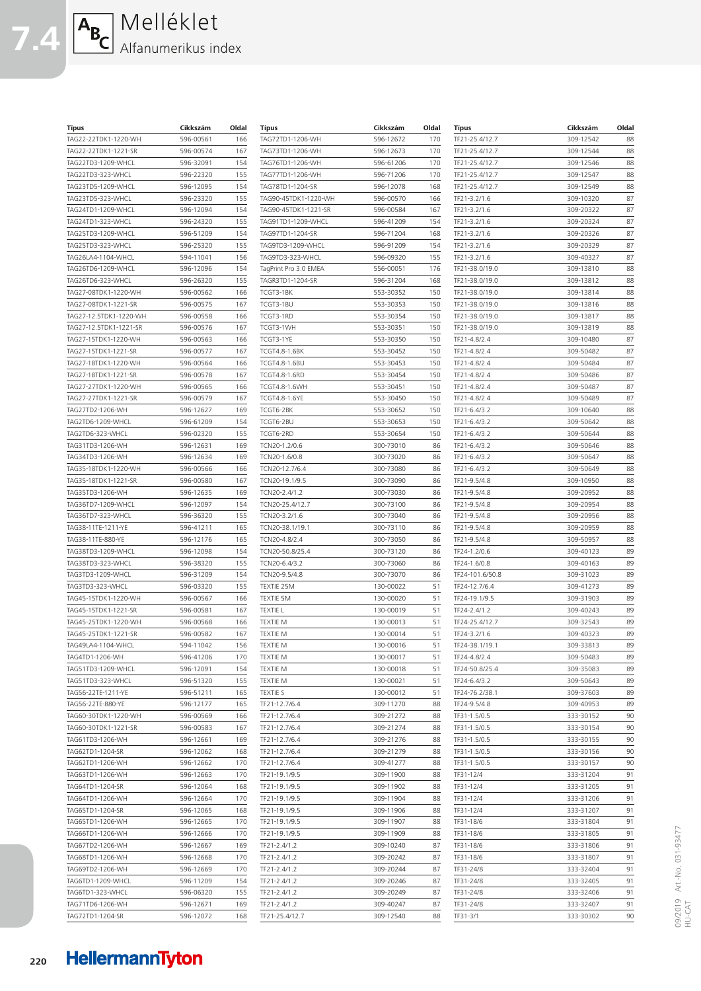## **7.4** Melléklet Alfanumerikus index

| Típus                  | Cikkszám  | Oldal | <b>Tipus</b>          | Cikkszám  | Oldal | Típus           | Cikkszám  | Oldal |
|------------------------|-----------|-------|-----------------------|-----------|-------|-----------------|-----------|-------|
| TAG22-22TDK1-1220-WH   | 596-00561 | 166   | TAG72TD1-1206-WH      | 596-12672 | 170   | TF21-25.4/12.7  | 309-12542 | 88    |
| TAG22-22TDK1-1221-SR   | 596-00574 | 167   | TAG73TD1-1206-WH      | 596-12673 | 170   | TF21-25.4/12.7  | 309-12544 | 88    |
| TAG22TD3-1209-WHCL     | 596-32091 | 154   | TAG76TD1-1206-WH      | 596-61206 | 170   | TF21-25.4/12.7  | 309-12546 | 88    |
|                        |           |       |                       |           |       |                 |           |       |
| TAG22TD3-323-WHCL      | 596-22320 | 155   | TAG77TD1-1206-WH      | 596-71206 | 170   | TF21-25.4/12.7  | 309-12547 | 88    |
| TAG23TD5-1209-WHCL     | 596-12095 | 154   | TAG78TD1-1204-SR      | 596-12078 | 168   | TF21-25.4/12.7  | 309-12549 | 88    |
| TAG23TD5-323-WHCL      | 596-23320 | 155   | TAG90-45TDK1-1220-WH  | 596-00570 | 166   | TF21-3.2/1.6    | 309-10320 | 87    |
| TAG24TD1-1209-WHCL     | 596-12094 | 154   | TAG90-45TDK1-1221-SR  | 596-00584 | 167   | TF21-3.2/1.6    | 309-20322 | 87    |
| TAG24TD1-323-WHCL      | 596-24320 | 155   | TAG91TD1-1209-WHCL    | 596-41209 | 154   | TF21-3.2/1.6    | 309-20324 | 87    |
| TAG25TD3-1209-WHCL     | 596-51209 | 154   | TAG97TD1-1204-SR      | 596-71204 | 168   | TF21-3.2/1.6    | 309-20326 | 87    |
| TAG25TD3-323-WHCL      | 596-25320 | 155   | TAG9TD3-1209-WHCL     | 596-91209 | 154   | TF21-3.2/1.6    | 309-20329 | 87    |
|                        |           |       |                       |           |       |                 |           |       |
| TAG26LA4-1104-WHCL     | 594-11041 | 156   | TAG9TD3-323-WHCL      | 596-09320 | 155   | TF21-3.2/1.6    | 309-40327 | 87    |
| TAG26TD6-1209-WHCL     | 596-12096 | 154   | TagPrint Pro 3.0 EMEA | 556-00051 | 176   | TF21-38.0/19.0  | 309-13810 | 88    |
| TAG26TD6-323-WHCL      | 596-26320 | 155   | TAGR3TD1-1204-SR      | 596-31204 | 168   | TF21-38.0/19.0  | 309-13812 | 88    |
| TAG27-08TDK1-1220-WH   | 596-00562 | 166   | TCGT3-1BK             | 553-30352 | 150   | TF21-38.0/19.0  | 309-13814 | 88    |
| TAG27-08TDK1-1221-SR   | 596-00575 | 167   | TCGT3-1BU             | 553-30353 | 150   | TF21-38.0/19.0  | 309-13816 | 88    |
| TAG27-12.5TDK1-1220-WH | 596-00558 | 166   | TCGT3-1RD             | 553-30354 | 150   | TF21-38.0/19.0  | 309-13817 | 88    |
| TAG27-12.5TDK1-1221-SR | 596-00576 | 167   | TCGT3-1WH             | 553-30351 |       | TF21-38.0/19.0  | 309-13819 | 88    |
|                        |           |       |                       |           | 150   |                 |           |       |
| TAG27-15TDK1-1220-WH   | 596-00563 | 166   | TCGT3-1YE             | 553-30350 | 150   | TF21-4.8/2.4    | 309-10480 | 87    |
| TAG27-15TDK1-1221-SR   | 596-00577 | 167   | TCGT4.8-1.6BK         | 553-30452 | 150   | TF21-4.8/2.4    | 309-50482 | 87    |
| TAG27-18TDK1-1220-WH   | 596-00564 | 166   | TCGT4.8-1.6BU         | 553-30453 | 150   | TF21-4.8/2.4    | 309-50484 | 87    |
| TAG27-18TDK1-1221-SR   | 596-00578 | 167   | TCGT4.8-1.6RD         | 553-30454 | 150   | TF21-4.8/2.4    | 309-50486 | 87    |
| TAG27-27TDK1-1220-WH   | 596-00565 | 166   | <b>TCGT4.8-1.6WH</b>  | 553-30451 | 150   | TF21-4.8/2.4    | 309-50487 | 87    |
| TAG27-27TDK1-1221-SR   | 596-00579 | 167   | TCGT4.8-1.6YE         | 553-30450 | 150   | TF21-4.8/2.4    | 309-50489 | 87    |
|                        |           |       |                       |           |       |                 |           |       |
| TAG27TD2-1206-WH       | 596-12627 | 169   | TCGT6-2BK             | 553-30652 | 150   | TF21-6.4/3.2    | 309-10640 | 88    |
| TAG2TD6-1209-WHCL      | 596-61209 | 154   | TCGT6-2BU             | 553-30653 | 150   | TF21-6.4/3.2    | 309-50642 | 88    |
| TAG2TD6-323-WHCL       | 596-02320 | 155   | TCGT6-2RD             | 553-30654 | 150   | TF21-6.4/3.2    | 309-50644 | 88    |
| TAG31TD3-1206-WH       | 596-12631 | 169   | TCN20-1.2/0.6         | 300-73010 | 86    | TF21-6.4/3.2    | 309-50646 | 88    |
| TAG34TD3-1206-WH       | 596-12634 | 169   | TCN20-1.6/0.8         | 300-73020 | 86    | TF21-6.4/3.2    | 309-50647 | 88    |
| TAG35-18TDK1-1220-WH   | 596-00566 | 166   | TCN20-12.7/6.4        | 300-73080 | 86    | TF21-6.4/3.2    | 309-50649 | 88    |
|                        | 596-00580 | 167   |                       |           | 86    |                 |           | 88    |
| TAG35-18TDK1-1221-SR   |           |       | TCN20-19.1/9.5        | 300-73090 |       | TF21-9.5/4.8    | 309-10950 |       |
| TAG35TD3-1206-WH       | 596-12635 | 169   | TCN20-2.4/1.2         | 300-73030 | 86    | TF21-9.5/4.8    | 309-20952 | 88    |
| TAG36TD7-1209-WHCL     | 596-12097 | 154   | TCN20-25.4/12.7       | 300-73100 | 86    | TF21-9.5/4.8    | 309-20954 | 88    |
| TAG36TD7-323-WHCL      | 596-36320 | 155   | TCN20-3.2/1.6         | 300-73040 | 86    | TF21-9.5/4.8    | 309-20956 | 88    |
| TAG38-11TE-1211-YE     | 596-41211 | 165   | TCN20-38.1/19.1       | 300-73110 | 86    | TF21-9.5/4.8    | 309-20959 | 88    |
| TAG38-11TE-880-YE      | 596-12176 | 165   | TCN20-4.8/2.4         | 300-73050 | 86    | TF21-9.5/4.8    | 309-50957 | 88    |
| TAG38TD3-1209-WHCL     | 596-12098 | 154   | TCN20-50.8/25.4       | 300-73120 | 86    | TF24-1.2/0.6    | 309-40123 | 89    |
|                        |           |       |                       |           |       |                 |           |       |
| TAG38TD3-323-WHCL      | 596-38320 | 155   | TCN20-6.4/3.2         | 300-73060 | 86    | TF24-1.6/0.8    | 309-40163 | 89    |
| TAG3TD3-1209-WHCL      | 596-31209 | 154   | TCN20-9.5/4.8         | 300-73070 | 86    | TF24-101.6/50.8 | 309-31023 | 89    |
| TAG3TD3-323-WHCL       | 596-03320 | 155   | TEXTIE 25M            | 130-00022 | 51    | TF24-12.7/6.4   | 309-41273 | 89    |
| TAG45-15TDK1-1220-WH   | 596-00567 | 166   | TEXTIE 5M             | 130-00020 | 51    | TF24-19.1/9.5   | 309-31903 | 89    |
| TAG45-15TDK1-1221-SR   | 596-00581 | 167   | <b>TEXTIE L</b>       | 130-00019 | 51    | TF24-2.4/1.2    | 309-40243 | 89    |
| TAG45-25TDK1-1220-WH   | 596-00568 | 166   | <b>TEXTIE M</b>       | 130-00013 | 51    | TF24-25.4/12.7  | 309-32543 | 89    |
| TAG45-25TDK1-1221-SR   | 596-00582 | 167   | <b>TEXTIE M</b>       | 130-00014 | 51    | TF24-3.2/1.6    | 309-40323 | 89    |
|                        |           |       |                       |           |       |                 |           |       |
| TAG49LA4-1104-WHCL     | 594-11042 | 156   | TEXTIE M              | 130-00016 | 51    | TF24-38.1/19.1  | 309-33813 | 89    |
| TAG4TD1-1206-WH        | 596-41206 | 170   | <b>TEXTIE M</b>       | 130-00017 | 51    | TF24-4.8/2.4    | 309-50483 | 89    |
| TAG51TD3-1209-WHCL     | 596-12091 | 154   | TEXTIE M              | 130-00018 | 51    | TF24-50.8/25.4  | 309-35083 | 89    |
| TAG51TD3-323-WHCL      | 596-51320 | 155   | TEXTIE M              | 130-00021 | 51    | TF24-6.4/3.2    | 309-50643 | 89    |
| TAG56-22TE-1211-YE     | 596-51211 | 165   | <b>TEXTIE S</b>       | 130-00012 | 51    | TF24-76.2/38.1  | 309-37603 | 89    |
| TAG56-22TE-880-YE      | 596-12177 | 165   | TF21-12.7/6.4         | 309-11270 | 88    | TF24-9.5/4.8    | 309-40953 | 89    |
| TAG60-30TDK1-1220-WH   | 596-00569 | 166   | TF21-12.7/6.4         | 309-21272 | 88    | TF31-1.5/0.5    | 333-30152 | 90    |
|                        |           |       |                       |           |       |                 |           | 90    |
| TAG60-30TDK1-1221-SR   | 596-00583 | 167   | TF21-12.7/6.4         | 309-21274 | 88    | TF31-1.5/0.5    | 333-30154 |       |
| TAG61TD3-1206-WH       | 596-12661 | 169   | TF21-12.7/6.4         | 309-21276 | 88    | TF31-1.5/0.5    | 333-30155 | 90    |
| TAG62TD1-1204-SR       | 596-12062 | 168   | TF21-12.7/6.4         | 309-21279 | 88    | TF31-1.5/0.5    | 333-30156 | 90    |
| TAG62TD1-1206-WH       | 596-12662 | 170   | TF21-12.7/6.4         | 309-41277 | 88    | TF31-1.5/0.5    | 333-30157 | 90    |
| TAG63TD1-1206-WH       | 596-12663 | 170   | TF21-19.1/9.5         | 309-11900 | 88    | TF31-12/4       | 333-31204 | 91    |
| TAG64TD1-1204-SR       | 596-12064 | 168   | TF21-19.1/9.5         | 309-11902 | 88    | TF31-12/4       | 333-31205 | 91    |
|                        |           |       |                       |           |       |                 |           | 91    |
| TAG64TD1-1206-WH       | 596-12664 | 170   | TF21-19.1/9.5         | 309-11904 | 88    | TF31-12/4       | 333-31206 |       |
| TAG65TD1-1204-SR       | 596-12065 | 168   | TF21-19.1/9.5         | 309-11906 | 88    | TF31-12/4       | 333-31207 | 91    |
| TAG65TD1-1206-WH       | 596-12665 | 170   | TF21-19.1/9.5         | 309-11907 | 88    | TF31-18/6       | 333-31804 | 91    |
| TAG66TD1-1206-WH       | 596-12666 | 170   | TF21-19.1/9.5         | 309-11909 | 88    | TF31-18/6       | 333-31805 | 91    |
| TAG67TD2-1206-WH       | 596-12667 | 169   | TF21-2.4/1.2          | 309-10240 | 87    | TF31-18/6       | 333-31806 | 91    |
| TAG68TD1-1206-WH       | 596-12668 | 170   | TF21-2.4/1.2          | 309-20242 | 87    | TF31-18/6       | 333-31807 | 91    |
|                        |           |       |                       |           |       |                 |           | 91    |
| TAG69TD2-1206-WH       | 596-12669 | 170   | TF21-2.4/1.2          | 309-20244 | 87    | TF31-24/8       | 333-32404 |       |
| TAG6TD1-1209-WHCL      | 596-11209 | 154   | TF21-2.4/1.2          | 309-20246 | 87    | TF31-24/8       | 333-32405 | 91    |
| TAG6TD1-323-WHCL       | 596-06320 | 155   | TF21-2.4/1.2          | 309-20249 | 87    | TF31-24/8       | 333-32406 | 91    |
| TAG71TD6-1206-WH       | 596-12671 | 169   | TF21-2.4/1.2          | 309-40247 | 87    | TF31-24/8       | 333-32407 | 91    |
| TAG72TD1-1204-SR       | 596-12072 | 168   | TF21-25.4/12.7        | 309-12540 | 88    | TF31-3/1        | 333-30302 | 90    |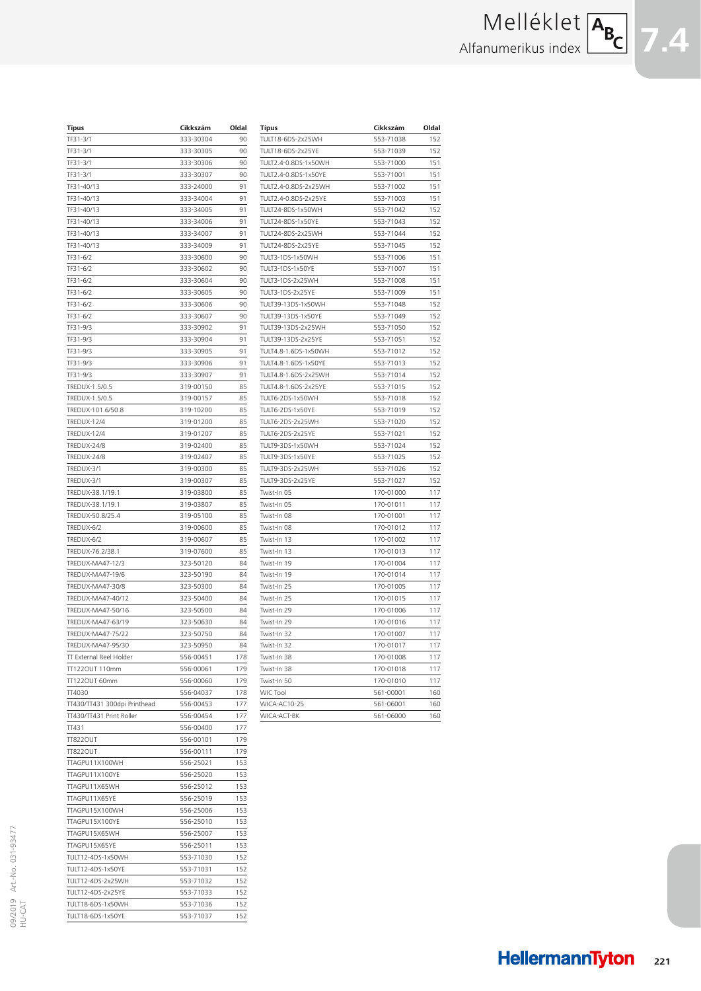# Melléklet Alfanumerikus index

| Típus                           | Cikkszám               | Oldal      |
|---------------------------------|------------------------|------------|
| TF31-3/1                        | 333-30304              | 90         |
| TF31-3/1                        | 333-30305              | 90         |
| TF31-3/1                        | 333-30306              | 90         |
| TF31-3/1                        | 333-30307              | 90         |
| TF31-40/13                      | 333-24000              | 91         |
| TF31-40/13                      | 333-34004              | 91         |
| TF31-40/13                      | 333-34005              | 91         |
| TF31-40/13                      | 333-34006              | 91         |
| TF31-40/13                      | 333-34007              | 91<br>91   |
| TF31-40/13<br>TF31-6/2          | 333-34009<br>333-30600 | 90         |
| TF31-6/2                        | 333-30602              | 90         |
| TF31-6/2                        | 333-30604              | 90         |
| TF31-6/2                        | 333-30605              | 90         |
| TF31-6/2                        | 333-30606              | 90         |
| TF31-6/2                        | 333-30607              | 90         |
| TF31-9/3                        | 333-30902              | 91         |
| TF31-9/3                        | 333-30904              | 91         |
| TF31-9/3                        | 333-30905              | 91         |
| TF31-9/3                        | 333-30906              | 91         |
| TF31-9/3                        | 333-30907              | 91         |
| TREDUX-1.5/0.5                  | 319-00150              | 85         |
| TREDUX-1.5/0.5                  | 319-00157              | 85         |
| TREDUX-101.6/50.8               | 319-10200              | 85         |
| <b>TREDUX-12/4</b>              | 319-01200              | 85         |
| TREDUX-12/4                     | 319-01207              | 85         |
| TREDUX-24/8                     | 319-02400              | 85         |
| TREDUX-24/8                     | 319-02407              | 85         |
| TREDUX-3/1                      | 319-00300              | 85         |
| TREDUX-3/1                      | 319-00307              | 85         |
| TREDUX-38.1/19.1                | 319-03800              | 85         |
| TREDUX-38.1/19.1                | 319-03807              | 85         |
| TREDUX-50.8/25.4                | 319-05100              | 85         |
| TREDUX-6/2                      | 319-00600              | 85         |
| TREDUX-6/2<br>TREDUX-76.2/38.1  | 319-00607<br>319-07600 | 85<br>85   |
| TREDUX-MA47-12/3                | 323-50120              | 84         |
| TREDUX-MA47-19/6                | 323-50190              | 84         |
| TREDUX-MA47-30/8                | 323-50300              | 84         |
| TREDUX-MA47-40/12               | 323-50400              | 84         |
| TREDUX-MA47-50/16               | 323-50500              | 84         |
| TREDUX-MA47-63/19               | 323-50630              | 84         |
| TREDUX-MA47-75/22               | 323-50750              | 84         |
| TREDUX-MA47-95/30               | 323-50950              | 84         |
| TT External Reel Holder         | 556-00451              | 178        |
| TT1220UT 110mm                  | 556-00061              | 179        |
| TT1220UT 60mm                   | 556-00060              | 179        |
| TT4030                          | 556-04037              | 178        |
| TT430/TT431 300dpi Printhead    | 556-00453              | 177        |
| TT430/TT431 Print Roller        | 556-00454              | 177        |
| TT431                           | 556-00400              | 177        |
| <b>TT822OUT</b>                 | 556-00101              | 179        |
| <b>TT822OUT</b>                 | 556-00111              | 179        |
| TTAGPU11X100WH                  | 556-25021              | 153        |
| TTAGPU11X100YE                  | 556-25020              | 153        |
| TTAGPU11X65WH                   | 556-25012              | 153        |
| TTAGPU11X65YE                   | 556-25019              | 153        |
| TTAGPU15X100WH                  | 556-25006              | 153        |
| TTAGPU15X100YE<br>TTAGPU15X65WH | 556-25010<br>556-25007 | 153<br>153 |
| TTAGPU15X65YE                   | 556-25011              | 153        |
| TULT12-4DS-1x50WH               | 553-71030              | 152        |
| TULT12-4DS-1x50YE               | 553-71031              | 152        |
| TULT12-4DS-2x25WH               | 553-71032              | 152        |
| TULT12-4DS-2x25YE               | 553-71033              | 152        |
| TULT18-6DS-1x50WH               | 553-71036              | 152        |
| TULT18-6DS-1x50YE               | 553-71037              | 152        |
|                                 |                        |            |

| <b>Típus</b>         | Cikkszám  | Oldal |
|----------------------|-----------|-------|
| TULT18-6DS-2x25WH    | 553-71038 | 152   |
| TULT18-6DS-2x25YE    | 553-71039 | 152   |
| TULT2.4-0.8DS-1x50WH | 553-71000 | 151   |
| TULT2.4-0.8DS-1x50YE | 553-71001 | 151   |
| TULT2.4-0.8DS-2x25WH | 553-71002 | 151   |
| TULT2.4-0.8DS-2x25YE | 553-71003 | 151   |
| TULT24-8DS-1x50WH    | 553-71042 | 152   |
| TULT24-8DS-1x50YE    | 553-71043 | 152   |
| TULT24-8DS-2x25WH    | 553-71044 | 152   |
| TULT24-8DS-2x25YE    | 553-71045 | 152   |
| TULT3-1DS-1x50WH     | 553-71006 | 151   |
| TULT3-1DS-1x50YE     | 553-71007 | 151   |
| TULT3-1DS-2x25WH     | 553-71008 | 151   |
| TULT3-1DS-2x25YE     | 553-71009 | 151   |
| TULT39-13DS-1x50WH   | 553-71048 | 152   |
| TULT39-13DS-1x50YE   | 553-71049 | 152   |
| TULT39-13DS-2x25WH   | 553-71050 | 152   |
| TULT39-13DS-2x25YE   | 553-71051 | 152   |
| TULT4.8-1.6DS-1x50WH | 553-71012 | 152   |
| TULT4.8-1.6DS-1x50YE | 553-71013 | 152   |
| TULT4.8-1.6DS-2x25WH | 553-71014 | 152   |
| TULT4.8-1.6DS-2x25YE | 553-71015 | 152   |
| TULT6-2DS-1x50WH     | 553-71018 | 152   |
| TULT6-2DS-1x50YE     | 553-71019 | 152   |
| TULT6-2DS-2x25WH     | 553-71020 | 152   |
| TULT6-2DS-2x25YE     | 553-71021 | 152   |
| TULT9-3DS-1x50WH     | 553-71024 | 152   |
| TULT9-3DS-1x50YE     | 553-71025 | 152   |
| TULT9-3DS-2x25WH     | 553-71026 | 152   |
| TULT9-3DS-2x25YE     | 553-71027 | 152   |
| Twist-In 05          | 170-01000 | 117   |
| Twist-In 05          | 170-01011 | 117   |
| Twist-In 08          | 170-01001 | 117   |
| Twist-In 08          | 170-01012 | 117   |
| Twist-In 13          | 170-01002 | 117   |
| Twist-In 13          | 170-01013 | 117   |
| Twist-In 19          | 170-01004 | 117   |
| Twist-In 19          | 170-01014 | 117   |
| Twist-In 25          | 170-01005 | 117   |
| Twist-In 25          | 170-01015 | 117   |
| Twist-In 29          | 170-01006 | 117   |
| Twist-In 29          | 170-01016 | 117   |
| Twist-In 32          | 170-01007 | 117   |
| Twist-In 32          | 170-01017 | 117   |
| Twist-In 38          | 170-01008 | 117   |
| Twist-In 38          | 170-01018 | 117   |
| Twist-In 50          | 170-01010 | 117   |
| WIC Tool             | 561-00001 | 160   |
| WICA-AC10-25         | 561-06001 | 160   |
|                      |           |       |
| WICA-ACT-BK          | 561-06000 | 160   |

**HellermannTyton 221**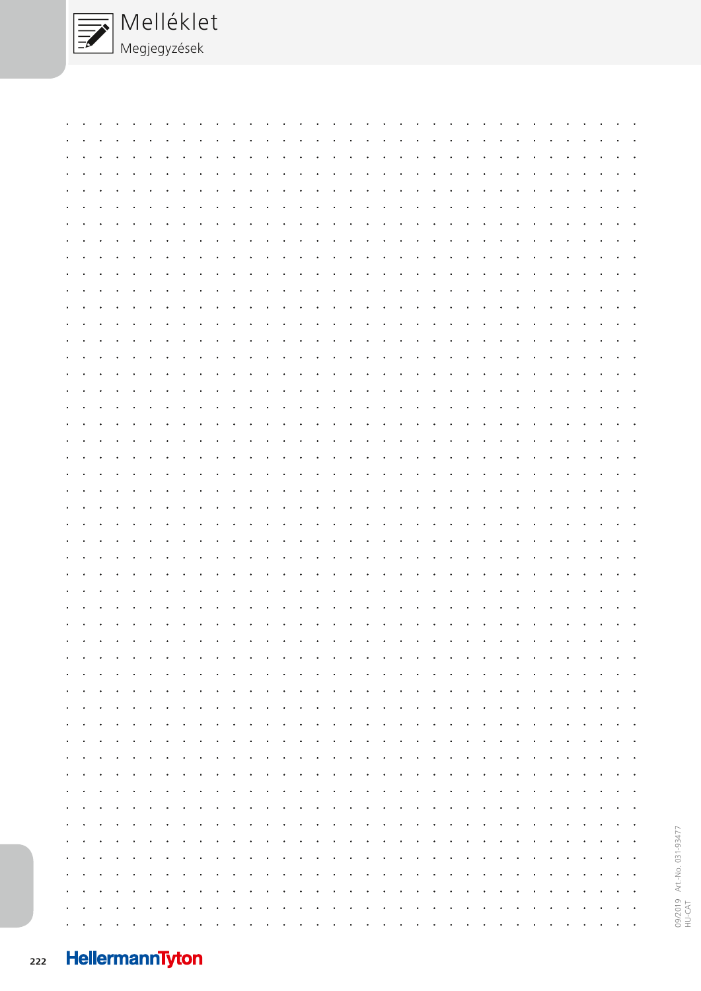

|        |                                                                                                                       |  |  |  |  |  |  |  |  |  |  |  | بمناقل والقارم القارف القارم القارم القارم القارم القارم القارم القارم القارم القارم القارم القارم القارم القارم                                                                                                                 |  |  |  |  |  |
|--------|-----------------------------------------------------------------------------------------------------------------------|--|--|--|--|--|--|--|--|--|--|--|----------------------------------------------------------------------------------------------------------------------------------------------------------------------------------------------------------------------------------|--|--|--|--|--|
|        |                                                                                                                       |  |  |  |  |  |  |  |  |  |  |  | a concerta con carracter a concerta con carracter a concerta con carracter a concerta con concerta con a cons                                                                                                                    |  |  |  |  |  |
|        |                                                                                                                       |  |  |  |  |  |  |  |  |  |  |  |                                                                                                                                                                                                                                  |  |  |  |  |  |
|        |                                                                                                                       |  |  |  |  |  |  |  |  |  |  |  | المناقل فالقارف المناقل فالقارف المناقل فالقارف والمناقل فالقارف المناقل فالقارف المناقل فالقارف المناقل فالقار                                                                                                                  |  |  |  |  |  |
|        |                                                                                                                       |  |  |  |  |  |  |  |  |  |  |  | a constitution of the constitution of the constitution of the constitution of the constitution of the constitution of                                                                                                            |  |  |  |  |  |
|        |                                                                                                                       |  |  |  |  |  |  |  |  |  |  |  | a constitution of the constitution of the constitution of the constitution of the constitution of the constitution of                                                                                                            |  |  |  |  |  |
|        |                                                                                                                       |  |  |  |  |  |  |  |  |  |  |  | a constant a constant and a constant and a constant and a constant and a constant and a constant and a constant                                                                                                                  |  |  |  |  |  |
|        |                                                                                                                       |  |  |  |  |  |  |  |  |  |  |  | a constanta como a carte de carte da carte da carte da carte da carte da carte da carte da carte da carte                                                                                                                        |  |  |  |  |  |
|        |                                                                                                                       |  |  |  |  |  |  |  |  |  |  |  | بقارف والقارق القارف والقارق القارق القارق القارق القارق القارق القارق والقارق القارق والقارق القارق القارات                                                                                                                     |  |  |  |  |  |
| $\sim$ |                                                                                                                       |  |  |  |  |  |  |  |  |  |  |  | and the contract of the contract of the contract of the contract of the contract of the contract of the contract of the contract of the contract of the contract of the contract of the contract of the contract of the contra   |  |  |  |  |  |
|        |                                                                                                                       |  |  |  |  |  |  |  |  |  |  |  |                                                                                                                                                                                                                                  |  |  |  |  |  |
|        |                                                                                                                       |  |  |  |  |  |  |  |  |  |  |  | بمناهد والمناهية والمناهية والمناهية والمناهية والمناهية والمناهية والمناهية والمناهية والمناهية والمناهية                                                                                                                       |  |  |  |  |  |
|        |                                                                                                                       |  |  |  |  |  |  |  |  |  |  |  | and a complete the complete property of the complete property in the complete property of the complete property                                                                                                                  |  |  |  |  |  |
| $\sim$ |                                                                                                                       |  |  |  |  |  |  |  |  |  |  |  | والقارون والقارون والقارون والقارون والقارون والقارون والقارون والقارون والقارون والقارون والقارون والقارون                                                                                                                      |  |  |  |  |  |
|        |                                                                                                                       |  |  |  |  |  |  |  |  |  |  |  | والقارون والقارون والقارون والقارون والقارون والقارون والقارون والقارون والقارون والقارون والقارون والقارون                                                                                                                      |  |  |  |  |  |
|        | <b>All Cards</b>                                                                                                      |  |  |  |  |  |  |  |  |  |  |  | and the contract of the contract of the contract of the contract of the contract of the contract of the contract of the contract of the contract of the contract of the contract of the contract of the contract of the contra   |  |  |  |  |  |
|        |                                                                                                                       |  |  |  |  |  |  |  |  |  |  |  |                                                                                                                                                                                                                                  |  |  |  |  |  |
|        | a constitution of the constitution of the constitution of the constitution of the constitution of the constitution of |  |  |  |  |  |  |  |  |  |  |  |                                                                                                                                                                                                                                  |  |  |  |  |  |
|        |                                                                                                                       |  |  |  |  |  |  |  |  |  |  |  |                                                                                                                                                                                                                                  |  |  |  |  |  |
|        |                                                                                                                       |  |  |  |  |  |  |  |  |  |  |  | and a company of the company of the company of the company of the company of the company of the company of the<br>and a company of the company of the company of the company of the company of the company of the company of the |  |  |  |  |  |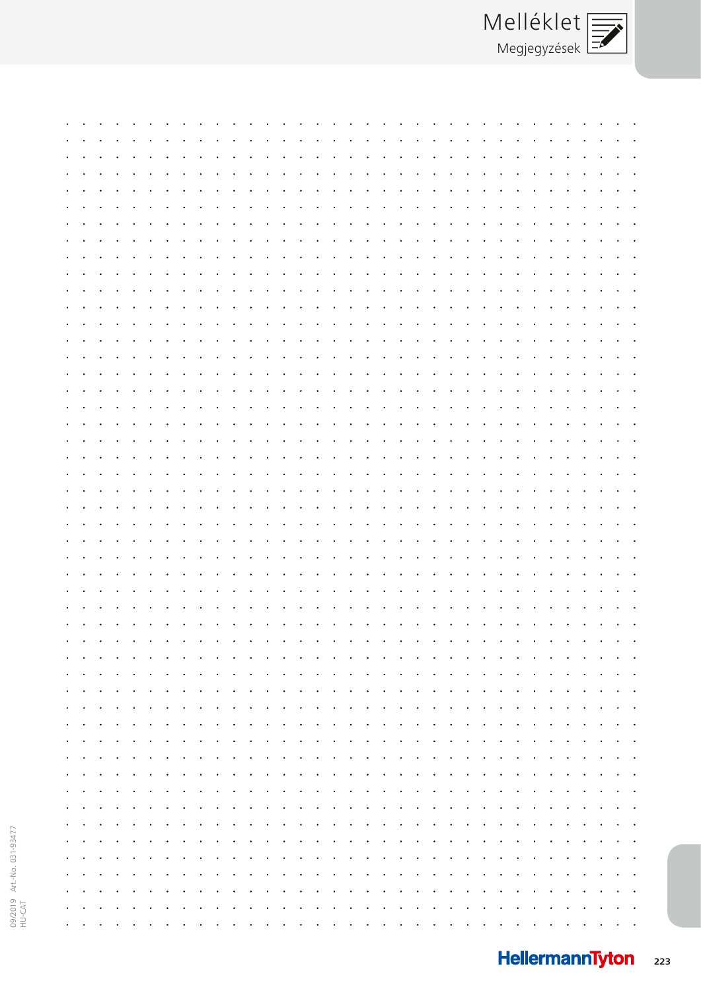|                 |  |  |  |  |  |  | the contract of the contract of the contract of the contract of the contract of the contract of the contract of |  |  |                                                                                                                                                                                                                                |  |  |  |  |  |  |
|-----------------|--|--|--|--|--|--|-----------------------------------------------------------------------------------------------------------------|--|--|--------------------------------------------------------------------------------------------------------------------------------------------------------------------------------------------------------------------------------|--|--|--|--|--|--|
|                 |  |  |  |  |  |  |                                                                                                                 |  |  |                                                                                                                                                                                                                                |  |  |  |  |  |  |
|                 |  |  |  |  |  |  |                                                                                                                 |  |  |                                                                                                                                                                                                                                |  |  |  |  |  |  |
|                 |  |  |  |  |  |  |                                                                                                                 |  |  |                                                                                                                                                                                                                                |  |  |  |  |  |  |
|                 |  |  |  |  |  |  |                                                                                                                 |  |  |                                                                                                                                                                                                                                |  |  |  |  |  |  |
|                 |  |  |  |  |  |  |                                                                                                                 |  |  |                                                                                                                                                                                                                                |  |  |  |  |  |  |
|                 |  |  |  |  |  |  |                                                                                                                 |  |  | the company of the company of the company of the company of the company of the company of the company of the company of the company of the company of the company of the company of the company of the company of the company  |  |  |  |  |  |  |
|                 |  |  |  |  |  |  |                                                                                                                 |  |  |                                                                                                                                                                                                                                |  |  |  |  |  |  |
|                 |  |  |  |  |  |  |                                                                                                                 |  |  |                                                                                                                                                                                                                                |  |  |  |  |  |  |
|                 |  |  |  |  |  |  |                                                                                                                 |  |  |                                                                                                                                                                                                                                |  |  |  |  |  |  |
|                 |  |  |  |  |  |  |                                                                                                                 |  |  | the company of the company of the company of the company of the company of the company of the company of the company of the company of the company of the company of the company of the company of the company of the company  |  |  |  |  |  |  |
|                 |  |  |  |  |  |  |                                                                                                                 |  |  |                                                                                                                                                                                                                                |  |  |  |  |  |  |
|                 |  |  |  |  |  |  |                                                                                                                 |  |  |                                                                                                                                                                                                                                |  |  |  |  |  |  |
|                 |  |  |  |  |  |  |                                                                                                                 |  |  |                                                                                                                                                                                                                                |  |  |  |  |  |  |
|                 |  |  |  |  |  |  |                                                                                                                 |  |  |                                                                                                                                                                                                                                |  |  |  |  |  |  |
|                 |  |  |  |  |  |  |                                                                                                                 |  |  |                                                                                                                                                                                                                                |  |  |  |  |  |  |
|                 |  |  |  |  |  |  |                                                                                                                 |  |  | contract the contract of the contract of the contract of the contract of the contract of the contract of the contract of the contract of the contract of the contract of the contract of the contract of the contract of the c |  |  |  |  |  |  |
|                 |  |  |  |  |  |  |                                                                                                                 |  |  |                                                                                                                                                                                                                                |  |  |  |  |  |  |
|                 |  |  |  |  |  |  |                                                                                                                 |  |  |                                                                                                                                                                                                                                |  |  |  |  |  |  |
|                 |  |  |  |  |  |  |                                                                                                                 |  |  |                                                                                                                                                                                                                                |  |  |  |  |  |  |
|                 |  |  |  |  |  |  |                                                                                                                 |  |  |                                                                                                                                                                                                                                |  |  |  |  |  |  |
|                 |  |  |  |  |  |  |                                                                                                                 |  |  |                                                                                                                                                                                                                                |  |  |  |  |  |  |
|                 |  |  |  |  |  |  |                                                                                                                 |  |  |                                                                                                                                                                                                                                |  |  |  |  |  |  |
|                 |  |  |  |  |  |  |                                                                                                                 |  |  |                                                                                                                                                                                                                                |  |  |  |  |  |  |
|                 |  |  |  |  |  |  |                                                                                                                 |  |  |                                                                                                                                                                                                                                |  |  |  |  |  |  |
|                 |  |  |  |  |  |  |                                                                                                                 |  |  |                                                                                                                                                                                                                                |  |  |  |  |  |  |
|                 |  |  |  |  |  |  |                                                                                                                 |  |  |                                                                                                                                                                                                                                |  |  |  |  |  |  |
|                 |  |  |  |  |  |  |                                                                                                                 |  |  | المعارض والمعارض والمعارض والمعارض والمعارض والمعارض والمعارض والمعارض والمعارض والمعارض                                                                                                                                       |  |  |  |  |  |  |
|                 |  |  |  |  |  |  |                                                                                                                 |  |  |                                                                                                                                                                                                                                |  |  |  |  |  |  |
|                 |  |  |  |  |  |  |                                                                                                                 |  |  |                                                                                                                                                                                                                                |  |  |  |  |  |  |
|                 |  |  |  |  |  |  |                                                                                                                 |  |  |                                                                                                                                                                                                                                |  |  |  |  |  |  |
|                 |  |  |  |  |  |  |                                                                                                                 |  |  |                                                                                                                                                                                                                                |  |  |  |  |  |  |
|                 |  |  |  |  |  |  | the contract of the contract of the contract of                                                                 |  |  |                                                                                                                                                                                                                                |  |  |  |  |  |  |
|                 |  |  |  |  |  |  |                                                                                                                 |  |  |                                                                                                                                                                                                                                |  |  |  |  |  |  |
|                 |  |  |  |  |  |  |                                                                                                                 |  |  |                                                                                                                                                                                                                                |  |  |  |  |  |  |
|                 |  |  |  |  |  |  |                                                                                                                 |  |  |                                                                                                                                                                                                                                |  |  |  |  |  |  |
|                 |  |  |  |  |  |  |                                                                                                                 |  |  |                                                                                                                                                                                                                                |  |  |  |  |  |  |
|                 |  |  |  |  |  |  |                                                                                                                 |  |  |                                                                                                                                                                                                                                |  |  |  |  |  |  |
|                 |  |  |  |  |  |  |                                                                                                                 |  |  |                                                                                                                                                                                                                                |  |  |  |  |  |  |
|                 |  |  |  |  |  |  |                                                                                                                 |  |  |                                                                                                                                                                                                                                |  |  |  |  |  |  |
|                 |  |  |  |  |  |  |                                                                                                                 |  |  |                                                                                                                                                                                                                                |  |  |  |  |  |  |
|                 |  |  |  |  |  |  |                                                                                                                 |  |  |                                                                                                                                                                                                                                |  |  |  |  |  |  |
|                 |  |  |  |  |  |  |                                                                                                                 |  |  | والقارق القارق القارق القارق القارق القارق القارق القارق القارق القارق القارق القارق القارق القارق القارق القارق                                                                                                               |  |  |  |  |  |  |
|                 |  |  |  |  |  |  |                                                                                                                 |  |  |                                                                                                                                                                                                                                |  |  |  |  |  |  |
|                 |  |  |  |  |  |  |                                                                                                                 |  |  | والقارون والقارون والقارون والقارون والقارون والقارون والقارون والقارون والقارون والقارون والقارون والقارون والقارون                                                                                                           |  |  |  |  |  |  |
|                 |  |  |  |  |  |  |                                                                                                                 |  |  |                                                                                                                                                                                                                                |  |  |  |  |  |  |
|                 |  |  |  |  |  |  |                                                                                                                 |  |  | والقارف القارق القارف القارف القارف القارف القارق القارف القارف القارف القارف القارف القارف القارف القارف القار                                                                                                                |  |  |  |  |  |  |
|                 |  |  |  |  |  |  |                                                                                                                 |  |  |                                                                                                                                                                                                                                |  |  |  |  |  |  |
|                 |  |  |  |  |  |  |                                                                                                                 |  |  | والقارب المناور والقارون والقارون والقارون والقارون والقارون والقارون والقارون والقارون والقارون والقارون والقارون                                                                                                             |  |  |  |  |  |  |
|                 |  |  |  |  |  |  |                                                                                                                 |  |  |                                                                                                                                                                                                                                |  |  |  |  |  |  |
|                 |  |  |  |  |  |  |                                                                                                                 |  |  | فترقي والقارف والقارف والقارف والقارف والقارم والقارف والقارف والقارف والقارف والقارف والقارف والقارف والقارات                                                                                                                 |  |  |  |  |  |  |
|                 |  |  |  |  |  |  |                                                                                                                 |  |  | وتاور والوارون والوالون والوالو اوالوالو اوالوالو اوالوالو اوالوالو اوالوالو اوالوالو اوالوالو اوالوالوالوالو                                                                                                                  |  |  |  |  |  |  |
|                 |  |  |  |  |  |  |                                                                                                                 |  |  |                                                                                                                                                                                                                                |  |  |  |  |  |  |
|                 |  |  |  |  |  |  |                                                                                                                 |  |  | والقارون والقارق القارون والقارق القارون والقارق القارون والقارق القارق القارون والقارق القارون والقارق القارون                                                                                                                |  |  |  |  |  |  |
|                 |  |  |  |  |  |  |                                                                                                                 |  |  |                                                                                                                                                                                                                                |  |  |  |  |  |  |
|                 |  |  |  |  |  |  |                                                                                                                 |  |  | a constitution and a constitution of the constitution of the constitution of the constitution of the constitution of the constitution of the constitution of the constitution of the constitution of the constitution of the c |  |  |  |  |  |  |
|                 |  |  |  |  |  |  |                                                                                                                 |  |  |                                                                                                                                                                                                                                |  |  |  |  |  |  |
|                 |  |  |  |  |  |  |                                                                                                                 |  |  | والقارون والقارون والقارون والقارون والمناور والقارون والقارون والقارون والقارون والقارون والقارون والقارون والقارون                                                                                                           |  |  |  |  |  |  |
|                 |  |  |  |  |  |  |                                                                                                                 |  |  |                                                                                                                                                                                                                                |  |  |  |  |  |  |
|                 |  |  |  |  |  |  |                                                                                                                 |  |  | and a company of the company of the company of the company of the company of the company of the company of the                                                                                                                 |  |  |  |  |  |  |
|                 |  |  |  |  |  |  |                                                                                                                 |  |  |                                                                                                                                                                                                                                |  |  |  |  |  |  |
|                 |  |  |  |  |  |  |                                                                                                                 |  |  | وتاور والوالون والوالون والوالون والوالون والوالون والوالون والوالون والوالون والوالون والوالون والوالون والوا                                                                                                                 |  |  |  |  |  |  |
|                 |  |  |  |  |  |  |                                                                                                                 |  |  |                                                                                                                                                                                                                                |  |  |  |  |  |  |
|                 |  |  |  |  |  |  |                                                                                                                 |  |  | والقارون والقارون والقارون والقارون والقارون والقارون والقارون والقارون والقارون والقارون والقارون والقارون والقارون                                                                                                           |  |  |  |  |  |  |
|                 |  |  |  |  |  |  |                                                                                                                 |  |  |                                                                                                                                                                                                                                |  |  |  |  |  |  |
|                 |  |  |  |  |  |  |                                                                                                                 |  |  | والقارون والقارون والقارون والقارون والقارون والقارون والقارون والقارون والقارون والقارون والقارون والقارون والقارون                                                                                                           |  |  |  |  |  |  |
|                 |  |  |  |  |  |  |                                                                                                                 |  |  |                                                                                                                                                                                                                                |  |  |  |  |  |  |
|                 |  |  |  |  |  |  |                                                                                                                 |  |  | والقارب والقارون والقارون والقارون والقارون والقارون والقارون والقارون والقارون والقارون والقارون والقارون والقارون                                                                                                            |  |  |  |  |  |  |
| <b>Contract</b> |  |  |  |  |  |  |                                                                                                                 |  |  |                                                                                                                                                                                                                                |  |  |  |  |  |  |
|                 |  |  |  |  |  |  |                                                                                                                 |  |  | والقارض والقارق والمراقب والقارق والقارق القارق والمراقب والقارق والقارق والقارق والقارق والقارق والقارق والمراق                                                                                                               |  |  |  |  |  |  |
|                 |  |  |  |  |  |  |                                                                                                                 |  |  | فالقاهد والقارم القارف القارق القارق القارق القارق القارق القارق القارق القارق القارق القارق القارق القارق القار                                                                                                               |  |  |  |  |  |  |
|                 |  |  |  |  |  |  |                                                                                                                 |  |  |                                                                                                                                                                                                                                |  |  |  |  |  |  |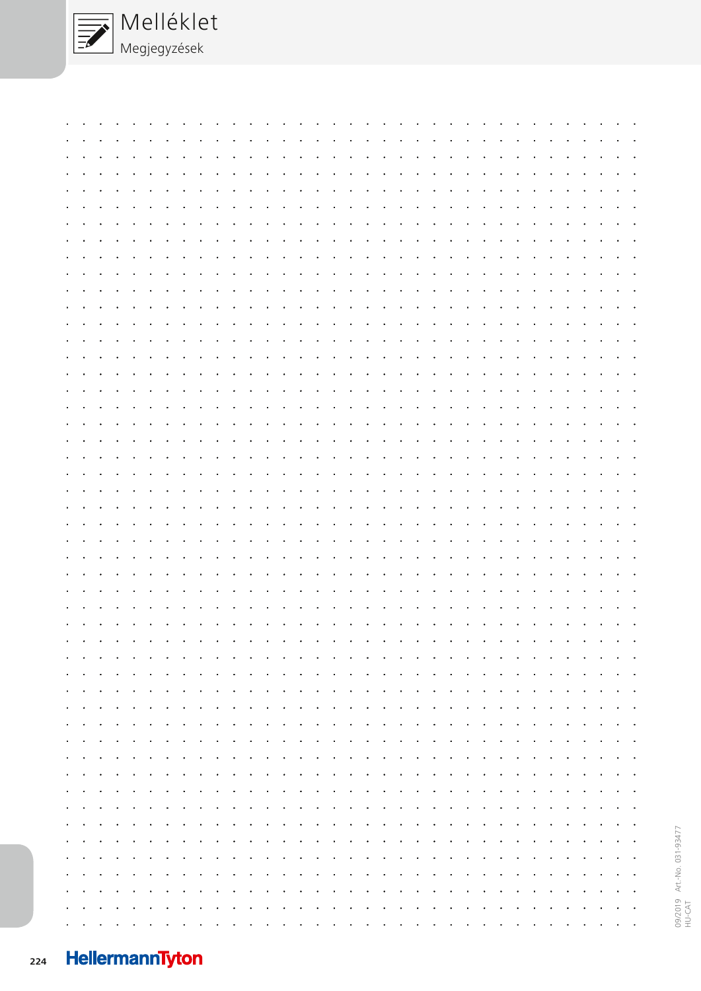

|                                                |                                                 |  |  |  |  |  |  |  |  |                                                                 |  | بمناقل والقارم القارف القارم القارم القارم القارم القارم القارم القارم القارم القارم القارم القارم القارم القارم                                                                                                               |            |                                                     |  |  |  |  |  |
|------------------------------------------------|-------------------------------------------------|--|--|--|--|--|--|--|--|-----------------------------------------------------------------|--|--------------------------------------------------------------------------------------------------------------------------------------------------------------------------------------------------------------------------------|------------|-----------------------------------------------------|--|--|--|--|--|
|                                                |                                                 |  |  |  |  |  |  |  |  |                                                                 |  | a constanta con casa de la casa de la casa de la casa de la casa de la casa de la casa de la casa de la casa d                                                                                                                 |            |                                                     |  |  |  |  |  |
| $\mathbf{A}$ and $\mathbf{A}$ and $\mathbf{A}$ |                                                 |  |  |  |  |  |  |  |  |                                                                 |  | والواقد والمناور والقارم القارون والقارم القارم والقارم والقارم والقارم والقارم والقارم والقارم والقرارة                                                                                                                       |            |                                                     |  |  |  |  |  |
| $\sim$                                         |                                                 |  |  |  |  |  |  |  |  |                                                                 |  | and the contract of the contract of the contract of the contract of the contract of the contract of the contract of                                                                                                            |            |                                                     |  |  |  |  |  |
|                                                |                                                 |  |  |  |  |  |  |  |  |                                                                 |  | a constitution of the constitution of the constitution of the constitution of the constitution of the constitution                                                                                                             |            |                                                     |  |  |  |  |  |
|                                                |                                                 |  |  |  |  |  |  |  |  |                                                                 |  |                                                                                                                                                                                                                                |            |                                                     |  |  |  |  |  |
| $\sim$                                         | <b>Contract</b>                                 |  |  |  |  |  |  |  |  |                                                                 |  | القارقان فالقارض القارقان فالقارض القارقان فالقار فالقارف القارقان فالقار فالقار فالقار فالقار فارتقا فالنفار                                                                                                                  |            |                                                     |  |  |  |  |  |
| $\bullet$                                      |                                                 |  |  |  |  |  |  |  |  |                                                                 |  | الجارا والقاري والقارون والقارق القارق القارق القارق القارق القارق القارق القارق القارق القارق القارق القارق ا                                                                                                                 |            |                                                     |  |  |  |  |  |
|                                                |                                                 |  |  |  |  |  |  |  |  |                                                                 |  | بقارف والقارف والقارف والقارف والقارف والقارف والقارف والقارف وفاقا والقارف والقارف والقارف والقارف والقارات                                                                                                                   |            |                                                     |  |  |  |  |  |
| $\sim$                                         |                                                 |  |  |  |  |  |  |  |  |                                                                 |  | and the contract of the contract of the contract of the contract of the contract of the contract of the contract of                                                                                                            |            |                                                     |  |  |  |  |  |
|                                                |                                                 |  |  |  |  |  |  |  |  |                                                                 |  | and a complete the complete property of the complete property of the complete property of the complete property of the complete property of the complete property of the complete property of the complete property of the com |            |                                                     |  |  |  |  |  |
|                                                |                                                 |  |  |  |  |  |  |  |  |                                                                 |  | and a complete the complete property of the complete property in the complete property of the complete property                                                                                                                |            |                                                     |  |  |  |  |  |
|                                                |                                                 |  |  |  |  |  |  |  |  |                                                                 |  |                                                                                                                                                                                                                                |            |                                                     |  |  |  |  |  |
|                                                |                                                 |  |  |  |  |  |  |  |  |                                                                 |  | والقارون والقارون والقارون والقارون والقارون والقارون والقارون والقارون والقارون والقارون والقارون والمناورة                                                                                                                   |            |                                                     |  |  |  |  |  |
| $\sim$                                         |                                                 |  |  |  |  |  |  |  |  |                                                                 |  | بجاء والقارية القارية والقارية القراط القراط القراط القراط القراط القراط القراط القراط القراط القراط القراط القراط                                                                                                             |            |                                                     |  |  |  |  |  |
| $\sim$                                         |                                                 |  |  |  |  |  |  |  |  |                                                                 |  | والقارون والقارون والقارون والقارون والقارون والقارون والقارون والقارون والقارون والقارون والقارون والقارون                                                                                                                    |            |                                                     |  |  |  |  |  |
| $\sim$                                         | the contract of the contract of the contract of |  |  |  |  |  |  |  |  | the contract of the contract of the contract of the contract of |  |                                                                                                                                                                                                                                | $\sim 100$ | the contract of the contract of the contract of the |  |  |  |  |  |
|                                                |                                                 |  |  |  |  |  |  |  |  |                                                                 |  | الجالجا والقالح الجالجا والقالح الجالجا والقالحان فالقالح الجالجا والقالحان والقالحان والمالحان والمالية                                                                                                                       |            |                                                     |  |  |  |  |  |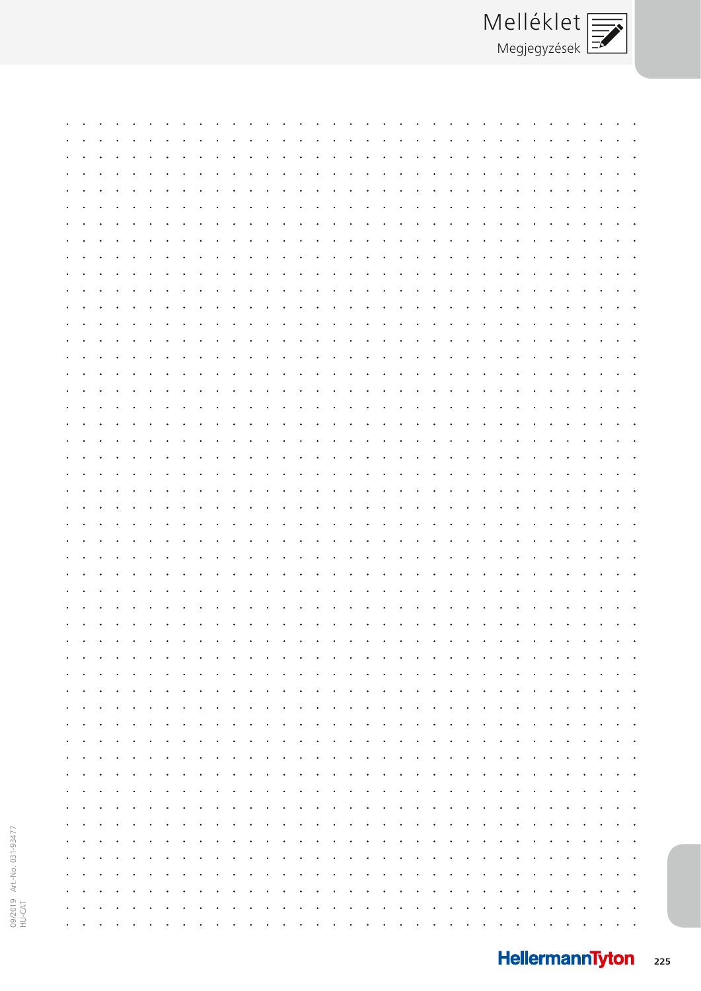|                 |  |  |  |  |  |  |                                                 | the contract of the contract of the contract of the contract of the contract of the contract of the contract of                                                                                                                |  |  |  |  |  |  |  |  |
|-----------------|--|--|--|--|--|--|-------------------------------------------------|--------------------------------------------------------------------------------------------------------------------------------------------------------------------------------------------------------------------------------|--|--|--|--|--|--|--|--|
|                 |  |  |  |  |  |  |                                                 |                                                                                                                                                                                                                                |  |  |  |  |  |  |  |  |
|                 |  |  |  |  |  |  |                                                 |                                                                                                                                                                                                                                |  |  |  |  |  |  |  |  |
|                 |  |  |  |  |  |  |                                                 |                                                                                                                                                                                                                                |  |  |  |  |  |  |  |  |
|                 |  |  |  |  |  |  |                                                 |                                                                                                                                                                                                                                |  |  |  |  |  |  |  |  |
|                 |  |  |  |  |  |  |                                                 |                                                                                                                                                                                                                                |  |  |  |  |  |  |  |  |
|                 |  |  |  |  |  |  |                                                 | the company of the company of the company of the company of the company of the company of the company of the company of the company of the company of the company of the company of the company of the company of the company  |  |  |  |  |  |  |  |  |
|                 |  |  |  |  |  |  |                                                 |                                                                                                                                                                                                                                |  |  |  |  |  |  |  |  |
|                 |  |  |  |  |  |  |                                                 |                                                                                                                                                                                                                                |  |  |  |  |  |  |  |  |
|                 |  |  |  |  |  |  |                                                 |                                                                                                                                                                                                                                |  |  |  |  |  |  |  |  |
|                 |  |  |  |  |  |  |                                                 | the company of the company of the company of the company of the company of the company of the company of the company of the company of the company of the company of the company of the company of the company of the company  |  |  |  |  |  |  |  |  |
|                 |  |  |  |  |  |  |                                                 |                                                                                                                                                                                                                                |  |  |  |  |  |  |  |  |
|                 |  |  |  |  |  |  |                                                 |                                                                                                                                                                                                                                |  |  |  |  |  |  |  |  |
|                 |  |  |  |  |  |  |                                                 |                                                                                                                                                                                                                                |  |  |  |  |  |  |  |  |
|                 |  |  |  |  |  |  |                                                 |                                                                                                                                                                                                                                |  |  |  |  |  |  |  |  |
|                 |  |  |  |  |  |  |                                                 |                                                                                                                                                                                                                                |  |  |  |  |  |  |  |  |
|                 |  |  |  |  |  |  |                                                 | contract the contract of the contract of the contract of the contract of the contract of the contract of the contract of the contract of the contract of the contract of the contract of the contract of the contract of the c |  |  |  |  |  |  |  |  |
|                 |  |  |  |  |  |  |                                                 |                                                                                                                                                                                                                                |  |  |  |  |  |  |  |  |
|                 |  |  |  |  |  |  |                                                 |                                                                                                                                                                                                                                |  |  |  |  |  |  |  |  |
|                 |  |  |  |  |  |  |                                                 |                                                                                                                                                                                                                                |  |  |  |  |  |  |  |  |
|                 |  |  |  |  |  |  |                                                 |                                                                                                                                                                                                                                |  |  |  |  |  |  |  |  |
|                 |  |  |  |  |  |  |                                                 |                                                                                                                                                                                                                                |  |  |  |  |  |  |  |  |
|                 |  |  |  |  |  |  |                                                 |                                                                                                                                                                                                                                |  |  |  |  |  |  |  |  |
|                 |  |  |  |  |  |  |                                                 |                                                                                                                                                                                                                                |  |  |  |  |  |  |  |  |
|                 |  |  |  |  |  |  |                                                 |                                                                                                                                                                                                                                |  |  |  |  |  |  |  |  |
|                 |  |  |  |  |  |  |                                                 |                                                                                                                                                                                                                                |  |  |  |  |  |  |  |  |
|                 |  |  |  |  |  |  |                                                 |                                                                                                                                                                                                                                |  |  |  |  |  |  |  |  |
|                 |  |  |  |  |  |  |                                                 | المعارض والمعارض والمعارض والمعارض والمعارض والمعارض والمعارض والمعارض والمعارض والمعارض                                                                                                                                       |  |  |  |  |  |  |  |  |
|                 |  |  |  |  |  |  |                                                 |                                                                                                                                                                                                                                |  |  |  |  |  |  |  |  |
|                 |  |  |  |  |  |  |                                                 |                                                                                                                                                                                                                                |  |  |  |  |  |  |  |  |
|                 |  |  |  |  |  |  |                                                 |                                                                                                                                                                                                                                |  |  |  |  |  |  |  |  |
|                 |  |  |  |  |  |  |                                                 |                                                                                                                                                                                                                                |  |  |  |  |  |  |  |  |
|                 |  |  |  |  |  |  | the contract of the contract of the contract of |                                                                                                                                                                                                                                |  |  |  |  |  |  |  |  |
|                 |  |  |  |  |  |  |                                                 |                                                                                                                                                                                                                                |  |  |  |  |  |  |  |  |
|                 |  |  |  |  |  |  |                                                 |                                                                                                                                                                                                                                |  |  |  |  |  |  |  |  |
|                 |  |  |  |  |  |  |                                                 |                                                                                                                                                                                                                                |  |  |  |  |  |  |  |  |
|                 |  |  |  |  |  |  |                                                 |                                                                                                                                                                                                                                |  |  |  |  |  |  |  |  |
|                 |  |  |  |  |  |  |                                                 |                                                                                                                                                                                                                                |  |  |  |  |  |  |  |  |
|                 |  |  |  |  |  |  |                                                 |                                                                                                                                                                                                                                |  |  |  |  |  |  |  |  |
|                 |  |  |  |  |  |  |                                                 |                                                                                                                                                                                                                                |  |  |  |  |  |  |  |  |
|                 |  |  |  |  |  |  |                                                 |                                                                                                                                                                                                                                |  |  |  |  |  |  |  |  |
|                 |  |  |  |  |  |  |                                                 |                                                                                                                                                                                                                                |  |  |  |  |  |  |  |  |
|                 |  |  |  |  |  |  |                                                 | والقارق القارق القارق القارق القارق القارق القارق القارق القارق القارق القارق القارق القارق القارق القارق القارق                                                                                                               |  |  |  |  |  |  |  |  |
|                 |  |  |  |  |  |  |                                                 |                                                                                                                                                                                                                                |  |  |  |  |  |  |  |  |
|                 |  |  |  |  |  |  |                                                 | والقارون والقارون والقارون والقارون والقارون والقارون والقارون والقارون والقارون والقارون والقارون والقارون والقارون                                                                                                           |  |  |  |  |  |  |  |  |
|                 |  |  |  |  |  |  |                                                 |                                                                                                                                                                                                                                |  |  |  |  |  |  |  |  |
|                 |  |  |  |  |  |  |                                                 | والقارف القارق القارف القارف القارف القارف القارق القارف القارف القارف القارف القارف القارف القارف القارف القار                                                                                                                |  |  |  |  |  |  |  |  |
|                 |  |  |  |  |  |  |                                                 |                                                                                                                                                                                                                                |  |  |  |  |  |  |  |  |
|                 |  |  |  |  |  |  |                                                 | والقارب المناور والقارون والقارون والقارون والقارون والقارون والقارون والقارون والقارون والقارون والقارون والقارون                                                                                                             |  |  |  |  |  |  |  |  |
|                 |  |  |  |  |  |  |                                                 |                                                                                                                                                                                                                                |  |  |  |  |  |  |  |  |
|                 |  |  |  |  |  |  |                                                 | فترقي والقارف والقارف والقارف والقارف والقارم والقارف والقارف والقارف والقارف والقارف والقارف والقارف والقارات                                                                                                                 |  |  |  |  |  |  |  |  |
|                 |  |  |  |  |  |  |                                                 | وتاور والوارون والوالون والوالو اوالوالو اوالوالو اوالوالو اوالوالو اوالوالو اوالوالو اوالوالو اوالوالوالوالو                                                                                                                  |  |  |  |  |  |  |  |  |
|                 |  |  |  |  |  |  |                                                 |                                                                                                                                                                                                                                |  |  |  |  |  |  |  |  |
|                 |  |  |  |  |  |  |                                                 | والقارون والقارق القارون والقارق القارون والقارق القارون والقارق القارق القارون والقارق القارون والقارق القارون                                                                                                                |  |  |  |  |  |  |  |  |
|                 |  |  |  |  |  |  |                                                 |                                                                                                                                                                                                                                |  |  |  |  |  |  |  |  |
|                 |  |  |  |  |  |  |                                                 | a constitution and a constitution of the constitution of the constitution of the constitution of the constitution of the constitution of the constitution of the constitution of the constitution of the constitution of the c |  |  |  |  |  |  |  |  |
|                 |  |  |  |  |  |  |                                                 |                                                                                                                                                                                                                                |  |  |  |  |  |  |  |  |
|                 |  |  |  |  |  |  |                                                 | والقارون والقارون والقارون والقارون والمناور والقارون والقارون والقارون والقارون والقارون والقارون والقارون والقارون                                                                                                           |  |  |  |  |  |  |  |  |
|                 |  |  |  |  |  |  |                                                 |                                                                                                                                                                                                                                |  |  |  |  |  |  |  |  |
|                 |  |  |  |  |  |  |                                                 | and a company of the company of the company of the company of the company of the company of the company of the                                                                                                                 |  |  |  |  |  |  |  |  |
|                 |  |  |  |  |  |  |                                                 |                                                                                                                                                                                                                                |  |  |  |  |  |  |  |  |
|                 |  |  |  |  |  |  |                                                 | وتاور والوالون والوالون والوالون والوالون والوالون والوالون والوالون والوالون والوالون والوالون والوالون والوا                                                                                                                 |  |  |  |  |  |  |  |  |
|                 |  |  |  |  |  |  |                                                 |                                                                                                                                                                                                                                |  |  |  |  |  |  |  |  |
|                 |  |  |  |  |  |  |                                                 | والقارون والقارون والقارون والقارون والقارون والقارون والقارون والقارون والقارون والقارون والقارون والقارون والقارون                                                                                                           |  |  |  |  |  |  |  |  |
|                 |  |  |  |  |  |  |                                                 |                                                                                                                                                                                                                                |  |  |  |  |  |  |  |  |
|                 |  |  |  |  |  |  |                                                 | والقارون والقارون والقارون والقارون والقارون والقارون والقارون والقارون والقارون والقارون والقارون والقارون والقارون                                                                                                           |  |  |  |  |  |  |  |  |
|                 |  |  |  |  |  |  |                                                 |                                                                                                                                                                                                                                |  |  |  |  |  |  |  |  |
|                 |  |  |  |  |  |  |                                                 | والقارب والقارون والقارون والقارون والقارون والقارون والقارون والقارون والقارون والقارون والقارون والقارون والقارون                                                                                                            |  |  |  |  |  |  |  |  |
| <b>Contract</b> |  |  |  |  |  |  |                                                 |                                                                                                                                                                                                                                |  |  |  |  |  |  |  |  |
|                 |  |  |  |  |  |  |                                                 | والقارض والقارق والمراقب والقارق والقارق القارق والمراقب والقارق والقارق والقارق والقارق والقارق والقارق والمراق                                                                                                               |  |  |  |  |  |  |  |  |
|                 |  |  |  |  |  |  |                                                 | فالقاهد والقارم القارف القارق القارق القارق القارق القارق القارق القارق القارق القارق القارق القارق القارق القار                                                                                                               |  |  |  |  |  |  |  |  |
|                 |  |  |  |  |  |  |                                                 |                                                                                                                                                                                                                                |  |  |  |  |  |  |  |  |